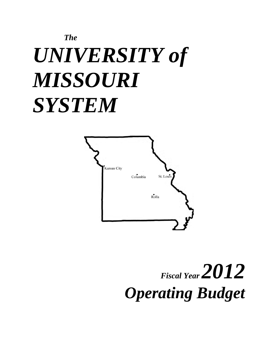# *The UNIVERSITY of MISSOURI SYSTEM*



# *Fiscal Year 2012 Operating Budget*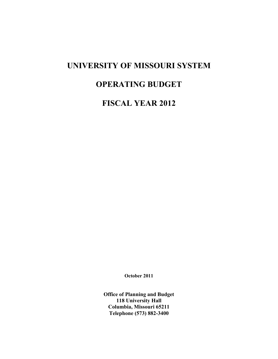## **UNIVERSITY OF MISSOURI SYSTEM**

# **OPERATING BUDGET**

**FISCAL YEAR 2012**

**October 2011** 

**Office of Planning and Budget 118 University Hall Columbia, Missouri 65211 Telephone (573) 882-3400**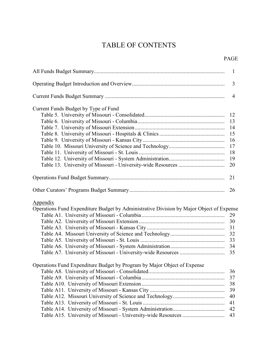## TABLE OF CONTENTS

|  | <b>PAGE</b> |
|--|-------------|
|--|-------------|

|                                                                                                             | $\mathbf{1}$   |
|-------------------------------------------------------------------------------------------------------------|----------------|
|                                                                                                             | 3              |
|                                                                                                             | $\overline{4}$ |
| Current Funds Budget by Type of Fund                                                                        |                |
|                                                                                                             | 12             |
|                                                                                                             |                |
|                                                                                                             |                |
|                                                                                                             | 15             |
|                                                                                                             | 16             |
|                                                                                                             | 17             |
|                                                                                                             | 18             |
|                                                                                                             | 19             |
|                                                                                                             | 20             |
|                                                                                                             |                |
|                                                                                                             | 21             |
|                                                                                                             | 26             |
| <b>Appendix</b><br>Operations Fund Expenditure Budget by Administrative Division by Major Object of Expense | 29             |
|                                                                                                             | 30             |
|                                                                                                             |                |
|                                                                                                             |                |
|                                                                                                             | 33             |
|                                                                                                             |                |
|                                                                                                             | 35             |
| Operations Fund Expenditure Budget by Program by Major Object of Expense                                    |                |
|                                                                                                             | 36             |
|                                                                                                             | 37             |
|                                                                                                             | 38             |
|                                                                                                             | 39             |
|                                                                                                             |                |
|                                                                                                             | 40             |
|                                                                                                             | 41             |
|                                                                                                             | 42             |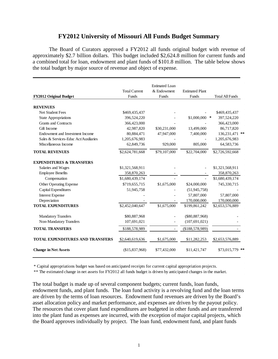## **FY2012 University of Missouri All Funds Budget Summary**

The Board of Curators approved a FY2012 all funds original budget with revenue of approximately \$2.7 billion dollars. This budget included \$2,624.8 million for current funds and a combined total for loan, endowment and plant funds of \$101.8 million. The table below shows the total budget by major source of revenue and object of expense.

|                                         |                      | Estimated Loan           |                        |                        |
|-----------------------------------------|----------------------|--------------------------|------------------------|------------------------|
|                                         | <b>Total Current</b> | & Endowment              | <b>Estimated Plant</b> |                        |
| FY2012 Original Budget                  | <b>Funds</b>         | <b>Funds</b>             | <b>Funds</b>           | <b>Total All Funds</b> |
| <b>REVENUES</b>                         |                      |                          |                        |                        |
| <b>Net Student Fees</b>                 | \$469,435,437        |                          |                        | \$469,435,437          |
| <b>State Appropriations</b>             | 396,524,220          |                          | \$1,000,000            | $\ast$<br>397,524,220  |
| <b>Grants and Contracts</b>             | 366,423,000          |                          |                        | 366,423,000            |
| Gift Income                             | 42,987,820           | \$30,231,000             | 13,499,000             | 86,717,820             |
| Endowment and Investment Income         | 80,884,471           | 47,947,000               | 7,400,000              | 136,231,471 **         |
| Sales & Services-Educ Act/Auxiliaries   | 1,205,676,983        |                          |                        | 1,205,676,983          |
| Miscellaneous Income                    | 62,849,736           | 929,000                  | 805,000                | 64,583,736             |
| <b>TOTAL REVENUES</b>                   | \$2,624,781,668      | \$79,107,000             | \$22,704,000           | \$2,726,592,668        |
| <b>EXPENDITURES &amp; TRANSFERS</b>     |                      |                          |                        |                        |
| Salaries and Wages                      | \$1,321,568,911      |                          |                        | \$1,321,568,911        |
| <b>Employee Benefits</b>                | 358,870,263          |                          |                        | 358,870,263            |
| Compensation                            | \$1,680,439,174      |                          |                        | \$1,680,439,174        |
| Other Operating Expense                 | \$719,655,715        | \$1,675,000              | \$24,000,000           | 745,330,715            |
| Capital Expenditures                    | 51,945,758           |                          | (51, 945, 758)         |                        |
| <b>Interest Expense</b>                 |                      |                          | 57,807,000             | 57,807,000             |
| Depreciation                            |                      |                          | 170,000,000            | 170,000,000            |
| <b>TOTAL EXPENDITURES</b>               | \$2,452,040,647      | \$1,675,000              | \$199,861,242          | \$2,653,576,889        |
| <b>Mandatory Transfers</b>              | \$80,887,968         |                          | $(\$80,887,968)$       |                        |
| Non-Mandatory Transfers                 | 107,691,021          | $\overline{\phantom{0}}$ | (107, 691, 021)        |                        |
| <b>TOTAL TRANSFERS</b>                  | \$188,578,989        |                          | (\$188,578,989)        |                        |
| <b>TOTAL EXPENDITURES AND TRANSFERS</b> | \$2,640,619,636      | \$1,675,000              | \$11,282,253           | \$2,653,576,889        |
| <b>Change in Net Assets</b>             | (\$15,837,968)       | \$77,432,000             | \$11,421,747           | \$73,015,779 **        |

\* Capital appropriations budget was based on anticipated receipts for current capital appropriation projects.

\*\* The estimated change in net assets for FY2012 all funds budget is driven by anticipated changes in the market.

The total budget is made up of several component budgets; current funds, loan funds, endowment funds, and plant funds. The loan fund activity is a revolving fund and the loan terms are driven by the terms of loan resources. Endowment fund revenues are driven by the Board's asset allocation policy and market performance, and expenses are driven by the payout policy. The resources that cover plant fund expenditures are budgeted in other funds and are transferred into the plant fund as expenses are incurred, with the exception of major capital projects, which the Board approves individually by project. The loan fund, endowment fund, and plant funds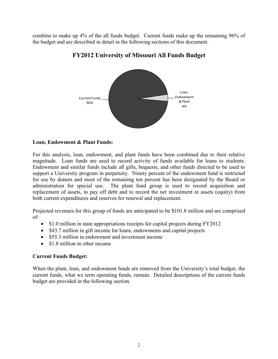combine to make up 4% of the all funds budget. Current funds make up the remaining 96% of the budget and are described in detail in the following sections of this document.



## **FY2012 University of Missouri All Funds Budget**

## **Loan, Endowment & Plant Funds:**

For this analysis, loan, endowment, and plant funds have been combined due to their relative magnitude. Loan funds are used to record activity of funds available for loans to students. Endowment and similar funds include all gifts, bequests, and other funds directed to be used to support a University program in perpetuity. Ninety percent of the endowment fund is restricted for use by donors and most of the remaining ten percent has been designated by the Board or administration for special use. The plant fund group is used to record acquisition and replacement of assets, to pay off debt and to record the net investment in assets (equity) from both current expenditures and reserves for renewal and replacement.

Projected revenues for this group of funds are anticipated to be \$101.8 million and are comprised of:

- \$1.0 million in state appropriations receipts for capital projects during FY2012
- \$43.7 million in gift income for loans, endowments and capital projects
- \$55.3 million in endowment and investment income
- \$1.8 million in other income

## **Current Funds Budget:**

When the plant, loan, and endowment funds are removed from the University's total budget, the current funds, what we term operating funds, remain. Detailed descriptions of the current funds budget are provided in the following section.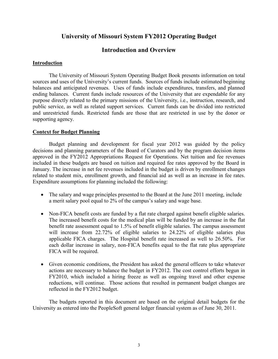## **University of Missouri System FY2012 Operating Budget**

## **Introduction and Overview**

## **Introduction**

The University of Missouri System Operating Budget Book presents information on total sources and uses of the University's current funds. Sources of funds include estimated beginning balances and anticipated revenues. Uses of funds include expenditures, transfers, and planned ending balances. Current funds include resources of the University that are expendable for any purpose directly related to the primary missions of the University, i.e., instruction, research, and public service, as well as related support services. Current funds can be divided into restricted and unrestricted funds. Restricted funds are those that are restricted in use by the donor or supporting agency.

## **Context for Budget Planning**

Budget planning and development for fiscal year 2012 was guided by the policy decisions and planning parameters of the Board of Curators and by the program decision items approved in the FY2012 Appropriations Request for Operations. Net tuition and fee revenues included in these budgets are based on tuition and required fee rates approved by the Board in January. The increase in net fee revenues included in the budget is driven by enrollment changes related to student mix, enrollment growth, and financial aid as well as an increase in fee rates. Expenditure assumptions for planning included the following:

- The salary and wage principles presented to the Board at the June 2011 meeting, include a merit salary pool equal to 2% of the campus's salary and wage base.
- Non-FICA benefit costs are funded by a flat rate charged against benefit eligible salaries. The increased benefit costs for the medical plan will be funded by an increase in the flat benefit rate assessment equal to 1.5% of benefit eligible salaries. The campus assessment will increase from 22.72% of eligible salaries to 24.22% of eligible salaries plus applicable FICA charges. The Hospital benefit rate increased as well to 26.50%. For each dollar increase in salary, non-FICA benefits equal to the flat rate plus appropriate FICA will be required.
- Given economic conditions, the President has asked the general officers to take whatever actions are necessary to balance the budget in FY2012. The cost control efforts begun in FY2010, which included a hiring freeze as well as ongoing travel and other expense reductions, will continue. Those actions that resulted in permanent budget changes are reflected in the FY2012 budget.

The budgets reported in this document are based on the original detail budgets for the University as entered into the PeopleSoft general ledger financial system as of June 30, 2011.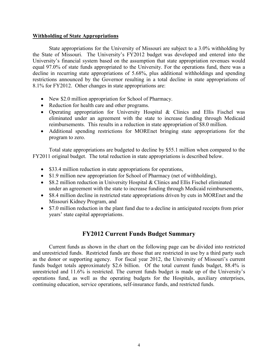## **Withholding of State Appropriations**

State appropriations for the University of Missouri are subject to a 3.0% withholding by the State of Missouri. The University's FY2012 budget was developed and entered into the University's financial system based on the assumption that state appropriation revenues would equal 97.0% of state funds appropriated to the University. For the operations fund, there was a decline in recurring state appropriations of 5.68%, plus additional withholdings and spending restrictions announced by the Governor resulting in a total decline in state appropriations of 8.1% for FY2012. Other changes in state appropriations are:

- New \$2.0 million appropriation for School of Pharmacy.
- Reduction for health care and other programs.
- Operating appropriation for University Hospital & Clinics and Ellis Fischel was eliminated under an agreement with the state to increase funding through Medicaid reimbursements. This results in a reduction in state appropriation of \$8.0 million.
- Additional spending restrictions for MOREnet bringing state appropriations for the program to zero.

Total state appropriations are budgeted to decline by \$55.1 million when compared to the FY2011 original budget. The total reduction in state appropriations is described below.

- \$33.4 million reduction in state appropriations for operations,
- \$1.9 million new appropriation for School of Pharmacy (net of withholding),
- \$8.2 million reduction in University Hospital & Clinics and Ellis Fischel eliminated under an agreement with the state to increase funding through Medicaid reimbursements,
- \$8.4 million decline in restricted state appropriations driven by cuts in MOREnet and the Missouri Kidney Program, and
- \$7.0 million reduction in the plant fund due to a decline in anticipated receipts from prior years' state capital appropriations.

## **FY2012 Current Funds Budget Summary**

Current funds as shown in the chart on the following page can be divided into restricted and unrestricted funds. Restricted funds are those that are restricted in use by a third party such as the donor or supporting agency. For fiscal year 2012, the University of Missouri's current funds budget totals approximately \$2.6 billion. Of the total current funds budget, 88.4% is unrestricted and 11.6% is restricted. The current funds budget is made up of the University's operations fund, as well as the operating budgets for the Hospitals, auxiliary enterprises, continuing education, service operations, self-insurance funds, and restricted funds.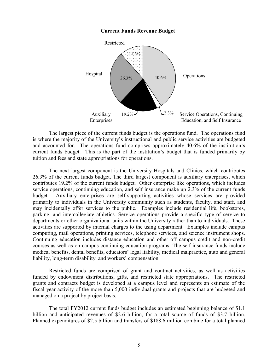

#### **Current Funds Revenue Budget**

The largest piece of the current funds budget is the operations fund. The operations fund is where the majority of the University's instructional and public service activities are budgeted and accounted for. The operations fund comprises approximately 40.6% of the institution's current funds budget. This is the part of the institution's budget that is funded primarily by tuition and fees and state appropriations for operations.

The next largest component is the University Hospitals and Clinics, which contributes 26.3% of the current funds budget. The third largest component is auxiliary enterprises, which contributes 19.2% of the current funds budget. Other enterprise like operations, which includes service operations, continuing education, and self insurance make up 2.3% of the current funds budget. Auxiliary enterprises are self-supporting activities whose services are provided primarily to individuals in the University community such as students, faculty, and staff, and may incidentally offer services to the public. Examples include residential life, bookstores, parking, and intercollegiate athletics. Service operations provide a specific type of service to departments or other organizational units within the University rather than to individuals. These activities are supported by internal charges to the using department. Examples include campus computing, mail operations, printing services, telephone services, and science instrument shops. Continuing education includes distance education and other off campus credit and non-credit courses as well as on campus continuing education programs. The self-insurance funds include medical benefits, dental benefits, educators' legal liability, medical malpractice, auto and general liability, long-term disability, and workers' compensation.

Restricted funds are comprised of grant and contract activities, as well as activities funded by endowment distributions, gifts, and restricted state appropriations. The restricted grants and contracts budget is developed at a campus level and represents an estimate of the fiscal year activity of the more than 5,000 individual grants and projects that are budgeted and managed on a project by project basis.

The total FY2012 current funds budget includes an estimated beginning balance of \$1.1 billion and anticipated revenues of \$2.6 billion, for a total source of funds of \$3.7 billion. Planned expenditures of \$2.5 billion and transfers of \$188.6 million combine for a total planned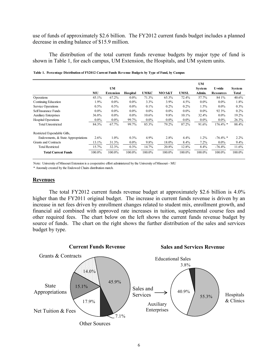use of funds of approximately \$2.6 billion. The FY2012 current funds budget includes a planned decrease in ending balance of \$15.9 million.

The distribution of the total current funds revenue budgets by major type of fund is shown in Table 1, for each campus, UM Extension, the Hospitals, and UM system units.

|                                    |         | <b>UM</b><br><b>UM</b><br><b>System</b><br>U-wide |          |             |         |             |         |                  |                        |  |
|------------------------------------|---------|---------------------------------------------------|----------|-------------|---------|-------------|---------|------------------|------------------------|--|
|                                    | MU      | <b>Extension</b>                                  | Hospital | <b>UMKC</b> | MO S&T  | <b>UMSL</b> | Admin.  | <b>Resources</b> | System<br><b>Total</b> |  |
| Operations                         | 45.1%   | 67.2%                                             | $0.0\%$  | 71.3%       | 65.3%   | 72.4%       | 57.7%   | 84 1%            | 40.6%                  |  |
| Continuing Education               | 1.9%    | $0.0\%$                                           | $0.0\%$  | 3.3%        | 3.9%    | 4.5%        | $0.0\%$ | $0.0\%$          | 1.8%                   |  |
| Service Operations                 | 0.5%    | 0.5%                                              | $0.0\%$  | $0.1\%$     | $0.2\%$ | 0.2%        | 1.5%    | $0.0\%$          | $0.3\%$                |  |
| Self Insurance Funds               | $0.0\%$ | $0.0\%$                                           | $0.0\%$  | $0.0\%$     | $0.0\%$ | $0.0\%$     | $0.0\%$ | 92 3%            | $0.2\%$                |  |
| <b>Auxiliary Enterprises</b>       | 36.8%   | $0.0\%$                                           | $0.0\%$  | 10.6%       | 9.8%    | 10.1%       | 32.4%   | $0.0\%$          | 19.2%                  |  |
| Hospital Operations                | $0.0\%$ | $0.0\%$                                           | 99.7%    | $0.0\%$     | $0.0\%$ | $0.0\%$     | $0.0\%$ | $0.0\%$          | 26.3%                  |  |
| <b>Total Unrestricted</b>          | 84.3%   | 67.7%                                             | 99.7%    | 85.3%       | 79.2%   | 87.2%       | 91.6%   | $176.4\%$ *      | 88.4%                  |  |
| Restricted Expendable Gifts,       |         |                                                   |          |             |         |             |         |                  |                        |  |
| Endowments, & State Appropriations | 2.6%    | 1.0%                                              | 0.3%     | 4.9%        | 2.8%    | 4.4%        | 1.2%    | $-76.4\%$ *      | $2.2\%$                |  |
| Grants and Contracts               | 13.1%   | 31.3%                                             | $0.0\%$  | 9.8%        | 18.0%   | 8.4%        | 7.2%    | $0.0\%$          | $9.4\%$                |  |
| <b>Total Restricted</b>            | 15.7%   | 32.3%                                             | 0.3%     | 14.7%       | 20.8%   | 12.8%       | 8.4%    | $-76.4%$         | 11.6%                  |  |
| <b>Total Current Funds</b>         | 100.0%  | 100.0%                                            | 100.0%   | 100.0%      | 100.0%  | 100.0%      | 100.0%  | 100.0%           | 100.0%                 |  |

**Table 1. Percentage Distribution of FY2012 Current Funds Revenue Budgets by Type of Fund, by Campus**

Note: University of Missouri Extension is a cooperative effort administered by the University of Missouri - MU

\* Anomaly created by the Endowed Chairs distribution match.

#### **Revenues**

 The total FY2012 current funds revenue budget at approximately \$2.6 billion is 4.0% higher than the FY2011 original budget. The increase in current funds revenue is driven by an increase in net fees driven by enrollment changes related to student mix, enrollment growth, and financial aid combined with approved rate increases in tuition, supplemental course fees and other required fees. The chart below on the left shows the current funds revenue budget by source of funds. The chart on the right shows the further distribution of the sales and services budget by type.

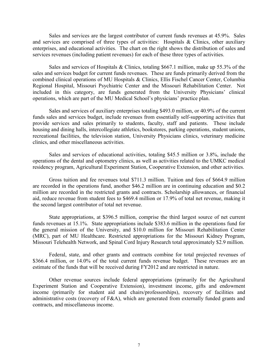Sales and services are the largest contributor of current funds revenues at 45.9%. Sales and services are comprised of three types of activities: Hospitals & Clinics, other auxiliary enterprises, and educational activities. The chart on the right shows the distribution of sales and services revenues (including patient revenues) for each of these three types of activities.

Sales and services of Hospitals & Clinics, totaling \$667.1 million, make up 55.3% of the sales and services budget for current funds revenues. These are funds primarily derived from the combined clinical operations of MU Hospitals & Clinics, Ellis Fischel Cancer Center, Columbia Regional Hospital, Missouri Psychiatric Center and the Missouri Rehabilitation Center. Not included in this category, are funds generated from the University Physicians' clinical operations, which are part of the MU Medical School's physicians' practice plan.

Sales and services of auxiliary enterprises totaling \$493.0 million, or 40.9% of the current funds sales and services budget, include revenues from essentially self-supporting activities that provide services and sales primarily to students, faculty, staff and patients. These include housing and dining halls, intercollegiate athletics, bookstores, parking operations, student unions, recreational facilities, the television station, University Physicians clinics, veterinary medicine clinics, and other miscellaneous activities.

Sales and services of educational activities, totaling \$45.5 million or 3.8%, include the operations of the dental and optometry clinics, as well as activities related to the UMKC medical residency program, Agricultural Experiment Station, Cooperative Extension, and other activities.

Gross tuition and fee revenues total \$711.3 million. Tuition and fees of \$664.9 million are recorded in the operations fund, another \$46.2 million are in continuing education and \$0.2 million are recorded in the restricted grants and contracts. Scholarship allowances, or financial aid, reduce revenue from student fees to \$469.4 million or 17.9% of total net revenue, making it the second largest contributor of total net revenue.

State appropriations, at \$396.5 million, comprise the third largest source of net current funds revenues at 15.1%. State appropriations include \$383.6 million in the operations fund for the general mission of the University, and \$10.0 million for Missouri Rehabilitation Center (MRC), part of MU Healthcare. Restricted appropriations for the Missouri Kidney Program, Missouri Telehealth Network, and Spinal Cord Injury Research total approximately \$2.9 million.

Federal, state, and other grants and contracts combine for total projected revenues of \$366.4 million, or 14.0% of the total current funds revenue budget. These revenues are an estimate of the funds that will be received during FY2012 and are restricted in nature.

Other revenue sources include federal appropriations (primarily for the Agricultural Experiment Station and Cooperative Extension), investment income, gifts and endowment income (primarily for student aid and chairs/professorships), recovery of facilities and administrative costs (recovery of F&A), which are generated from externally funded grants and contracts, and miscellaneous income.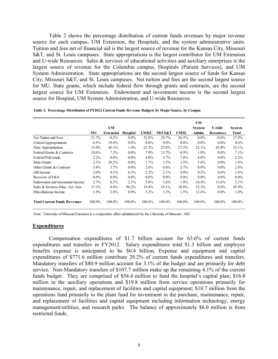Table 2 shows the percentage distribution of current funds revenues by major revenue source for each campus, UM Extension, the Hospitals, and the system administrative units. Tuition and fees net of financial aid is the largest source of revenue for the Kansas City, Missouri S&T, and St. Louis campuses. State appropriations is the largest contributor for UM Extension and U-wide Resources. Sales & services of educational activities and auxiliary enterprises is the largest source of revenue for the Columbia campus, Hospitals (Patient Services), and UM System Administration. State appropriations are the second largest source of funds for Kansas City, Missouri S&T, and St. Louis campuses. Net tuition and fees are the second largest source for MU. State grants, which include federal flow through grants and contracts, are the second largest source for UM Extension. Endowment and investment income is the second largest source for Hospital, UM System Administration, and U-wide Resources.

|  |  | Table 2. Percentage Distribution of FY2012 Current Funds Revenue Budgets by Major Source, by Campus |  |  |  |  |  |  |  |  |  |  |
|--|--|-----------------------------------------------------------------------------------------------------|--|--|--|--|--|--|--|--|--|--|
|--|--|-----------------------------------------------------------------------------------------------------|--|--|--|--|--|--|--|--|--|--|

|                                     |             | <b>UM</b>            |                            |                      |                 |               | <b>UM</b><br><b>System</b> | <b>U-wide</b>                | <b>System</b>         |
|-------------------------------------|-------------|----------------------|----------------------------|----------------------|-----------------|---------------|----------------------------|------------------------------|-----------------------|
| Net Tuition and Fees                | MU<br>21.7% | Extension<br>$-0.2%$ | <b>Hospital</b><br>$0.0\%$ | <b>UMKC</b><br>32.9% | MO S&T<br>29.7% | UMSL<br>36.3% | Admin.<br>$0.0\%$          | <b>Resources</b><br>$-0.6\%$ | <b>Total</b><br>17.9% |
| <b>Federal Appropriations</b>       | $0.5\%$     | 19.4%                | $0.0\%$                    | $0.0\%$              | $0.0\%$         | $0.0\%$       | $0.0\%$                    | $0.0\%$                      | $0.6\%$               |
| <b>State Appropriations</b>         | 15.0%       | 46.1%                | 1.4%                       | 23.3%                | 25.8%           | 27.5%         | 23.1%                      | 85.0%                        | 15.1%                 |
| Federal Grants & Contracts          | 10.6%       | 7.3%                 | $0.0\%$                    | 7.9%                 | 13.7%           | $6.9\%$       | 1.8%                       | $0.0\%$                      | 7.1%                  |
| <b>Federal Pell Grants</b>          | $2.2\%$     | $0.0\%$              | $0.0\%$                    | $4.0\%$              | 3.7%            | $7.0\%$       | $0.0\%$                    | $0.0\%$                      | $2.2\%$               |
| <b>State Grants</b>                 | 2.3%        | 20.2%                | $0.0\%$                    | 1.7%                 | 1.5%            | 1.5%          | 5.6%                       | $0.0\%$                      | 1.9%                  |
| Other Grants & Contracts            | 3.8%        | 3.7%                 | $0.0\%$                    | 2.6%                 | 8.6%            | 2.7%          | $0.0\%$                    | $0.0\%$                      | 2.8%                  |
| Gift Income                         | $2.0\%$     | 0.1%                 | $0.3\%$                    | 2.2%                 | 2.1%            | $4.0\%$       | 0.2%                       | $0.0\%$                      | 1.6%                  |
| Recovery of F&A                     | $0.0\%$     | $0.0\%$              | $0.0\%$                    | $0.0\%$              | $0.0\%$         | $0.0\%$       | $0.0\%$                    | $0.0\%$                      | $0.0\%$               |
| Endowment and Investment Income     | 2.7%        | 0.2%                 | 2.1%                       | 2.8%                 | 3.6%            | 1.8%          | 24.4%                      | 15.6%                        | 3.1%                  |
| Sales & Services-Educ, Act./Aux.    | 37.3%       | 0.4%                 | 96.2%                      | 19.4%                | $10.1\%$        | 10.8%         | 32.3%                      | $0.0\%$                      | 45.9%                 |
| Miscellaneous Income                | 1.9%        | 2.8%                 | $0.0\%$                    | 3.2%                 | 1.2%            | 1.5%          | 12.6%                      | $0.0\%$                      | 1.8%                  |
| <b>Total Current Funds Revenues</b> | 100.0%      | 100.0%               | 100.0%                     | 100.0%               | 100.0%          | 100.0%        | 100.0%                     | 100.0%                       | 100.0%                |

Note: University of Missouri Extension is a cooperative effort administered by the University of Missouri - MU

#### **Expenditures**

 Compensation expenditures of \$1.7 billion account for 63.6% of current funds expenditures and transfers in FY2012. Salary expenditures total \$1.3 billion and employee benefits expense is anticipated to be \$0.4 billion. Expense and equipment and capital expenditures of \$771.6 million contribute 29.2% of current funds expenditures and transfers. Mandatory transfers of \$80.9 million account for 3.1% of the budget and are primarily for debt service. Non-Mandatory transfers of \$107.7 million make up the remaining 4.1% of the current funds budget. They are comprised of \$54.4 million to fund the hospital's capital plan; \$16.8 million in the auxiliary operations and \$19.8 million from service operations primarily for maintenance, repair, and replacement of facilities and capital equipment; \$10.7 million from the operations fund primarily to the plant fund for investment in the purchase, maintenance, repair, and replacement of facilities and capital equipment including information technology, energy management/utilities, and research parks. The balance of approximately \$6.0 million is from restricted funds.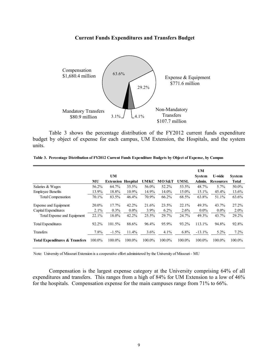### **Current Funds Expenditures and Transfers Budget**



Table 3 shows the percentage distribution of the FY2012 current funds expenditure budget by object of expense for each campus, UM Extension, the Hospitals, and the system units.

|                                |        | UM                        |          |         |         |             | <b>UM</b>               | <b>U-wide</b>    |                               |
|--------------------------------|--------|---------------------------|----------|---------|---------|-------------|-------------------------|------------------|-------------------------------|
|                                | МU     | <b>Extension Hospital</b> |          | UMKC    | MO S&T  | <b>UMSL</b> | <b>System</b><br>Admin. | <b>Resources</b> | <b>System</b><br><b>Total</b> |
| Salaries & Wages               | 56.2%  | 64.7%                     | 35.5%    | 56.0%   | 52.2%   | 53.5%       | 48.7%                   | $5.7\%$          | 50.0%                         |
| <b>Employee Benefits</b>       | 13.9%  | 18.8%                     | 10.9%    | 14.9%   | 14.0%   | 15.0%       | 15.1%                   | 45.4%            | 13.6%                         |
| <b>Total Compensation</b>      | 70.1%  | 83.5%                     | 46.4%    | 70.9%   | 66.2%   | 68.5%       | 63.8%                   | 51.1%            | 63.6%                         |
| Expense and Equipment          | 20.0%  | 17.7%                     | $42.2\%$ | 21.6%   | 23.5%   | 22.1%       | 49.3%                   | 43.7%            | 27.2%                         |
| Capital Expenditures           | 2.1%   | $0.3\%$                   | $0.0\%$  | 3.9%    | $6.2\%$ | 2.6%        | $0.0\%$                 | $0.0\%$          | $2.0\%$                       |
| Total Expense and Equipment    | 22.1%  | 18.0%                     | 42.2%    | 25.5%   | 29.7%   | 24.7%       | 49.3%                   | 43.7%            | 29.2%                         |
| <b>Total Expenditures</b>      | 92.2%  | 101.5%                    | 88.6%    | 96.4%   | 95.9%   | 93.2%       | 113.1%                  | 94.8%            | 92.8%                         |
| Transfers                      | 7.8%   | $-1.5\%$                  | $11.4\%$ | $3.6\%$ | $4.1\%$ | $6.8\%$     | $-13.1\%$               | $5.2\%$          | $7.2\%$                       |
| Total Expenditures & Transfers | 100.0% | 100.0%                    | 100.0%   | 100.0%  | 100.0%  | 100.0%      | 100.0%                  | 100.0%           | 100.0%                        |

**Table 3. Percentage Distribution of FY2012 Current Funds Expenditure Budgets by Object of Expense, by Campus**

Note: University of Missouri Extension is a cooperative effort administered by the University of Missouri - MU

 Compensation is the largest expense category at the University comprising 64% of all expenditures and transfers. This ranges from a high of 84% for UM Extension to a low of 46% for the hospitals. Compensation expense for the main campuses range from 71% to 66%.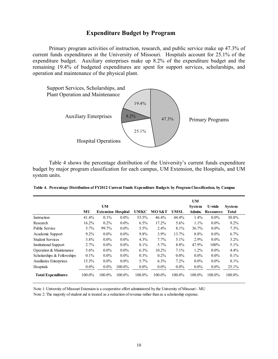## **Expenditure Budget by Program**

Primary program activities of instruction, research, and public service make up 47.3% of current funds expenditures at the University of Missouri. Hospitals account for 25.1% of the expenditure budget. Auxiliary enterprises make up 8.2% of the expenditure budget and the remaining 19.4% of budgeted expenditures are spent for support services, scholarships, and operation and maintenance of the physical plant.



Table 4 shows the percentage distribution of the University's current funds expenditure budget by major program classification for each campus, UM Extension, the Hospitals, and UM system units.

| Table 4. Percentage Distribution of FY2012 Current Funds Expenditure Budgets by Program Classification, by Campus |  |  |  |  |  |
|-------------------------------------------------------------------------------------------------------------------|--|--|--|--|--|
|-------------------------------------------------------------------------------------------------------------------|--|--|--|--|--|

|                                |         | UM                        |         |             |         |         | UM<br>System | <b>U-wide</b>    | <b>System</b> |
|--------------------------------|---------|---------------------------|---------|-------------|---------|---------|--------------|------------------|---------------|
|                                | MU      | <b>Extension Hospital</b> |         | <b>UMKC</b> | MO S&T  | UMSL    | Admin.       | <b>Resources</b> | Total         |
| Instruction                    | 41.4%   | $0.1\%$                   | $0.0\%$ | 53.5%       | 46.4%   | 44.4%   | $1.4\%$      | $0.0\%$          | 30.8%         |
| Research                       | 16.2%   | $0.2\%$                   | $0.0\%$ | 6.5%        | 17.2%   | $5.6\%$ | 1.1%         | $0.0\%$          | $9.2\%$       |
| <b>Public Service</b>          | $5.7\%$ | 99.7%                     | $0.0\%$ | 5.5%        | 2.4%    | 8.1%    | 36.7%        | $0.0\%$          | 7.3%          |
| Academic Support               | $9.2\%$ | $0.0\%$                   | $0.0\%$ | 9.8%        | 3.9%    | 13.7%   | 8.8%         | $0.0\%$          | 6.7%          |
| <b>Student Services</b>        | $3.8\%$ | $0.0\%$                   | $0.0\%$ | 4.3%        | $7.7\%$ | $5.1\%$ | $2.9\%$      | $0.0\%$          | $3.2\%$       |
| <b>Institutional Support</b>   | 2.7%    | $0.0\%$                   | $0.0\%$ | 8.1%        | 5.7%    | 8.8%    | 47.9%        | $100\%$          | 5.1%          |
| Operation & Maintenance        | $5.6\%$ | $0.0\%$                   | $0.0\%$ | $6.3\%$     | 10.2%   | 7.1%    | $1.2\%$      | $0.0\%$          | 4.4%          |
| Scholarships & Fellowships     | 0.1%    | $0.0\%$                   | $0.0\%$ | $0.3\%$     | $0.2\%$ | $0.0\%$ | $0.0\%$      | $0.0\%$          | $0.1\%$       |
| <b>Auxiliaries Enterprises</b> | 15.3%   | $0.0\%$                   | $0.0\%$ | 5.7%        | $6.3\%$ | $7.2\%$ | $0.0\%$      | $0.0\%$          | 8.1%          |
| Hospitals                      | $0.0\%$ | $0.0\%$                   | 100.0%  | $0.0\%$     | $0.0\%$ | $0.0\%$ | $0.0\%$      | $0.0\%$          | $25.1\%$      |
| <b>Total Expenditures</b>      | 100.0%  | 100.0%                    | 100.0%  | 100.0%      | 100.0%  | 100.0%  | 100.0%       | 100.0%           | 100.0%        |

Note 1: University of Missouri Extension is a cooperative effort administered by the University of Missouri - MU Note 2: The majority of student aid is treated as a reduction of revenue rather than as a scholarship expense.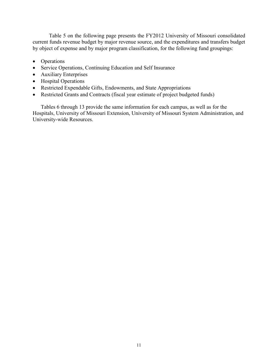Table 5 on the following page presents the FY2012 University of Missouri consolidated current funds revenue budget by major revenue source, and the expenditures and transfers budget by object of expense and by major program classification, for the following fund groupings:

- Operations
- Service Operations, Continuing Education and Self Insurance
- Auxiliary Enterprises
- Hospital Operations
- Restricted Expendable Gifts, Endowments, and State Appropriations
- Restricted Grants and Contracts (fiscal year estimate of project budgeted funds)

Tables 6 through 13 provide the same information for each campus, as well as for the Hospitals, University of Missouri Extension, University of Missouri System Administration, and University-wide Resources.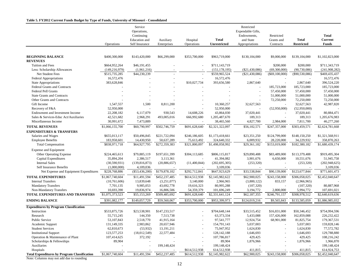#### **Table 5. FY2012 Current Funds Budget by Type of Funds, University of Missouri - Consolidated**

|                                                     | Operations      | Service<br>Operations,<br>Continuing<br>Education and<br>Self Insurance | Auxiliary<br>Enterprises | Hospital<br>Operations | <b>Total</b><br><b>Unrestricted</b> | Restricted<br>Expendable Gifts,<br>Endowments,<br>and State<br>Appropriations | Restricted<br>Grants and<br>Contracts | <b>Total</b><br><b>Restricted</b> | Total<br>Current<br><b>Funds</b> |
|-----------------------------------------------------|-----------------|-------------------------------------------------------------------------|--------------------------|------------------------|-------------------------------------|-------------------------------------------------------------------------------|---------------------------------------|-----------------------------------|----------------------------------|
|                                                     |                 |                                                                         |                          |                        |                                     |                                                                               |                                       |                                   |                                  |
| <b>BEGINNING BALANCE</b><br><b>REVENUES</b>         | \$400,300,000   | \$143,420,000                                                           | \$66,299,000             | \$353,700,000          | \$963,719,000                       | \$130,104,000                                                                 | \$9,000,000                           | \$139,104,000                     | \$1,102,823,000                  |
| Tuition and Fees                                    | \$664,952,264   | \$46,191,455                                                            | $\sim$                   |                        | \$711,143,719                       | $\overline{a}$                                                                | \$200,000                             | \$200,000                         | \$711,343,719                    |
| Less: Scholarship Allowances                        | (149, 216, 979) | (1,961,216)                                                             |                          |                        | (151, 178, 195)                     | (\$21,430,086)                                                                | (69,300,000)                          | (90, 730, 086)                    | (241, 908, 282)                  |
| Net Student Fees                                    | \$515,735,285   | \$44,230,239                                                            |                          |                        | \$559,965,524                       | (\$21,430,086)                                                                | $(\$69,100,000)$                      | $(\$90,530,086)$                  | \$469,435,437                    |
| <b>Federal Appropriations</b>                       | 16,572,476      |                                                                         |                          |                        | 16,572,476                          |                                                                               |                                       |                                   | 16,572,476                       |
| <b>State Appropriations</b>                         | 383,628,846     |                                                                         |                          | \$10,027,734           | 393,656,580                         | 2,867,640                                                                     |                                       | 2,867,640                         | 396,524,220                      |
| Federal Grants and Contracts                        |                 |                                                                         |                          |                        |                                     |                                                                               | 185,723,000                           | 185,723,000                       | 185,723,000                      |
| <b>Federal Pell Grants</b>                          |                 |                                                                         |                          |                        |                                     |                                                                               | 57,450,000                            | 57,450,000                        | 57,450,000                       |
| <b>State Grants and Contracts</b>                   |                 |                                                                         |                          |                        |                                     |                                                                               | 51,000,000                            | 51,000,000                        | 51,000,000                       |
| Other Grants and Contracts                          |                 |                                                                         |                          |                        |                                     |                                                                               | 72,250,000                            | 72,250,000                        | 72,250,000                       |
| Gift Income                                         | 1,547,557       | 1,500                                                                   | 8,811,200                |                        | 10,360,257                          | 32,627,563                                                                    |                                       | 32,627,563                        | 42,987,820                       |
| Recovery of F&A                                     | 52,950,000      |                                                                         |                          |                        | 52,950,000                          |                                                                               | (52,950,000)                          | (52,950,000)                      |                                  |
| Endowment and Investment Income                     | 22,208,182      | 6,117,079                                                               | 930,543                  | 14,608,226             | 43,864,030                          | 37,020,441                                                                    |                                       | 37,020,441                        | 80,884,471                       |
| Sales & Services-Educ Act/Auxiliaries               | 42,521,682      | 2,968,291                                                               | 493,005,016              | 666,992,680            | 1,205,487,670                       | 189,313                                                                       |                                       | 189,313                           | 1,205,676,983                    |
| Miscellaneous Income                                | 30,991,672      | 7,473,889                                                               |                          |                        | 38,465,560                          | 4,827,700                                                                     | 2,984,000                             | 7,811,700                         | 46,277,260                       |
| <b>TOTAL REVENUES</b>                               | \$1,066,155,700 | \$60,790,997                                                            | \$502,746,759            | \$691,628,640          | \$2,321,322,097                     | \$56,102,571                                                                  | \$247,357,000                         | \$303,459,571                     | \$2,624,781,668                  |
| <b>EXPENDITURES &amp; TRANSFERS</b>                 |                 |                                                                         |                          |                        |                                     |                                                                               |                                       |                                   |                                  |
| Salaries and Wages                                  | \$655,013,117   | \$50,496,845                                                            | \$221,722,094            | \$246,186,605          | \$1,173,418,661                     | \$23,351,250                                                                  | \$124,799,000                         | \$148,150,250                     | \$1,321,568,911                  |
| <b>Employee Benefits</b>                            | 183,958,601     | 14,430,950                                                              | 50,637,289               | 75,613,492             | 324,640,332                         | 6,009,932                                                                     | 28,220,000                            | 34,229,932                        | 358,870,263                      |
| <b>Total Compensation</b>                           | \$838,971,718   | \$64,927,795                                                            | \$272,359,383            | \$321,800,097          | \$1,498,058,992                     | \$29,361,182                                                                  | \$153,019,000                         | \$182,380,182                     | \$1,680,439,174                  |
| Expense and Equipment                               |                 |                                                                         |                          |                        |                                     |                                                                               |                                       |                                   |                                  |
| Other Operating Expense                             | \$224,465,613   | \$79,885,119                                                            | \$197,651,399            | \$304,113,685          | \$806,115,817                       | \$29,890,488                                                                  | \$83,489,000                          | \$113,379,488                     | \$919,495,304                    |
| Capital Expenditures                                | 35,894,204      | 2,386,517                                                               | 3,113,361                |                        | 41,394,082                          | 3,901,676                                                                     | 6,650,000                             | 10,551,676                        | 51,945,758                       |
| <b>Internal Sales</b>                               | (30,590,931)    | (139, 816, 873)                                                         | (20, 886, 657)           | (11,400,844)           | (202, 695, 305)                     | (253, 320)                                                                    | $\sim$                                | (253, 320)                        | (202, 948, 625)                  |
| Self Insurance Benefits                             | (1,000,000)     | 4,109,036                                                               |                          |                        | 3,109,036                           |                                                                               |                                       |                                   | 3,109,036                        |
| Net Expense and Equipment Expenditures              | \$228,768,886   | $(\$53,436,200)$                                                        | \$179,878,102            | \$292,712,841          | \$647,923,629                       | \$33,538,844                                                                  | \$90,139,000                          | \$123,677,844                     | \$771,601,473                    |
| <b>TOTAL EXPENDITURES</b>                           | \$1,067,740,604 | \$11,491,594                                                            | \$452,237,485            | \$614,512,938          | \$2,145,982,622                     | \$62,900,025                                                                  | \$243,158,000                         | \$306,058,025                     | \$2,452,040,647                  |
| <b>Internal Transfers</b>                           | (10,761,606)    | 13,839,648                                                              | (3,251,077)              | 3,140,000              | 2,966,965                           | (3,800,122)                                                                   | 833,157                               | (2,966,965)                       |                                  |
| <b>Mandatory Transfers</b>                          | 7,701,135       | 9,985,053                                                               | 43,692,778               | 19,616,323             | 80,995,288                          | (107, 320)                                                                    |                                       | (107, 320)                        | 80,887,968                       |
| Non-Mandatory Transfers                             | 10,693,390      | 19,836,974                                                              | 16,806,506               | 54,359,379             | 101,696,249                         | 3,194,772                                                                     | 2,800,000                             | 5,994,772                         | 107,691,021                      |
| TOTAL EXPENDITURES AND TRANSFERS                    | \$1,075,373,523 | \$55,153,269                                                            | \$509,485,692            | \$691,628,640          | \$2,331,641,124                     | \$62,187,355                                                                  | \$246,791,157                         | \$308,978,512                     | \$2,640,619,636                  |
| <b>ENDING BALANCE</b>                               | \$391,082,177   | \$149,057,729                                                           | \$59,560,067             | \$353,700,000          | \$953,399,973                       | \$124,019,216                                                                 | \$9,565,843                           | \$133,585,059                     | \$1,086,985,032                  |
| <b>Expenditures by Program Classification</b>       |                 |                                                                         |                          |                        |                                     |                                                                               |                                       |                                   |                                  |
| Instruction                                         | \$533,875,726   | \$23,538,901                                                            | \$147,233,517            |                        | \$704,648,144                       | \$33,515,452                                                                  | \$16,831,000                          | \$50,346,452                      | \$754,994,596                    |
| Research                                            | 55,715,245      | 144,350                                                                 | 7,513,738                |                        | 63,373,334                          | 5,433,088                                                                     | 157,426,000                           | 162,859,088                       | 226, 232, 422                    |
| <b>Public Service</b>                               | 53,107,843      | 2,518,770                                                               | 41,915,164               |                        | 97,541,777                          | 12,924,754                                                                    | 68,901,000                            | 81,825,754                        | 179,367,531                      |
| Academic Support                                    | 131,149,335     | 2.983.862                                                               | 20.657.946               |                        | 154,791,143                         | 5.037.003                                                                     |                                       | 5.037.003                         | 159,828,146                      |
| <b>Student Services</b>                             | 62,810,673      | (53, 932)                                                               | 13,191,211               |                        | 75,947,952                          | 1,624,830                                                                     | $\overline{a}$                        | 1,624,830                         | 77,572,782                       |
| <b>Institutional Support</b>                        | 123,577,253     | (18,012,549)                                                            | 22,577,484               |                        | 128, 142, 188                       | 1,646,693                                                                     |                                       | 1,646,693                         | 129,788,880                      |
| Operation & Maintenance of Plant                    | 107,414,625     | 372,192                                                                 |                          |                        | 107,786,817                         | 429,425                                                                       |                                       | 429,425                           | 108,216,242                      |
| Scholarships & Fellowships                          | 89,904          |                                                                         |                          |                        | 89,904                              | 1,876,966                                                                     |                                       | 1,876,966                         | 1,966,870                        |
| Auxiliaries                                         |                 |                                                                         | 199,148,424              |                        | 199,148,424                         |                                                                               |                                       |                                   | 199,148,424                      |
| Hospitals                                           |                 |                                                                         |                          | \$614,512,938          | 614,512,938                         | 411,815                                                                       |                                       | 411,815                           | 614,924,753                      |
| <b>Total Expenditures by Program Classification</b> | \$1,067,740,604 | \$11,491,594                                                            | \$452,237,485            | \$614,512,938          | \$2,145,982,622                     | \$62,900,025                                                                  | \$243,158,000                         | \$306,058,025                     | \$2,452,040,647                  |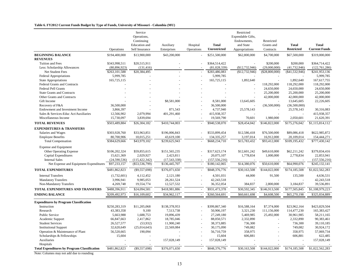#### **Table 6. FY2012 Current Funds Budget by Type of Funds, University of Missouri - Columbia (MU)**

|                                                      |                                | Service                             |                                 |                |                                  | Restricted        |                |                   |                                  |
|------------------------------------------------------|--------------------------------|-------------------------------------|---------------------------------|----------------|----------------------------------|-------------------|----------------|-------------------|----------------------------------|
|                                                      |                                | Operations,                         |                                 |                |                                  | Expendable Gifts, |                |                   |                                  |
|                                                      |                                | Continuing                          |                                 |                |                                  | Endowments,       | Restricted     |                   |                                  |
|                                                      |                                | Education and                       | Auxiliary                       | Hospital       | <b>Total</b>                     | and State         | Grants and     | <b>Total</b>      | <b>Total</b>                     |
|                                                      | Operations                     | Self Insurance                      | Enterprises                     | Operations     | Unrestricted                     | Appropriations    | Contracts      | <b>Restricted</b> | <b>Current Funds</b>             |
| <b>BEGINNING BALANCE</b>                             | \$194,400,000                  | \$13,900,000                        | \$43,200,000                    | $\omega$       | \$251,500,000                    | \$62,800,000      | \$4,700,000    | \$67,500,000      | \$319,000,000                    |
| <b>REVENUES</b>                                      |                                |                                     |                                 |                |                                  |                   |                |                   |                                  |
| Tuition and Fees                                     | \$343,998,511                  | \$20,515,911                        |                                 |                | \$364,514,422                    |                   | \$200,000      | \$200,000         | \$364,714,422                    |
| Less: Scholarship Allowances                         | (80, 896, 923)                 | (131, 416)                          |                                 |                | (81,028,339)                     | (\$12,732,946)    | (29,000,000)   | (41, 732, 946)    | (122, 761, 286)                  |
| Net Student Fees                                     | \$263,101,588                  | \$20,384,495                        |                                 | $\mathbb{Z}$   | \$283,486,083                    | (\$12,732,946)    | (\$28,800,000) | (\$41,532,946)    | \$241,953,136                    |
| Federal Appropriations                               | 5,999,785                      |                                     |                                 |                | 5,999,785                        |                   |                |                   | 5,999,785                        |
| <b>State Appropriations</b>                          | 165,725,115                    |                                     |                                 |                | 165,725,115                      | 1,892,640         | $\overline{a}$ | 1,892,640         | 167,617,755                      |
| Federal Grants and Contracts                         |                                |                                     |                                 |                |                                  |                   | 118,292,000    | 118,292,000       | 118,292,000                      |
| <b>Federal Pell Grants</b>                           |                                |                                     |                                 |                |                                  |                   | 24,650,000     | 24,650,000        | 24,650,000                       |
| <b>State Grants and Contracts</b>                    |                                |                                     |                                 |                |                                  |                   | 25,200,000     | 25,200,000        | 25,200,000                       |
| Other Grants and Contracts                           |                                |                                     |                                 |                |                                  |                   | 42,000,000     | 42,000,000        | 42,000,000                       |
| Gift Income                                          |                                |                                     | \$8,581,000                     |                | 8,581,000                        | 13,645,605        |                | 13,645,605        | 22,226,605                       |
| Recovery of F&A                                      | 36,500,000                     |                                     |                                 |                | 36,500,000                       |                   | (36,500,000)   | (36,500,000)      |                                  |
| Endowment and Investment Income                      | 3,866,397                      |                                     | 871,543                         | ÷,             | 4,737,940                        | 25,578,143        |                | 25,578,143        | 30,316,083                       |
| Sales & Services-Educ Act/Auxiliaries                | 12,566,902                     | 2,079,994                           | 401,291,460                     |                | 415,938,357                      |                   |                | $\overline{a}$    | 415,938,357                      |
| Miscellaneous Income                                 | 15,730,097                     | 3,839,694                           |                                 |                | 19,569,790                       | 70,601            | 1,980,000      | 2,050,601         | 21,620,391                       |
| <b>TOTAL REVENUES</b>                                | \$503.489.884                  | \$26,304,182                        | \$410,744,003                   |                | \$940,538,070                    | \$28,454,042      | \$146,822,000  | \$175,276,042     | \$1,115,814,112                  |
| <b>EXPENDITURES &amp; TRANSFERS</b>                  |                                |                                     |                                 |                |                                  |                   |                |                   |                                  |
| Salaries and Wages                                   | \$303,928,760                  | \$33,963,851                        | \$196,006,843                   |                | \$533,899,454                    | \$12,586,418      | \$76,500,000   | \$89,086,418      | \$622,985,872                    |
| <b>Employee Benefits</b>                             | 80,700,906                     | 10,015,251                          | 43,619,100                      |                | 134,335,257                      | 3,197,014         | 16,912,000     | 20,109,014        | 154,444,271                      |
| <b>Total Compensation</b>                            | \$384,629,666                  | \$43,979,102                        | \$239,625,943                   | $\overline{a}$ | \$668,234,710                    | \$15,783,432      | \$93,412,000   | \$109,195,432     | \$777,430,142                    |
|                                                      |                                |                                     |                                 |                |                                  |                   |                |                   |                                  |
| <b>Expense and Equipment</b>                         |                                |                                     |                                 |                |                                  |                   |                |                   | \$379,834,416                    |
| Other Operating Expense                              | \$106,202,324                  | \$59,855,615                        | \$151,565,235                   |                | \$317,623,174                    | \$12,601,242      | \$49,610,000   | \$62,211,242      | 22.853.941                       |
| <b>Capital Expenditures</b><br><b>Internal Sales</b> | 15,621,369                     | 2,029,927                           | 2,423,811                       | ÷.             | 20,075,107                       | 1,778,834         | 1,000,000      | 2,778,834         |                                  |
|                                                      | (24, 590, 536)<br>\$97,233,157 | (115, 422, 342)<br>$(\$53,536,799)$ | (17, 543, 338)<br>\$136,445,707 | $\sim$         | (157, 556, 216)<br>\$180,142,065 | \$14,380,076      | \$50,610,000   | \$64,990,076      | (157, 556, 216)<br>\$245,132,141 |
| Net Expense and Equipment Expenditures               |                                |                                     |                                 |                |                                  |                   |                |                   |                                  |
| <b>TOTAL EXPENDITURES</b>                            | \$481,862,823                  | (\$9,557,698)                       | \$376,071,650                   | $\blacksquare$ | \$848,376,776                    | \$30,163,508      | \$144,022,000  | \$174,185,508     | \$1,022,562,283                  |
| <b>Internal Transfers</b>                            | (1,732,601)                    | 4,112,452                           | 2,121,180                       | ÷,             | 4,501,031                        | 44,000            | 91,500         | 135,500           | 4,636,531                        |
| <b>Mandatory Transfers</b>                           | 3,996,941                      | 9,985,053                           | 28,261,524                      |                | 42,243,518                       |                   |                |                   | 42,243,518                       |
| Non-Mandatory Transfers                              | 4,269,748                      | 19,554,774                          | 12,527,532                      |                | 36,352,054                       | 384,837           | 2,800,000      | 3,184,837         | 39,536,891                       |
| <b>TOTAL EXPENDITURES AND TRANSFERS</b>              | \$488,396,911                  | \$24,094,581                        | \$418,981,886                   |                | \$931,473,378                    | \$30,592,345      | \$146,913,500  | \$177,505,845     | \$1,108,979,223                  |
| <b>ENDING BALANCE</b>                                | \$209,492,973                  | \$16,109,602                        | \$34,962,117                    | $\sim$         | \$260,564,691                    | \$60,661,698      | \$4,608,500    | \$65,270,198      | \$325,834,889                    |
|                                                      |                                |                                     |                                 |                |                                  |                   |                |                   |                                  |
| <b>Expenditures by Program Classification</b>        |                                |                                     |                                 |                |                                  |                   |                |                   |                                  |
| Instruction                                          | \$250,283,319                  | \$11,205,068                        | \$138,378,953                   |                | \$399,867,340                    | \$16,588,164      | \$7,374,000    | \$23,962,164      | \$423,829,504                    |
| Research                                             | 43,383,358                     | 9,100                               | 7,513,738                       |                | 50,906,197                       | 3,321,230         | 111,156,000    | 114,477,230       | 165,383,427                      |
| <b>Public Service</b>                                | 5,663,988                      | 1,688,753                           | 19,896,439                      |                | 27,249,180                       | 5,469,985         | 25,492,000     | 30,961,985        | 58.211.165                       |
| Academic Support                                     | 66,847,663                     | 2,417,862                           | 18,785,046                      | ÷,             | 88,050,571                       | 2,332,890         |                | 2,332,890         | 90,383,461                       |
| <b>Student Services</b>                              | 26,527,577                     | (53, 932)                           | 11,900,240                      | $\overline{a}$ | 38,373,885                       | 736,300           | $\overline{a}$ | 736,300           | 39,110,185                       |
| <b>Institutional Support</b>                         | 32,620,649                     | (25,014,643)                        | 22,569,084                      |                | 30,175,090                       | 749,082           |                | 749,082           | 30,924,172                       |
| Operation & Maintenance of Plant                     | 56,520,665                     | 190,094                             |                                 | ÷              | 56,710,759                       | 358,975           |                | 358,975           | 57,069,734                       |
| Scholarships & Fellowships                           | 15,604                         |                                     |                                 |                | 15,604                           | 606,881           | $\overline{a}$ | 606,881           | 622,485                          |
| Auxiliaries                                          |                                |                                     | 157,028,149                     |                | 157,028,149                      |                   |                |                   | 157,028,149                      |
| Hospitals                                            |                                |                                     |                                 |                |                                  |                   |                |                   |                                  |
| <b>Total Expenditures by Program Classification</b>  | \$481.862.823                  | (\$9,557,698)                       | \$376,071,650                   |                | \$848,376,776                    | \$30,163,508      | \$144,022,000  | \$174,185,508     | \$1,022,562,283                  |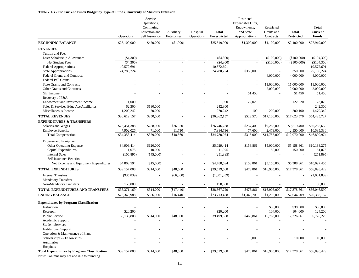#### **Table 7. FY2012 Current Funds Budget by Type of Funds, University of Missouri Extension**

|                                                                  | Operations   | Service<br>Operations,<br>Continuing<br>Education and<br>Self Insurance | Auxiliary<br>Enterprises | Hospital<br>Operations   | <b>Total</b><br><b>Unrestricted</b> | Restricted<br>Expendable Gifts,<br>Endowments,<br>and State<br>Appropriations | Restricted<br>Grants and<br>Contracts | <b>Total</b><br><b>Restricted</b> | <b>Total</b><br><b>Current</b><br><b>Funds</b> |
|------------------------------------------------------------------|--------------|-------------------------------------------------------------------------|--------------------------|--------------------------|-------------------------------------|-------------------------------------------------------------------------------|---------------------------------------|-----------------------------------|------------------------------------------------|
| <b>BEGINNING BALANCE</b>                                         | \$25,100,000 | \$420,000                                                               | (\$1,000)                |                          | \$25,519,000                        | \$1,300,000                                                                   | \$1,100,000                           | \$2,400,000                       | \$27,919,000                                   |
| <b>REVENUES</b>                                                  |              |                                                                         |                          |                          |                                     |                                                                               |                                       |                                   |                                                |
| Tuition and Fees                                                 |              |                                                                         |                          |                          |                                     |                                                                               |                                       |                                   |                                                |
| Less: Scholarship Allowances                                     | $(\$4,300)$  |                                                                         |                          |                          | $(\$4,300)$                         |                                                                               | $(\$100,000)$                         | (\$100,000)                       | (\$104,300)                                    |
| Net Student Fees                                                 | $(\$4,300)$  |                                                                         |                          |                          | (\$4,300)                           | $\overline{\phantom{a}}$                                                      | (\$100,000)                           | (\$100,000)                       | (\$104,300)                                    |
| <b>Federal Appropriations</b>                                    | 10,572,691   |                                                                         |                          |                          | 10,572,691                          |                                                                               |                                       | $\overline{\phantom{a}}$          | 10,572,691                                     |
| <b>State Appropriations</b>                                      | 24,780,224   |                                                                         |                          |                          | 24,780,224                          | \$350,000                                                                     |                                       | 350,000                           | 25,130,224                                     |
| <b>Federal Grants and Contracts</b>                              |              |                                                                         |                          |                          |                                     |                                                                               | 4,000,000                             | 4,000,000                         | 4,000,000                                      |
| <b>Federal Pell Grants</b>                                       |              |                                                                         |                          |                          |                                     |                                                                               |                                       |                                   |                                                |
| <b>State Grants and Contracts</b>                                |              |                                                                         |                          |                          |                                     | $\overline{\phantom{a}}$                                                      | 11,000,000                            | 11,000,000                        | 11,000,000                                     |
| Other Grants and Contracts                                       |              |                                                                         |                          |                          |                                     |                                                                               | 2,000,000                             | 2,000,000                         | 2,000,000                                      |
| Gift Income                                                      |              |                                                                         |                          |                          |                                     | 51,450                                                                        | $\overline{a}$                        | 51,450                            | 51,450                                         |
| Recovery of F&A                                                  |              |                                                                         |                          |                          |                                     |                                                                               |                                       |                                   |                                                |
| Endowment and Investment Income                                  | 1,000        |                                                                         |                          |                          | 1,000                               | 122,020                                                                       |                                       | 122,020                           | 123,020                                        |
| Sales & Services-Educ Act/Auxiliaries                            | 62,300       | \$180,000                                                               |                          |                          | 242,300                             |                                                                               |                                       |                                   | 242,300                                        |
| Miscellaneous Income                                             | 1,200,242    | 70,000                                                                  |                          |                          | 1,270,242                           | 100                                                                           | 200,000                               | 200,100                           | 1,470,342                                      |
| <b>TOTAL REVENUES</b>                                            | \$36,612,157 | $\overline{$}250,000$                                                   |                          |                          | \$36,862,157                        | \$523,570                                                                     | $\overline{$17,100,000}$              | \$17,623,570                      | \$54,485,727                                   |
| <b>EXPENDITURES &amp; TRANSFERS</b>                              |              |                                                                         |                          |                          |                                     |                                                                               |                                       |                                   |                                                |
| Salaries and Wages                                               | \$26,451,388 | \$258,000                                                               | \$36,850                 |                          | \$26,746,238                        | \$237,400                                                                     | \$9,282,000                           | \$9,519,400                       | \$36,265,638                                   |
| <b>Employee Benefits</b>                                         | 7,902,026    | 71,000                                                                  | 11,710                   |                          | 7,984,736                           | 77,600                                                                        | 2,473,000                             | 2,550,600                         | 10,535,336                                     |
| <b>Total Compensation</b>                                        | \$34,353,414 | \$329,000                                                               | \$48,560                 | $\overline{a}$           | \$34,730,974                        | \$315,000                                                                     | \$11,755,000                          | \$12,070,000                      | \$46,800,974                                   |
| <b>Expense and Equipment</b>                                     |              |                                                                         |                          |                          |                                     |                                                                               |                                       |                                   |                                                |
| Other Operating Expense                                          | \$4,909,414  | \$120,000                                                               |                          |                          | \$5,029,414                         | \$158,861                                                                     | \$5,000,000                           | \$5,158,861                       | \$10,188,275                                   |
| Capital Expenditures                                             | 1,075        | 10,000                                                                  |                          |                          | 11,075                              |                                                                               | 150,000                               | 150,000                           | 161,075                                        |
| <b>Internal Sales</b>                                            | (106, 895)   | (145,000)                                                               |                          |                          | (251, 895)                          |                                                                               |                                       |                                   | (251, 895)                                     |
| <b>Self Insurance Benefits</b>                                   |              |                                                                         |                          |                          |                                     |                                                                               |                                       |                                   |                                                |
| Net Expense and Equipment Expenditures                           | \$4,803,594  | (\$15,000)                                                              |                          | $\overline{a}$           | \$4,788,594                         | \$158,861                                                                     | \$5,150,000                           | \$5,308,861                       | \$10,097,455                                   |
| <b>TOTAL EXPENDITURES</b>                                        | \$39,157,008 | \$314,000                                                               | \$48,560                 |                          | \$39,519,568                        | \$473,861                                                                     | \$16,905,000                          | \$17,378,861                      | \$56,898,429                                   |
| <b>Internal Transfers</b>                                        | (935, 839)   |                                                                         | (66,000)                 |                          | (1,001,839)                         |                                                                               |                                       |                                   | (1,001,839)                                    |
| <b>Mandatory Transfers</b>                                       |              |                                                                         |                          |                          |                                     |                                                                               |                                       |                                   |                                                |
| Non-Mandatory Transfers                                          | 150,000      |                                                                         |                          |                          | 150,000                             |                                                                               |                                       |                                   | 150,000                                        |
| TOTAL EXPENDITURES AND TRANSFERS                                 | \$38,371,169 | \$314,000                                                               | (\$17,440)               |                          | \$38,667,729                        | \$473,861                                                                     | \$16,905,000                          | \$17,378,861                      | \$56,046,590                                   |
| <b>ENDING BALANCE</b>                                            | \$23,340,988 | \$356,000                                                               | \$16,440                 |                          | \$23,713,428                        | \$1,349,709                                                                   | \$1,295,000                           | \$2,644,709                       | \$26,358,137                                   |
|                                                                  |              |                                                                         |                          |                          |                                     |                                                                               |                                       |                                   |                                                |
| <b>Expenditures by Program Classification</b>                    |              |                                                                         |                          |                          |                                     |                                                                               |                                       |                                   |                                                |
| Instruction                                                      |              |                                                                         |                          |                          |                                     |                                                                               | \$38,000                              | \$38,000                          | \$38,000                                       |
| Research                                                         | \$20,200     |                                                                         |                          |                          | \$20,200                            |                                                                               | 104,000                               | 104,000                           | 124,200                                        |
| <b>Public Service</b>                                            | 39.136.808   | \$314,000                                                               | \$48,560                 |                          | 39,499,368                          | \$463,861                                                                     | 16,763,000                            | 17,226,861                        | 56,726,229                                     |
| Academic Support                                                 |              |                                                                         |                          |                          |                                     |                                                                               |                                       |                                   |                                                |
| <b>Student Services</b>                                          |              |                                                                         |                          |                          |                                     |                                                                               |                                       |                                   |                                                |
| <b>Institutional Support</b><br>Operation & Maintenance of Plant |              |                                                                         |                          |                          |                                     |                                                                               |                                       |                                   |                                                |
|                                                                  |              |                                                                         |                          |                          |                                     |                                                                               |                                       |                                   |                                                |
| Scholarships & Fellowships<br>Auxiliaries                        |              |                                                                         |                          |                          |                                     | 10,000                                                                        |                                       | 10,000                            | 10,000                                         |
| Hospitals                                                        |              |                                                                         |                          |                          |                                     |                                                                               |                                       |                                   |                                                |
| <b>Total Expenditures by Program Classification</b>              | \$39,157,008 | \$314,000                                                               | \$48,560                 | $\overline{\phantom{a}}$ | \$39,519,568                        | \$473,861                                                                     | \$16,905,000                          | \$17,378,861                      | \$56,898,429                                   |
|                                                                  |              |                                                                         |                          |                          |                                     |                                                                               |                                       |                                   |                                                |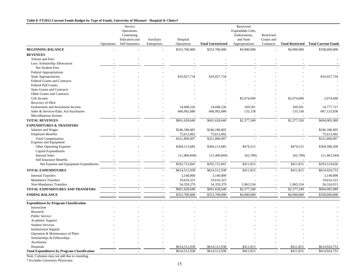#### **Table 8. FY2012 Current Funds Budget by Type of Funds, University of Missouri - Hospital & Clinics\***

|                                                     |            | Service        |             |               |                           | Restricted        |            |                         |                            |
|-----------------------------------------------------|------------|----------------|-------------|---------------|---------------------------|-------------------|------------|-------------------------|----------------------------|
|                                                     |            | Operations,    |             |               |                           | Expendable Gifts, |            |                         |                            |
|                                                     |            | Continuing     |             |               |                           | Endowments,       | Restricted |                         |                            |
|                                                     |            | Education and  | Auxiliary   | Hospital      |                           | and State         | Grants and |                         |                            |
|                                                     | Operations | Self Insurance | Enterprises | Operations    | <b>Total Unrestricted</b> | Appropriations    | Contracts  | <b>Total Restricted</b> | <b>Total Current Funds</b> |
| <b>BEGINNING BALANCE</b>                            |            |                |             | \$353,700,000 | \$353,700,000             | \$4,900,000       |            | \$4,900,000             | \$358,600,000              |
| <b>REVENUES</b>                                     |            |                |             |               |                           |                   |            |                         |                            |
| Tuition and Fees                                    |            |                |             |               |                           |                   |            |                         |                            |
| Less: Scholarship Allowances                        |            |                |             |               |                           |                   |            |                         |                            |
| Net Student Fees                                    |            |                |             |               |                           |                   |            |                         |                            |
| Federal Appropriations                              |            |                |             |               |                           |                   |            |                         |                            |
| <b>State Appropriations</b>                         |            |                |             | \$10,027,734  | \$10,027,734              |                   |            |                         | \$10,027,734               |
| Federal Grants and Contracts                        |            |                |             |               |                           |                   |            |                         |                            |
| <b>Federal Pell Grants</b>                          |            |                |             |               |                           |                   |            |                         |                            |
| <b>State Grants and Contracts</b>                   |            |                |             |               |                           |                   |            |                         |                            |
| Other Grants and Contracts                          |            |                |             |               |                           |                   |            |                         |                            |
| Gift Income                                         |            |                |             |               |                           | \$2,074,690       |            | \$2,074,690             | 2,074,690                  |
| Recovery of F&A                                     |            |                |             |               |                           |                   |            |                         |                            |
| Endowment and Investment Income                     |            |                |             | 14,608,226    | 14,608,226                | 169,501           |            | 169,501                 | 14,777,727                 |
| Sales & Services-Educ Act/Auxiliaries               |            |                |             | 666,992,680   | 666,992,680               | 133,158           |            | 133,158                 | 667,125,838                |
| Miscellaneous Income                                |            |                |             |               |                           |                   |            |                         |                            |
| <b>TOTAL REVENUES</b>                               |            |                |             | \$691,628,640 | \$691,628,640             | \$2,377,349       |            | \$2,377,350             | \$694,005,989              |
| <b>EXPENDITURES &amp; TRANSFERS</b>                 |            |                |             |               |                           |                   |            |                         |                            |
| Salaries and Wages                                  |            |                |             | \$246,186,605 | \$246,186,605             |                   |            |                         | \$246,186,605              |
| <b>Employee Benefits</b>                            |            |                |             | 75,613,492    | 75,613,492                |                   |            |                         | 75,613,492                 |
| <b>Total Compensation</b>                           |            |                |             | \$321,800,097 | \$321,800,097             |                   |            |                         | \$321,800,097              |
| <b>Expense and Equipment</b>                        |            |                |             |               |                           |                   |            |                         |                            |
| Other Operating Expense                             |            |                |             | \$304,113,685 | \$304,113,685             | \$474,515         |            | \$474,515               | \$304,588,200              |
| Capital Expenditures                                |            |                |             |               |                           |                   |            |                         |                            |
| <b>Internal Sales</b>                               |            |                |             | (11,400,844)  | (11,400,844)              | (62,700)          |            | (62,700)                | (11, 463, 544)             |
| Self Insurance Benefits                             |            |                |             |               |                           |                   |            |                         |                            |
| Net Expense and Equipment Expenditures              |            |                |             | \$292,712,841 | \$292,712,841             | \$411,815         | $\sim$     | \$411,815               | \$293,124,656              |
| <b>TOTAL EXPENDITURES</b>                           |            |                |             | \$614,512,938 | \$614,512,938             | \$411,815         | $\sim$     | \$411,815               | \$614,924,753              |
| <b>Internal Transfers</b>                           |            |                |             | 3,140,000     | 3,140,000                 |                   |            |                         | 3,140,000                  |
| <b>Mandatory Transfers</b>                          |            |                |             | 19,616,323    | 19,616,323                |                   |            |                         | 19,616,323                 |
| Non-Mandatory Transfers                             |            |                |             | 54,359,379    | 54,359,379                | 1,965,534         |            | 1,965,534               | 56,324,913                 |
| <b>TOTAL EXPENDITURES AND TRANSFERS</b>             |            |                | $\sim$      | \$691,628,640 | \$691,628,640             | \$2,377,349       |            | \$2,377,349             | \$694,005,989              |
| <b>ENDING BALANCE</b>                               |            |                | $\sim$      | \$353,700,000 | \$353,700,000             | \$4,900,000       | $\sim$     | \$4,900,000             | \$358,600,000              |
|                                                     |            |                |             |               |                           |                   |            |                         |                            |
| <b>Expenditures by Program Classification</b>       |            |                |             |               |                           |                   |            |                         |                            |
| Instruction                                         |            |                |             |               |                           |                   |            |                         |                            |
| Research                                            |            |                |             |               |                           |                   |            |                         |                            |
| <b>Public Service</b>                               |            |                |             |               |                           |                   |            |                         |                            |
| Academic Support                                    |            |                |             |               |                           |                   |            |                         |                            |
| <b>Student Services</b>                             |            |                |             |               |                           |                   |            |                         |                            |
| <b>Institutional Support</b>                        |            |                |             |               |                           |                   |            |                         |                            |
| Operation & Maintenance of Plant                    |            |                |             |               |                           |                   |            |                         |                            |
| Scholarships & Fellowships                          |            |                |             |               |                           |                   |            |                         |                            |
| Auxiliaries                                         |            |                |             |               |                           |                   |            |                         |                            |
| Hospitals                                           |            |                |             | \$614,512,938 | \$614,512,938             | \$411,815         |            | \$411,815               | \$614,924,753              |
| <b>Total Expenditures by Program Classification</b> |            |                |             | \$614,512,938 | \$614,512,938             | \$411,815         |            | \$411,815               | \$614,924,753              |

Note: Columns may not add due to rounding.

\* Excludes University Physicians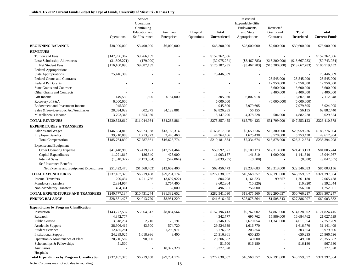#### **Table 9. FY2012 Current Funds Budget by Type of Funds, University of Missouri - Kansas City**

|                                                     |                          | Service<br>Operations,<br>Continuing<br>Education and | Auxiliary    | Hospital                 | Total                    | Restricted<br>Expendable Gifts,<br>Endowments,<br>and State | Restricted<br>Grants and | <b>Total</b>      | <b>Total</b>           |
|-----------------------------------------------------|--------------------------|-------------------------------------------------------|--------------|--------------------------|--------------------------|-------------------------------------------------------------|--------------------------|-------------------|------------------------|
|                                                     | Operations               | Self Insurance                                        | Enterprises  | Operations               | Unrestricted             | Appropriations                                              | Contracts                | <b>Restricted</b> | <b>Current Funds</b>   |
| <b>BEGINNING BALANCE</b>                            | \$38,900,000             | \$3,400,000                                           | \$6,000,000  |                          | \$48,300,000             | \$28,600,000                                                | \$2,000,000              | \$30,600,000      | \$78,900,000           |
| <b>REVENUES</b>                                     |                          |                                                       |              |                          |                          |                                                             |                          |                   |                        |
| Tuition and Fees                                    | \$147,996,367            | \$9,266,139                                           |              |                          | \$157,262,506            |                                                             |                          |                   | \$157,262,506          |
| Less: Scholarship Allowances                        | (31,896,271)             | (179,000)                                             |              |                          | (32,075,271)             | $(\$3,467,783)$                                             | (\$15,200,000)           | (\$18,667,783)    | (50,743,054)           |
| Net Student Fees                                    | \$116,100,096            | \$9,087,139                                           |              | $\overline{\phantom{a}}$ | \$125,187,235            | $(\$3,467,783)$                                             | (\$15,200,000)           | (\$18,667,783)    | \$106,519,452          |
| <b>Federal Appropriations</b>                       |                          |                                                       |              |                          |                          |                                                             |                          |                   |                        |
| <b>State Appropriations</b>                         | 75,446,309               |                                                       |              |                          | 75,446,309               |                                                             |                          |                   | 75,446,309             |
| <b>Federal Grants and Contracts</b>                 |                          |                                                       |              |                          |                          |                                                             | 25,545,000               | 25,545,000        | 25,545,000             |
| <b>Federal Pell Grants</b>                          |                          |                                                       |              |                          |                          |                                                             | 12,950,000               | 12,950,000        | 12,950,000             |
| <b>State Grants and Contracts</b>                   |                          |                                                       |              |                          |                          |                                                             | 5,600,000                | 5,600,000         | 5,600,000              |
| Other Grants and Contracts                          |                          |                                                       |              |                          |                          |                                                             | 8,400,000                | 8,400,000         | 8,400,000              |
| Gift Income                                         | 149,530                  | 1,500                                                 | \$154,000    |                          | 305,030                  | 6,807,918                                                   |                          | 6,807,918         | 7,112,948              |
| Recovery of F&A                                     | 6,000,000                |                                                       |              |                          | 6,000,000                |                                                             | (6,000,000)              | (6,000,000)       |                        |
| Endowment and Investment Income                     | 945,300                  |                                                       |              |                          | 945,300                  | 7,979,605                                                   |                          | 7,979,605         | 8,924,905              |
| Sales & Services-Educ Act/Auxiliaries               | 28,094,029               | 602,375                                               | 34,129,881   |                          | 62,826,285               | 56,155                                                      |                          | 56,155            | 62,882,440             |
| Miscellaneous Income                                | 3,793,346                | 1,353,950                                             |              |                          | 5,147,296                | 4,378,228                                                   | 504,000                  | 4,882,228         | 10,029,524             |
| <b>TOTAL REVENUES</b>                               | \$230,528,610            | \$11,044,964                                          | \$34,283,881 |                          | \$275,857,455            | \$15,754,123                                                | \$31,799,000             | \$47,553,123      | \$323,410,578          |
| <b>EXPENDITURES &amp; TRANSFERS</b>                 |                          |                                                       |              |                          |                          |                                                             |                          |                   |                        |
| Salaries and Wages                                  | \$146,554,816            | \$6,073,938                                           | \$13,188,314 |                          | \$165,817,068            | \$5,659,236                                                 | \$15,300,000             | \$20,959,236      | \$186,776,304          |
| <b>Employee Benefits</b>                            | 39,210,083               | 1,713,923                                             | 3,440,460    |                          | 44,364,466               | 1,675,438                                                   | 3,578,000                | 5,253,438         | 49,617,904             |
| <b>Total Compensation</b>                           | \$185,764,899            | \$7,787,861                                           | \$16,628,774 | $\overline{\phantom{a}}$ | \$210,181,534            | \$7,334,674                                                 | \$18,878,000             | \$26,212,674      | \$236,394,208          |
| <b>Expense and Equipment</b>                        |                          |                                                       |              |                          |                          |                                                             |                          |                   |                        |
| Other Operating Expense                             | \$41,448,986             | \$5,419,121                                           | \$12,724,464 |                          | \$59,592,571             | \$9,100,173                                                 | \$12,313,000             | \$21,413,173      | \$81,005,744           |
| Capital Expenditures                                | 11,291,817               | 186,340                                               | 425,000      |                          | 11,903,157               | 141,810                                                     | 1,000,000                | 1,141,810         | 13,044,967             |
| <b>Internal Sales</b>                               | (1,318,327)              | (7, 173, 864)                                         | (547,064)    | $\overline{\phantom{a}}$ | (9,039,255)              | (8,300)                                                     |                          | (8,300)           | (9,047,555)            |
| <b>Self Insurance Benefits</b>                      | $\overline{\phantom{a}}$ |                                                       |              | $\overline{\phantom{a}}$ | $\overline{\phantom{a}}$ |                                                             |                          |                   |                        |
| Net Expense and Equipment Expenditures              | \$51,422,476             | (\$1,568,403)                                         | \$12,602,400 | $\overline{\phantom{a}}$ | \$62,456,473             | \$9,233,683                                                 | \$13,313,000             | \$22,546,683      | \$85,003,156           |
| <b>TOTAL EXPENDITURES</b>                           | \$237,187,375            | \$6,219,458                                           | \$29,231,174 | $\overline{\phantom{a}}$ | \$272,638,007            | \$16,568,357                                                | \$32,191,000             | \$48,759,357      | \$321,397,364          |
| <b>Internal Transfers</b>                           | 290,434                  | 4,211,786                                             | (3,697,922)  |                          | 804,298                  | 1,161,523                                                   | 99,657                   | 1,261,180         | 2,065,478              |
| <b>Mandatory Transfers</b>                          |                          |                                                       |              |                          |                          |                                                             |                          |                   |                        |
|                                                     | 2,834,964                |                                                       | 5,767,400    |                          | 8,602,364                | (10,320)                                                    |                          | (10,320)          | 8,592,044<br>1,252,361 |
| Non-Mandatory Transfers                             | 464,361                  |                                                       | 32,000       | $\sim$                   | 496,361                  | 756,000                                                     |                          | 756,000           |                        |
| TOTAL EXPENDITURES AND TRANSFERS                    | \$240,777,134            | \$10,431,244                                          | \$31,332,652 | $\overline{\phantom{a}}$ | \$282,541,030            | \$18,475,560                                                | \$32,290,657             | \$50,766,217      | \$333,307,247          |
| <b>ENDING BALANCE</b>                               | \$28,651,476             | \$4,013,720                                           | \$8.951.229  | $\overline{\phantom{a}}$ | \$41,616,425             | \$25,878,564                                                | \$1,508,343              | \$27,386,907      | \$69,003,332           |
| <b>Expenditures by Program Classification</b>       |                          |                                                       |              |                          |                          |                                                             |                          |                   |                        |
| Instruction                                         | \$143,277,537            | \$5,064,312                                           | \$8,854,564  |                          | \$157,196,413            | \$9,767,002                                                 | \$4,861,000              | \$14,628,002      | \$171,824,415          |
| Research                                            | 4,342,777                |                                                       |              |                          | 4,342,777                | 695,762                                                     | 15,989,000               | 16,684,762        | 21,027,539             |
| <b>Public Service</b>                               | 3,618,254                | 2,710                                                 | 125,191      | $\overline{a}$           | 3,746,155                | 2,670,054                                                   | 11,341,000               | 14,011,054        | 17,757,209             |
| Academic Support                                    | 28,906,419               | 43,500                                                | 574,720      |                          | 29,524,639               | 1,616,770                                                   |                          | 1,616,770         | 31,141,409             |
| <b>Student Services</b>                             | 12,485,281               |                                                       | 1,290,971    |                          | 13,776,252               | 203,354                                                     |                          | 203,354           | 13,979,606             |
| <b>Institutional Support</b>                        | 24,289,025               | 1,018,936                                             | 8,400        |                          | 25,316,361               | 650,235                                                     |                          | 650,235           | 25,966,596             |
| Operation & Maintenance of Plant                    | 20,216,582               | 90,000                                                |              |                          | 20,306,582               | 49,000                                                      |                          | 49,000            | 20,355,582             |
| Scholarships & Fellowships                          | 51,500                   |                                                       |              |                          | 51,500                   | 916,180                                                     |                          | 916,180           | 967,680                |
| Auxiliaries                                         |                          |                                                       | 18,377,328   | $\overline{a}$           | 18,377,328               |                                                             |                          |                   | 18,377,328             |
| Hospitals                                           |                          |                                                       |              |                          |                          |                                                             |                          |                   |                        |
| <b>Total Expenditures by Program Classification</b> | \$237,187,375            | \$6,219,458                                           | \$29,231,174 | $\overline{\phantom{a}}$ | \$272,638,007            | \$16,568,357                                                | \$32,191,000             | \$48,759,357      | \$321,397,364          |
|                                                     |                          |                                                       |              |                          |                          |                                                             |                          |                   |                        |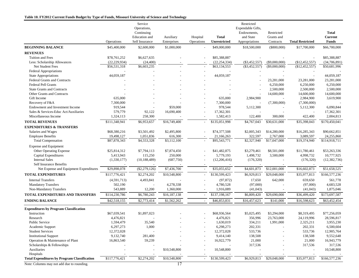#### **Table 10. FY2012 Current Funds Budget by Type of Funds, Missouri University of Science and Technology**

|                                                     | Operations     | Service<br>Operations,<br>Continuing<br>Education and<br>Self Insurance | Auxiliary<br>Enterprises | Hospital<br>Operations   | <b>Total</b><br>Unrestricted | Restricted<br>Expendable Gifts,<br>Endowments,<br>and State<br>Appropriations | Restricted<br>Grants and<br>Contracts | <b>Total Restricted</b> | <b>Total</b><br><b>Current</b><br><b>Funds</b> |
|-----------------------------------------------------|----------------|-------------------------------------------------------------------------|--------------------------|--------------------------|------------------------------|-------------------------------------------------------------------------------|---------------------------------------|-------------------------|------------------------------------------------|
| <b>BEGINNING BALANCE</b>                            | \$45,400,000   | \$2,600,000                                                             | \$1,000,000              |                          | \$49,000,000                 | \$18,500,000                                                                  | $(\$800,000)$                         | \$17,700,000            | \$66,700,000                                   |
| <b>REVENUES</b>                                     |                |                                                                         |                          |                          |                              |                                                                               |                                       |                         |                                                |
| Tuition and Fees                                    | \$78,761,252   | \$6,627,635                                                             |                          |                          | \$85,388,887                 |                                                                               |                                       |                         | \$85,388,887                                   |
| Less: Scholarship Allowances                        | (22, 229, 934) | (24, 400)                                                               |                          |                          | (22, 254, 334)               | $(\$3,452,557)$                                                               | $(\$9,000,000)$                       | (\$12,452,557)          | (34,706,891)                                   |
| Net Student Fees                                    | \$56,531,318   | \$6,603,235                                                             |                          | $\overline{\phantom{a}}$ | \$63,134,553                 | $(\$3,452,557)$                                                               | $(\$9,000,000)$                       | (\$12,452,557)          | \$50,681,996                                   |
| Federal Appropriations                              |                |                                                                         |                          |                          |                              |                                                                               |                                       |                         |                                                |
| <b>State Appropriations</b>                         | 44,059,187     |                                                                         |                          |                          | 44,059,187                   |                                                                               |                                       |                         | 44,059,187                                     |
| <b>Federal Grants and Contracts</b>                 |                |                                                                         |                          |                          |                              |                                                                               | 23,281,000                            | 23,281,000              | 23,281,000                                     |
| <b>Federal Pell Grants</b>                          |                |                                                                         |                          |                          |                              |                                                                               | 6,250,000                             | 6,250,000               | 6,250,000                                      |
| <b>State Grants and Contracts</b>                   |                |                                                                         |                          |                          |                              |                                                                               | 2,500,000                             | 2,500,000               | 2,500,000                                      |
| Other Grants and Contracts                          |                |                                                                         |                          |                          |                              |                                                                               | 14,600,000                            | 14,600,000              | 14,600,000                                     |
| Gift Income                                         | 635,000        |                                                                         |                          |                          | 635,000                      | 2,984,900                                                                     | $\overline{a}$                        | 2,984,900               | 3,619,900                                      |
| Recovery of F&A                                     | 7,300,000      |                                                                         |                          |                          | 7,300,000                    |                                                                               | (7,300,000)                           | (7,300,000)             |                                                |
| Endowment and Investment Income                     | 919,544        |                                                                         | \$59,000                 |                          | 978,544                      | 5,112,300                                                                     |                                       | 5,112,300               | 6,090,844                                      |
| Sales & Services-Educ Act/Auxiliaries               | 579,779        | 92,122                                                                  | 16,690,400               | $\overline{a}$           | 17,362,301                   |                                                                               |                                       |                         | 17,362,301                                     |
| Miscellaneous Income                                | 1,324,113      | 258,300                                                                 |                          |                          | 1,582,413                    | 122,400                                                                       | 300,000                               | 422,400                 | 2,004,813                                      |
| <b>TOTAL REVENUES</b>                               | \$111,348,941  | \$6,953,657                                                             | \$16,749,400             | $\overline{\phantom{a}}$ | \$135,051,998                | \$4,767,043                                                                   | $\overline{$30,631,000}$              | \$35,398,043            | \$170,450,041                                  |
| <b>EXPENDITURES &amp; TRANSFERS</b>                 |                |                                                                         |                          |                          |                              |                                                                               |                                       |                         |                                                |
| Salaries and Wages                                  | \$68,380,216   | \$3,501,492                                                             | \$2,495,800              |                          | \$74,377,508                 | \$2,005,343                                                                   | \$14,280,000                          | \$16,285,343            | \$90,662,851                                   |
| <b>Employee Benefits</b>                            | 19,498,127     | 1,051,836                                                               | 616,300                  | $\overline{\phantom{a}}$ | 21,166,263                   | 322,597                                                                       | 2,767,000                             | 3,089,597               | 24,255,860                                     |
| <b>Total Compensation</b>                           | \$87,878,343   | \$4,553,328                                                             | \$3,112,100              |                          | \$95,543,771                 | \$2,327,940                                                                   | \$17,047,000                          | \$19,374,940            | \$114,918,711                                  |
| <b>Expense and Equipment</b>                        |                |                                                                         |                          |                          |                              |                                                                               |                                       |                         |                                                |
| Other Operating Expense                             | \$25,814,312   | \$7,794,113                                                             | \$7,874,450              |                          | \$41,482,875                 | \$3,279,461                                                                   | \$8,501,000                           | \$11,780,461            | \$53,263,336                                   |
| Capital Expenditures                                | 5,413,943      | 115,250                                                                 | 250,000                  |                          | 5,779,193                    | 1,498,732                                                                     | 3,500,000                             | 4,998,732               | 10,777,925                                     |
| <b>Internal Sales</b>                               | (1,330,177)    | (10, 188, 489)                                                          | (687,750)                |                          | (12,206,416)                 | (176, 320)                                                                    |                                       | (176, 320)              | (12, 382, 736)                                 |
| <b>Self Insurance Benefits</b>                      |                |                                                                         |                          |                          |                              |                                                                               |                                       |                         |                                                |
| Net Expense and Equipment Expenditures              | \$29,898,078   | $(\$2,279,126)$                                                         | \$7,436,700              | $\overline{\phantom{a}}$ | \$35,055,652                 | \$4,601,873                                                                   | \$12,001,000                          | \$16,602,873            | \$51,658,525                                   |
| <b>TOTAL EXPENDITURES</b>                           | \$117,776,421  | \$2,274,202                                                             | \$10,548,800             | $\sim$                   | \$130,599,423                | \$6,929,813                                                                   | \$29,048,000                          | \$35,977,813            | \$166,577,236                                  |
| <b>Internal Transfers</b>                           |                | 4,493,841                                                               |                          |                          | (97, 872)                    | 17,650                                                                        | 642,000                               | 659,650                 | 561,778                                        |
|                                                     | (4,591,713)    |                                                                         |                          |                          |                              |                                                                               |                                       |                         |                                                |
| <b>Mandatory Transfers</b>                          | 502,190        |                                                                         | 4,278,338                |                          | 4,780,528                    | (97,000)                                                                      |                                       | (97,000)                | 4,683,528                                      |
| Non-Mandatory Transfers                             | 543,889        | 12,200                                                                  | 1,360,000                |                          | 1,916,089                    | (41, 043)                                                                     |                                       | (41,043)                | 1,875,046                                      |
| TOTAL EXPENDITURES AND TRANSFERS                    | \$114,230,786  | \$6,780,243                                                             | \$16,187,138             |                          | \$137,198,167                | \$6,809,420                                                                   | \$29,690,000                          | \$36,499,420            | \$173,697,587                                  |
| <b>ENDING BALANCE</b>                               | \$42,518,155   | \$2,773,414                                                             | \$1,562,262              |                          | \$46,853,831                 | \$16,457,623                                                                  | \$141,000                             | \$16,598,623            | \$63,452,454                                   |
| <b>Expenditures by Program Classification</b>       |                |                                                                         |                          |                          |                              |                                                                               |                                       |                         |                                                |
| Instruction                                         | \$67,039,541   | \$1,897,023                                                             |                          |                          | \$68,936,564                 | \$5,025,495                                                                   | \$3,294,000                           | \$8,319,495             | \$77,256,059                                   |
| Research                                            | 4,476,821      |                                                                         |                          |                          | 4,476,821                    | 356,996                                                                       | 23,763,000                            | 24,119,996              | 28,596,817                                     |
| <b>Public Service</b>                               | 1,594,479      | 35,540                                                                  |                          |                          | 1,630,019                    | 334,211                                                                       | 1,991,000                             | 2,325,211               | 3,955,230                                      |
| Academic Support                                    | 6,297,273      | 1,000                                                                   |                          |                          | 6,298,273                    | 202,331                                                                       |                                       | 202,331                 | 6,500,604                                      |
| <b>Student Services</b>                             | 12,372,028     |                                                                         |                          |                          | 12,372,028                   | 533,736                                                                       |                                       | 533,736                 | 12,905,764                                     |
| <b>Institutional Support</b>                        | 9,132,740      | 281,400                                                                 |                          |                          | 9,414,140                    | 138,508                                                                       |                                       | 138,508                 | 9,552,648                                      |
| Operation & Maintenance of Plant                    | 16,863,540     | 59,239                                                                  |                          |                          | 16,922,779                   | 21,000                                                                        |                                       | 21,000                  | 16,943,779                                     |
| Scholarships & Fellowships                          |                |                                                                         |                          |                          |                              | 317,536                                                                       |                                       | 317,536                 | 317,536                                        |
| Auxiliaries                                         |                |                                                                         | \$10,548,800             |                          | 10,548,800                   |                                                                               |                                       |                         | 10,548,800                                     |
| Hospitals                                           |                |                                                                         |                          |                          |                              |                                                                               |                                       |                         |                                                |
| <b>Total Expenditures by Program Classification</b> | \$117,776,421  | \$2,274,202                                                             | \$10,548,800             | $\overline{\phantom{a}}$ | \$130,599,423                | \$6,929,813                                                                   | \$29,048,000                          | \$35,977,813            | \$166,577,236                                  |
|                                                     |                |                                                                         | $\overline{ }$           |                          |                              |                                                                               |                                       |                         |                                                |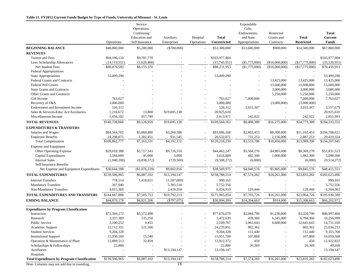#### **Table 11. FY2012 Current Funds Budget by Type of Funds, University of Missouri - St. Louis**

|                                                     | Operations               | Service<br>Operations,<br>Continuing<br>Education and<br>Self Insurance | Auxiliary<br>Enterprises | Hospital<br>Operations   | <b>Total</b><br>Unrestricted | Expendable<br>Gifts,<br>Endowments,<br>and State<br>Appropriations | Restricted<br>Grants and<br>Contracts | <b>Total</b><br><b>Restricted</b> | <b>Total</b><br><b>Current</b><br><b>Funds</b> |
|-----------------------------------------------------|--------------------------|-------------------------------------------------------------------------|--------------------------|--------------------------|------------------------------|--------------------------------------------------------------------|---------------------------------------|-----------------------------------|------------------------------------------------|
| <b>BEGINNING BALANCE</b>                            | \$48,800,000             | \$5,200,000                                                             | $(\$700,000)$            |                          | \$53,300,000                 | \$13,600,000                                                       | \$900,000                             | \$14,500,000                      | \$67,800,000                                   |
| <b>REVENUES</b>                                     |                          |                                                                         |                          |                          |                              |                                                                    |                                       |                                   |                                                |
| Tuition and Fees                                    | \$94,196,134             | \$9,781,770                                                             |                          |                          | \$103,977,904                |                                                                    |                                       |                                   | \$103,977,904                                  |
| Less: Scholarship Allowances                        | (14, 119, 551)           | (1,626,400)                                                             |                          |                          | (15,745,951)                 | $(\$1,775,000)$                                                    | (\$16,000,000)                        | (\$17,775,000)                    | (33,520,951)                                   |
| Net Student Fees                                    | \$80,076,583             | \$8,155,370                                                             |                          | $\sim$                   | \$88,231,953                 | (\$1,775,000)                                                      | (\$16,000,000)                        | (\$17,775,000)                    | \$70,456,953                                   |
| <b>Federal Appropriations</b>                       |                          |                                                                         |                          |                          |                              |                                                                    |                                       |                                   |                                                |
| <b>State Appropriations</b>                         | 53,499,290               |                                                                         |                          |                          | 53,499,290                   |                                                                    |                                       |                                   | 53,499,290                                     |
| <b>Federal Grants and Contracts</b>                 |                          |                                                                         |                          |                          |                              |                                                                    | 13,425,000                            | 13,425,000                        | 13,425,000                                     |
| <b>Federal Pell Grants</b>                          |                          |                                                                         |                          |                          |                              |                                                                    | 13,600,000                            | 13,600,000                        | 13,600,000                                     |
| <b>State Grants and Contracts</b>                   |                          |                                                                         |                          |                          |                              |                                                                    | 3,000,000                             | 3,000,000                         | 3,000,000                                      |
| Other Grants and Contracts                          |                          |                                                                         |                          |                          |                              |                                                                    | 5,250,000                             | 5,250,000                         | 5,250,000                                      |
| Gift Income                                         | 763,027                  |                                                                         |                          |                          | 763,027                      | 7,000,000                                                          |                                       | 7,000,000                         | 7,763,027                                      |
| Recovery of F&A                                     | 3,000,000                |                                                                         |                          |                          | 3,000,000                    |                                                                    | (3,000,000)                           | (3,000,000)                       |                                                |
| Endowment and Investment Income                     | 526,312                  |                                                                         |                          |                          | 526,312                      | 3,031,367                                                          |                                       | 3,031,367                         | 3,557,679                                      |
| Sales & Services-Educ Act/Auxiliaries               | 1,216,672                | 13,800                                                                  | \$19,695,138             |                          | 20,925,610                   |                                                                    |                                       | $\overline{\phantom{a}}$          | 20,925,610                                     |
| Miscellaneous Income                                | 1,656,182                | 957,789                                                                 |                          |                          | 2,613,971                    | 242,022                                                            |                                       | 242,022                           | 2,855,993                                      |
| <b>TOTAL REVENUES</b>                               | \$140,738,066            | \$9,126,959                                                             | \$19,695,138             |                          | $\overline{$}169,560,163$    | \$8,498,389                                                        | \$16,275,000                          | \$24,773,389                      | \$194,333,552                                  |
| <b>EXPENDITURES &amp; TRANSFERS</b>                 |                          |                                                                         |                          |                          |                              |                                                                    |                                       |                                   |                                                |
| Salaries and Wages                                  | \$84,564,702             | \$5,860,880                                                             | \$3,260,586              |                          | \$93,686,168                 | \$2,802,453                                                        | \$8,300,000                           | \$11,102,453                      | \$104,788,621                                  |
| <b>Employee Benefits</b>                            | 24,298,075               | 1,302,451                                                               | 931,545                  |                          | 26,532,071                   | 731,253                                                            | 2,156,000                             | 2,887,253                         | 29,419,324                                     |
| <b>Total Compensation</b>                           | \$108,862,777            | \$7,163,331                                                             | \$4,192,131              |                          | \$120,218,239                | \$3,533,706                                                        | \$10,456,000                          | \$13,989,706                      | \$134,207,945                                  |
| <b>Expense and Equipment</b>                        |                          |                                                                         |                          |                          |                              |                                                                    |                                       |                                   |                                                |
| Other Operating Expense                             | \$29,018,388             | \$5,717,343                                                             | \$9,726,516              |                          | \$44,462,247                 | \$3,564,276                                                        | \$4,805,000                           | \$8,369,276                       | \$52,831,523                                   |
| Capital Expenditures                                | 3,566,000                | 45,000                                                                  | 5,000                    |                          | 3,616,000                    | 482,300                                                            | 1,000,000                             | 1,482,300                         | 5,098,300                                      |
| <b>Internal Sales</b>                               | (1,940,200)              | (6,838,572)                                                             | (729, 500)               |                          | (9,508,272)                  | (6,000)                                                            |                                       | (6,000)                           | (9,514,272)                                    |
| <b>Self Insurance Benefits</b>                      | $\overline{\phantom{a}}$ |                                                                         |                          | $\overline{\phantom{a}}$ | $\sim$                       |                                                                    |                                       |                                   |                                                |
| Net Expense and Equipment Expenditures              | \$30,644,188             | (\$1,076,229)                                                           | \$9,002,016              | $\overline{\phantom{a}}$ | \$38,569,975                 | \$4,040,576                                                        | \$5,805,000                           | \$9,845,576                       | \$48,415,551                                   |
| <b>TOTAL EXPENDITURES</b>                           | \$139,506,965            | \$6,087,102                                                             | \$13,194,147             | $\overline{\phantom{a}}$ | \$158,788,214                | \$7,574,282                                                        | \$16,261,000                          | \$23,835,282                      | \$182,623,496                                  |
| <b>Internal Transfers</b>                           | 778,514                  | 1,418,651                                                               | (1,207,000)              |                          | 990,165                      |                                                                    |                                       |                                   | 990,165                                        |
| <b>Mandatory Transfers</b>                          | 367,040                  |                                                                         | 5,385,516                |                          | 5,752,556                    |                                                                    |                                       |                                   | 5,752,556                                      |
| Non-Mandatory Transfers                             | 4,015,369                |                                                                         | 2,419,550                |                          | 6,434,919                    | 129,444                                                            |                                       | 129,444                           | 6,564,363                                      |
| TOTAL EXPENDITURES AND TRANSFERS                    | \$144,667,888            | \$7,505,753                                                             | \$19,792,213             | $\sim$                   | \$171,965,854                | \$7,703,726                                                        | \$16,261,000                          | \$23,964,726                      | \$195,930,580                                  |
| <b>ENDING BALANCE</b>                               | \$44,870,178             | \$6,821,206                                                             | $(\$797,075)$            |                          | \$50,894,309                 | \$14,394,663                                                       | \$914,000                             | \$15,308,663                      | \$66,202,972                                   |
|                                                     |                          |                                                                         |                          |                          |                              |                                                                    |                                       |                                   |                                                |
| <b>Expenditures by Program Classification</b>       |                          |                                                                         |                          |                          |                              |                                                                    |                                       |                                   |                                                |
| Instruction                                         | \$72,304,172             | \$5,372,498                                                             |                          |                          | \$77,676,670                 | \$2,084,790                                                        | \$1,236,000                           | \$3,320,790                       | \$80,997,460                                   |
| Research                                            | 3,337,389                | 135,250                                                                 |                          |                          | 3,472,639                    | 439,360                                                            | 6,345,000                             | 6,784,360                         | 10,256,999                                     |
| <b>Public Service</b>                               | 2,100,252                | 9,455                                                                   |                          |                          | 2,109,707                    | 3,961,643                                                          | 8,680,000                             | 12,641,643                        | 14,751,350                                     |
| Academic Support                                    | 23,712,351               | 521,500                                                                 |                          |                          | 24,233,851                   | 802,362                                                            |                                       | 802,362                           | 25,036,213                                     |
| <b>Student Services</b>                             | 9,204,328                |                                                                         |                          |                          | 9,204,328                    | 151,440                                                            |                                       | 151,440                           | 9,355,768                                      |
| <b>Institutional Support</b>                        | 15,936,160               | 15,540                                                                  |                          |                          | 15,951,700                   | 107,868                                                            |                                       | 107,868                           | 16,059,568                                     |
| Operation & Maintenance of Plant                    | 12,889,513               | 32,859                                                                  |                          |                          | 12,922,372                   | 450                                                                |                                       | 450                               | 12,922,822                                     |
| Scholarships & Fellowships                          | 22,800                   |                                                                         |                          |                          | 22,800                       | 26,369                                                             |                                       | 26,369                            | 49,169                                         |
| Auxiliaries                                         |                          |                                                                         | \$13,194,147             |                          | 13,194,147                   |                                                                    |                                       |                                   | 13,194,147                                     |
| Hospitals                                           |                          |                                                                         |                          |                          |                              |                                                                    |                                       |                                   |                                                |
| <b>Total Expenditures by Program Classification</b> | \$139,506,965            | \$6,087,102                                                             | \$13,194,147             | $\blacksquare$           | \$158,788,214                | \$7,574,282                                                        | \$16,261,000                          | \$23,835,282                      | \$182,623,496                                  |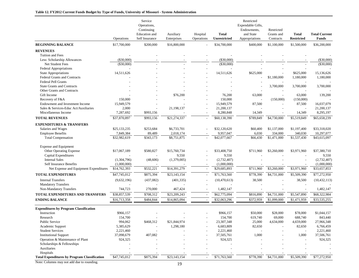|                                                     | Operations   | Service<br>Operations,<br>Continuing<br><b>Education</b> and<br>Self Insurance | Auxiliary<br>Enterprises | Hospital<br>Operations   | <b>Total</b><br><b>Unrestricted</b> | Restricted<br>Expendable Gifts,<br>Endowments,<br>and State<br>Appropriations | Restricted<br>Grants and<br>Contracts | <b>Total</b><br><b>Restricted</b> | <b>Total Current</b><br><b>Funds</b> |
|-----------------------------------------------------|--------------|--------------------------------------------------------------------------------|--------------------------|--------------------------|-------------------------------------|-------------------------------------------------------------------------------|---------------------------------------|-----------------------------------|--------------------------------------|
| <b>BEGINNING BALANCE</b>                            | \$17,700,000 | \$200,000                                                                      | \$16,800,000             |                          | \$34,700,000                        | \$400,000                                                                     | \$1,100,000                           | \$1,500,000                       | \$36,200,000                         |
| <b>REVENUES</b>                                     |              |                                                                                |                          |                          |                                     |                                                                               |                                       |                                   |                                      |
| Tuition and Fees                                    |              |                                                                                |                          |                          |                                     |                                                                               |                                       |                                   |                                      |
| Less: Scholarship Allowances                        | $(\$30,000)$ |                                                                                |                          |                          | $(\$30,000)$                        |                                                                               |                                       |                                   | $(\$30,000)$                         |
| Net Student Fees                                    | (\$30,000)   |                                                                                |                          |                          | $(\$30,000)$                        |                                                                               |                                       |                                   | $(\$30,000)$                         |
| <b>Federal Appropriations</b>                       |              |                                                                                |                          |                          |                                     |                                                                               |                                       |                                   |                                      |
| State Appropriations                                | 14,511,626   |                                                                                |                          |                          | 14,511,626                          | \$625,000                                                                     |                                       | \$625,000                         | 15,136,626                           |
| <b>Federal Grants and Contracts</b>                 |              |                                                                                |                          |                          |                                     |                                                                               | \$1,180,000                           | 1,180,000                         | 1,180,000                            |
| <b>Federal Pell Grants</b>                          |              |                                                                                |                          |                          |                                     |                                                                               |                                       |                                   |                                      |
| <b>State Grants and Contracts</b>                   |              |                                                                                |                          |                          |                                     |                                                                               | 3,700,000                             | 3,700,000                         | 3,700,000                            |
| Other Grants and Contracts                          |              |                                                                                |                          |                          |                                     |                                                                               |                                       |                                   |                                      |
| Gift Income                                         |              |                                                                                | \$76,200                 |                          | 76,200                              | 63,000                                                                        | $\sim$                                | 63,000                            | 139,200                              |
| Recovery of F&A                                     | 150,000      |                                                                                |                          |                          | 150,000                             |                                                                               | (150,000)                             | (150,000)                         |                                      |
| Endowment and Investment Income                     | 15,949,579   |                                                                                |                          |                          | 15,949,579                          | 87,500                                                                        |                                       | 87,500                            | 16,037,079                           |
| Sales & Services-Educ Act/Auxiliaries               | 2,000        |                                                                                | 21,198,137               |                          | 21,200,137                          |                                                                               |                                       |                                   | 21,200,137                           |
| Miscellaneous Income                                | 7,287,692    | \$993,156                                                                      |                          |                          | 8,280,848                           | 14,349                                                                        |                                       | 14,349                            | 8,295,197                            |
| <b>TOTAL REVENUES</b>                               | \$37,870,897 | \$993,156                                                                      | \$21,274,337             |                          | \$60,138,390                        | \$789,849                                                                     | \$4,730,000                           | \$5,519,849                       | \$65,658,239                         |
| <b>EXPENDITURES &amp; TRANSFERS</b>                 |              |                                                                                |                          |                          |                                     |                                                                               |                                       |                                   |                                      |
| Salaries and Wages                                  | \$25,133,235 | \$253,684                                                                      | \$6,733,701              |                          | \$32,120,620                        | \$60,400                                                                      | \$1,137,000                           | \$1,197,400                       | \$33,318,020                         |
| <b>Employee Benefits</b>                            | 7,849,384    | 89,489                                                                         | 2,018,174                |                          | 9,957,047                           | 6,030                                                                         | 334,000                               | 340,030                           | 10,297,077                           |
| <b>Total Compensation</b>                           | \$32,982,619 | \$343,173                                                                      | \$8,751,875              |                          | \$42,077,667                        | \$66,430                                                                      | \$1,471,000                           | \$1,537,430                       | \$43,615,097                         |
| <b>Expense and Equipment</b>                        |              |                                                                                |                          |                          |                                     |                                                                               |                                       |                                   |                                      |
| Other Operating Expense                             | \$17,067,189 | \$580,827                                                                      | \$15,760,734             |                          | \$33,408,750                        | \$711,960                                                                     | \$3,260,000                           | \$3,971,960                       | \$37,380,710                         |
| Capital Expenditures                                |              |                                                                                | 9,550                    |                          | 9,550                               |                                                                               |                                       |                                   | 9,550                                |
| <b>Internal Sales</b>                               | (1,304,796)  | (48,606)                                                                       | (1,379,005)              |                          | (2,732,407)                         |                                                                               |                                       |                                   | (2,732,407)                          |
| <b>Self Insurance Benefits</b>                      | (1,000,000)  |                                                                                |                          |                          | (1,000,000)                         |                                                                               |                                       |                                   | (1,000,000)                          |
| Net Expense and Equipment Expenditures              | \$14,762,393 | \$532,221                                                                      | \$14,391,279             | $\overline{\phantom{a}}$ | \$29,685,893                        | \$711,960                                                                     | \$3,260,000                           | \$3,971,960                       | \$33,657,853                         |
| <b>TOTAL EXPENDITURES</b>                           | \$47,745,012 | \$875,394                                                                      | \$23,143,154             | $\overline{\phantom{a}}$ | \$71,763,560                        | \$778,390                                                                     | \$4,731,000                           | \$5,509,390                       | \$77,272,950                         |
| <b>Internal Transfers</b>                           |              |                                                                                |                          |                          |                                     | 38,500                                                                        |                                       |                                   |                                      |
| <b>Mandatory Transfers</b>                          | (9,632,196)  | (437,082)                                                                      | (401, 335)               |                          | (10, 470, 613)                      |                                                                               |                                       | 38,500                            | (10, 432, 113)                       |
| Non-Mandatory Transfers                             | 744,723      | 270,000                                                                        | 467,424                  |                          | 1,482,147                           |                                                                               |                                       |                                   | 1,482,147                            |
| TOTAL EXPENDITURES AND TRANSFERS                    | \$38,857,539 | \$708,312                                                                      | \$23,209,243             |                          | \$62,775,094                        | \$816,890                                                                     | \$4,731,000                           | \$5,547,890                       | \$68,322,984                         |
| <b>ENDING BALANCE</b>                               | \$16,713,358 | \$484,844                                                                      |                          |                          | \$32,063,296                        | \$372,959                                                                     |                                       |                                   | \$33,535,255                         |
|                                                     |              |                                                                                | \$14,865,094             |                          |                                     |                                                                               | \$1,099,000                           | \$1,471,959                       |                                      |
| <b>Expenditures by Program Classification</b>       |              |                                                                                |                          |                          |                                     |                                                                               |                                       |                                   |                                      |
| Instruction                                         | \$966,157    |                                                                                |                          |                          | \$966,157                           | \$50,000                                                                      | \$28,000                              | \$78,000                          | \$1,044,157                          |
| Research                                            | 154,700      |                                                                                |                          |                          | 154,700                             | 619,740                                                                       | 69,000                                | 688,740                           | 843,440                              |
| Public Service                                      | 994,062      | \$468,312                                                                      | \$21,844,974             |                          | 23,307,348                          | 25,000                                                                        | 4,634,000                             | 4,659,000                         | 27,966,348                           |
| Academic Support                                    | 5,385,629    |                                                                                | 1,298,180                |                          | 6,683,809                           | 82,650                                                                        |                                       | 82,650                            | 6,766,459                            |
| <b>Student Services</b>                             | 2,221,460    |                                                                                |                          |                          | 2,221,460                           |                                                                               |                                       |                                   | 2,221,460                            |
| <b>Institutional Support</b>                        | 37,098,679   | 407,082                                                                        |                          |                          | 37,505,761                          | 1,000                                                                         |                                       | 1,000                             | 37,506,761                           |
| Operation & Maintenance of Plant                    | 924,325      |                                                                                |                          |                          | 924,325                             |                                                                               |                                       |                                   | 924,325                              |
| Scholarships & Fellowships                          |              |                                                                                |                          |                          |                                     |                                                                               |                                       |                                   |                                      |
| Auxiliaries                                         |              |                                                                                |                          |                          |                                     |                                                                               |                                       |                                   |                                      |
| Hospitals                                           |              |                                                                                |                          |                          |                                     |                                                                               |                                       |                                   |                                      |
| <b>Total Expenditures by Program Classification</b> | \$47,745,012 | \$875,394                                                                      | \$23,143,154             |                          | \$71,763,560                        | \$778,390                                                                     | \$4,731,000                           | \$5,509,390                       | \$77,272,950                         |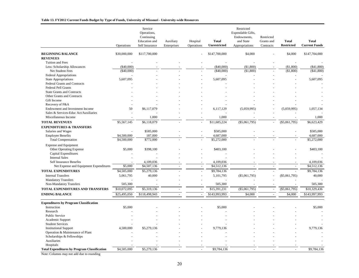#### **Table 13. FY2012 Current Funds Budget by Type of Funds, University of Missouri - University-wide Resources**

|                                                                | Operations   | Service<br>Operations,<br>Continuing<br>Education and<br>Self Insurance | Auxiliary<br>Enterprises | Hospital<br>Operations | <b>Total</b><br>Unrestricted | Restricted<br>Expendable Gifts,<br>Endowments,<br>and State<br>Appropriations | Restricted<br>Grants and<br>Contracts | <b>Total</b><br><b>Restricted</b> | <b>Total</b><br><b>Current Funds</b> |
|----------------------------------------------------------------|--------------|-------------------------------------------------------------------------|--------------------------|------------------------|------------------------------|-------------------------------------------------------------------------------|---------------------------------------|-----------------------------------|--------------------------------------|
| <b>BEGINNING BALANCE</b>                                       | \$30,000,000 | \$117,700,000                                                           |                          |                        | \$147,700,000                | \$4,000                                                                       |                                       | \$4,000                           | \$147,704,000                        |
| <b>REVENUES</b>                                                |              |                                                                         |                          |                        |                              |                                                                               |                                       |                                   |                                      |
| Tuition and Fees                                               |              |                                                                         |                          |                        |                              |                                                                               |                                       | $\overline{a}$                    |                                      |
| Less: Scholarship Allowances                                   | $(\$40,000)$ |                                                                         |                          |                        | ( \$40,000)                  | (\$1,800)                                                                     |                                       | ( \$1,800)                        | ( \$41, 800)                         |
| Net Student Fees                                               | $(\$40,000)$ |                                                                         |                          |                        | (\$40,000)                   | (\$1,800)                                                                     |                                       | (\$1,800)                         | ( \$41, 800)                         |
| Federal Appropriations                                         |              |                                                                         |                          |                        |                              |                                                                               |                                       |                                   |                                      |
| <b>State Appropriations</b>                                    | 5,607,095    |                                                                         |                          |                        | 5,607,095                    |                                                                               |                                       |                                   | 5,607,095                            |
| Federal Grants and Contracts                                   |              |                                                                         |                          |                        |                              |                                                                               |                                       |                                   |                                      |
| <b>Federal Pell Grants</b>                                     |              |                                                                         |                          |                        |                              |                                                                               |                                       |                                   |                                      |
| <b>State Grants and Contracts</b>                              |              |                                                                         |                          |                        |                              |                                                                               |                                       |                                   |                                      |
| Other Grants and Contracts                                     |              |                                                                         |                          |                        |                              |                                                                               |                                       |                                   |                                      |
| Gift Income                                                    |              |                                                                         |                          |                        |                              |                                                                               |                                       |                                   |                                      |
| Recovery of F&A                                                |              |                                                                         |                          |                        |                              |                                                                               |                                       |                                   |                                      |
| Endowment and Investment Income                                | 50           | \$6,117,079                                                             |                          |                        | 6,117,129                    | (5,059,995)                                                                   |                                       | (5,059,995)                       | 1,057,134                            |
| Sales & Services-Educ Act/Auxiliaries                          |              |                                                                         |                          |                        |                              |                                                                               |                                       |                                   |                                      |
| Miscellaneous Income                                           |              | 1,000                                                                   |                          |                        | 1,000                        | $\overline{\phantom{a}}$                                                      |                                       |                                   | 1,000                                |
| <b>TOTAL REVENUES</b>                                          | \$5,567,145  | \$6,118,079                                                             |                          |                        | \$11,685,224                 | $($ \$5,061,795)                                                              |                                       | $(\$5,061,795)$                   | \$6,623,429                          |
| <b>EXPENDITURES &amp; TRANSFERS</b>                            |              |                                                                         |                          |                        |                              |                                                                               |                                       |                                   |                                      |
| Salaries and Wages                                             |              | \$585,000                                                               |                          |                        | \$585,000                    |                                                                               |                                       |                                   | \$585,000                            |
| <b>Employee Benefits</b>                                       | \$4,500,000  | 187,000                                                                 |                          |                        | 4,687,000                    |                                                                               |                                       |                                   | 4,687,000                            |
| <b>Total Compensation</b>                                      | \$4,500,000  | \$772,000                                                               |                          |                        | \$5,272,000                  |                                                                               |                                       |                                   | \$5,272,000                          |
|                                                                |              |                                                                         |                          |                        |                              |                                                                               |                                       |                                   |                                      |
| <b>Expense and Equipment</b><br><b>Other Operating Expense</b> | \$5,000      | \$398,100                                                               |                          |                        | \$403,100                    |                                                                               |                                       |                                   | \$403,100                            |
| Capital Expenditures                                           |              |                                                                         |                          |                        |                              |                                                                               |                                       |                                   |                                      |
| <b>Internal Sales</b>                                          |              |                                                                         |                          |                        |                              |                                                                               |                                       |                                   |                                      |
| Self Insurance Benefits                                        |              | 4,109,036                                                               |                          |                        | 4,109,036                    |                                                                               |                                       |                                   | 4,109,036                            |
| Net Expense and Equipment Expenditures                         | \$5,000      | \$4,507,136                                                             | $\overline{\phantom{a}}$ | $\omega$               | \$4,512,136                  | $\sim$                                                                        | $\sim$                                | $\sim$                            | \$4,512,136                          |
| <b>TOTAL EXPENDITURES</b>                                      | \$4,505,000  |                                                                         |                          | $\bar{\phantom{a}}$    |                              |                                                                               |                                       |                                   | \$9,784,136                          |
|                                                                |              | \$5,279,136                                                             |                          |                        | \$9,784,136                  |                                                                               |                                       |                                   |                                      |
| <b>Internal Transfers</b>                                      | 5,061,795    | 40,000                                                                  |                          |                        | 5,101,795                    | (\$5,061,795)                                                                 |                                       | $(\$5,061,795)$                   | 40,000                               |
| <b>Mandatory Transfers</b>                                     | 505,300      |                                                                         |                          |                        |                              |                                                                               |                                       |                                   |                                      |
| Non-Mandatory Transfers                                        |              |                                                                         |                          |                        | 505,300                      | $\sim$                                                                        |                                       |                                   | 505,300                              |
| TOTAL EXPENDITURES AND TRANSFERS                               | \$10,072,095 | \$5,319,136                                                             | ÷.                       | $\sim$                 | \$15,391,231                 | $(\$5,061,795)$                                                               | $\sim$                                | $(\$5,061,795)$                   | \$10,329,436                         |
| <b>ENDING BALANCE</b>                                          | \$25,495,050 | \$118,498,943                                                           | $\overline{\phantom{a}}$ | $\bar{\phantom{a}}$    | \$143,993,993                | \$4,000                                                                       | $\sim$                                | \$4,000                           | \$143,997,993                        |
|                                                                |              |                                                                         |                          |                        |                              |                                                                               |                                       |                                   |                                      |
| <b>Expenditures by Program Classification</b>                  |              |                                                                         |                          |                        |                              |                                                                               |                                       |                                   |                                      |
| Instruction                                                    | \$5,000      |                                                                         |                          |                        | \$5,000                      |                                                                               |                                       |                                   | \$5,000                              |
| Research                                                       |              |                                                                         |                          |                        |                              |                                                                               |                                       |                                   |                                      |
| <b>Public Service</b>                                          |              |                                                                         |                          |                        |                              |                                                                               |                                       |                                   |                                      |
| Academic Support<br><b>Student Services</b>                    |              |                                                                         |                          |                        |                              |                                                                               |                                       |                                   |                                      |
|                                                                |              |                                                                         |                          |                        |                              |                                                                               |                                       |                                   |                                      |
| <b>Institutional Support</b>                                   | 4,500,000    | \$5,279,136                                                             |                          |                        | 9,779,136                    |                                                                               |                                       |                                   | 9,779,136                            |
| Operation & Maintenance of Plant<br>Scholarships & Fellowships |              |                                                                         |                          |                        |                              |                                                                               |                                       |                                   |                                      |
| Auxiliaries                                                    |              |                                                                         |                          |                        |                              |                                                                               |                                       |                                   |                                      |
| Hospitals                                                      |              |                                                                         |                          |                        |                              |                                                                               |                                       |                                   |                                      |
| <b>Total Expenditures by Program Classification</b>            | \$4,505,000  | \$5,279,136                                                             |                          |                        | \$9,784,136                  |                                                                               |                                       |                                   | \$9,784,136                          |
|                                                                |              |                                                                         |                          |                        |                              |                                                                               |                                       |                                   |                                      |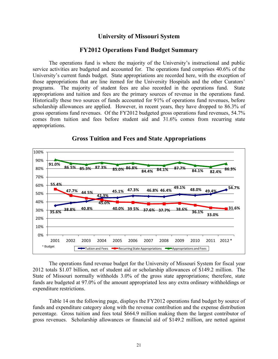## **University of Missouri System**

## **FY2012 Operations Fund Budget Summary**

The operations fund is where the majority of the University's instructional and public service activities are budgeted and accounted for. The operations fund comprises 40.6% of the University's current funds budget. State appropriations are recorded here, with the exception of those appropriations that are line itemed for the University Hospitals and the other Curators' programs. The majority of student fees are also recorded in the operations fund. State appropriations and tuition and fees are the primary sources of revenue in the operations fund. Historically these two sources of funds accounted for 91% of operations fund revenues, before scholarship allowances are applied. However, in recent years, they have dropped to 86.3% of gross operations fund revenues. Of the FY2012 budgeted gross operations fund revenues, 54.7% comes from tuition and fees before student aid and 31.6% comes from recurring state appropriations.



**Gross Tuition and Fees and State Appropriations** 

The operations fund revenue budget for the University of Missouri System for fiscal year 2012 totals \$1.07 billion, net of student aid or scholarship allowances of \$149.2 million. The State of Missouri normally withholds 3.0% of the gross state appropriations; therefore, state funds are budgeted at 97.0% of the amount appropriated less any extra ordinary withholdings or expenditure restrictions.

Table 14 on the following page, displays the FY2012 operations fund budget by source of funds and expenditure category along with the revenue contribution and the expense distribution percentage. Gross tuition and fees total \$664.9 million making them the largest contributor of gross revenues. Scholarship allowances or financial aid of \$149.2 million, are netted against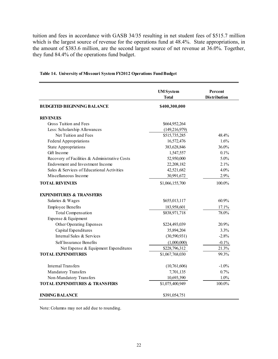tuition and fees in accordance with GASB 34/35 resulting in net student fees of \$515.7 million which is the largest source of revenue for the operations fund at 48.4%. State appropriations, in the amount of \$383.6 million, are the second largest source of net revenue at 36.0%. Together, they fund 84.4% of the operations fund budget.

|                                               | <b>UM</b> System<br><b>Total</b> | Percent<br><b>Distribution</b> |
|-----------------------------------------------|----------------------------------|--------------------------------|
| <b>BUDGETED BEGINNING BALANCE</b>             | \$400,300,000                    |                                |
| <b>REVENUES</b>                               |                                  |                                |
| Gross Tuition and Fees                        | \$664,952,264                    |                                |
| Less: Scholarship Allowances                  | (149, 216, 979)                  |                                |
| Net Tuition and Fees                          | \$515,735,285                    | 48.4%                          |
| Federal Appropriations                        | 16,572,476                       | 1.6%                           |
| <b>State Appropriations</b>                   | 383,628,846                      | 36.0%                          |
| Gift Income                                   | 1,547,557                        | 0.1%                           |
| Recovery of Facilities & Administrative Costs | 52,950,000                       | 5.0%                           |
| Endowment and Investment Income               | 22,208,182                       | 2.1%                           |
| Sales & Services of Educational Activities    | 42,521,682                       | 4.0%                           |
| Miscellaneous Income                          | 30,991,672                       | 2.9%                           |
| <b>TOTAL REVENUES</b>                         | \$1,066,155,700                  | 100.0%                         |
| <b>EXPENDITURES &amp; TRANSFERS</b>           |                                  |                                |
| Salaries & Wages                              | \$655,013,117                    | 60.9%                          |
| <b>Employee Benefits</b>                      | 183,958,601                      | 17.1%                          |
| <b>Total Compensation</b>                     | \$838,971,718                    | 78.0%                          |
| Expense & Equipment                           |                                  |                                |
| Other Operating Expenses                      | \$224,493,039                    | 20.9%                          |
| Capital Expenditures                          | 35,894,204                       | 3.3%                           |
| Internal Sales & Services                     | (30, 590, 931)                   | $-2.8%$                        |
| Self Insurance Benefits                       | (1,000,000)                      | $-0.1%$                        |
| Net Expense & Equipment Expenditures          | \$228,796,312                    | 21.3%                          |
| <b>TOTAL EXPENDITURES</b>                     | \$1,067,768,030                  | 99.3%                          |
| <b>Internal Transfers</b>                     | (10, 761, 606)                   | $-1.0\%$                       |
| Mandatory Transfers                           | 7,701,135                        | 0.7%                           |
| Non-Mandatory Transfers                       | 10,693,390                       | 1.0%                           |
| <b>TOTAL EXPENDITURES &amp; TRANSFERS</b>     | \$1,075,400,949                  | 100.0%                         |
| <b>ENDING BALANCE</b>                         | \$391,054,751                    |                                |

#### **Table 14. University of Missouri System FY2012 Operations Fund Budget**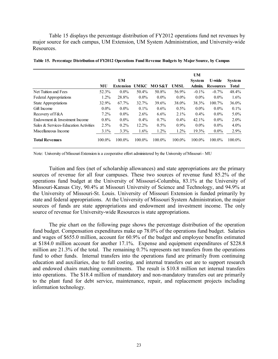Table 15 displays the percentage distribution of FY2012 operations fund net revenues by major source for each campus, UM Extension, UM System Administration, and University-wide **Resources** 

|                                       |         | <b>UM</b>        |             |                  |         | UM<br><b>System</b> | U-wide           | <b>System</b> |
|---------------------------------------|---------|------------------|-------------|------------------|---------|---------------------|------------------|---------------|
|                                       | MU      | <b>Extension</b> | <b>UMKC</b> | <b>MOS&amp;T</b> | UMSL    | Admin.              | <b>Resources</b> | <b>Total</b>  |
| Net Tuition and Fees                  | 52.3%   | $0.0\%$          | 50.4%       | 50.8%            | 56.9%   | $-0.1\%$            | $-0.7\%$         | 48.4%         |
| Federal Appropriations                | $1.2\%$ | 28.8%            | $0.0\%$     | $0.0\%$          | $0.0\%$ | $0.0\%$             | $0.0\%$          | $1.6\%$       |
| <b>State Appropriations</b>           | 32.9%   | 67.7%            | 32.7%       | 39.6%            | 38.0%   | 38.3%               | 100.7%           | $36.0\%$      |
| Gift Income                           | $0.0\%$ | $0.0\%$          | $0.1\%$     | $0.6\%$          | $0.5\%$ | $0.0\%$             | $0.0\%$          | $0.1\%$       |
| Recovery of F&A                       | $7.2\%$ | $0.0\%$          | $2.6\%$     | $6.6\%$          | $2.1\%$ | $0.4\%$             | $0.0\%$          | $5.0\%$       |
| Endowment & Investment Income         | $0.8\%$ | $0.0\%$          | $0.4\%$     | $0.7\%$          | $0.4\%$ | 42.1%               | $0.0\%$          | $2.0\%$       |
| Sales & Services-Education Activities | 2.5%    | $0.2\%$          | 12.2%       | $0.5\%$          | $0.9\%$ | $0.0\%$             | $0.0\%$          | $4.0\%$       |
| Miscellaneous Income                  | $3.1\%$ | 3.3%             | 1.6%        | 1.2%             | $1.2\%$ | 19.3%               | $0.0\%$          | 2.9%          |
| <b>Total Revenues</b>                 | 100.0%  | 100.0%           | 100.0%      | 100.0%           | 100.0%  | 100.0%              | 100.0%           | 100.0%        |

**Table 15. Percentage Distribution of FY2012 Operations Fund Revenue Budgets by Major Source, by Campus**

Note: University of Missouri Extension is a cooperative effort administered by the University of Missouri - MU

Tuition and fees (net of scholarship allowances) and state appropriations are the primary sources of revenue for all four campuses. These two sources of revenue fund 85.2% of the operations fund budget at the University of Missouri-Columbia, 83.1% at the University of Missouri-Kansas City, 90.4% at Missouri University of Science and Technology, and 94.9% at the University of Missouri-St. Louis. University of Missouri Extension is funded primarily by state and federal appropriations. At the University of Missouri System Administration, the major sources of funds are state appropriations and endowment and investment income. The only source of revenue for University-wide Resources is state appropriations.

The pie chart on the following page shows the percentage distribution of the operation fund budget. Compensation expenditures make up 78.0% of the operations fund budget. Salaries and wages of \$655.0 million, account for 60.9% of the budget and employee benefits estimated at \$184.0 million account for another 17.1%. Expense and equipment expenditures of \$228.8 million are 21.3% of the total. The remaining 0.7% represents net transfers from the operations fund to other funds. Internal transfers into the operations fund are primarily from continuing education and auxiliaries, due to full costing, and internal transfers out are to support research and endowed chairs matching commitments. The result is \$10.8 million net internal transfers into operations. The \$18.4 million of mandatory and non-mandatory transfers out are primarily to the plant fund for debt service, maintenance, repair, and replacement projects including information technology.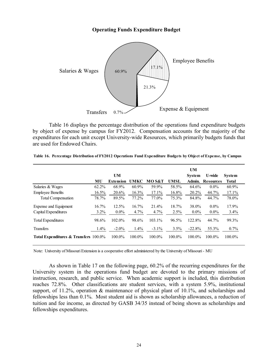## **Operating Funds Expenditure Budget**



Table 16 displays the percentage distribution of the operations fund expenditure budgets by object of expense by campus for FY2012. Compensation accounts for the majority of the expenditures for each unit except University-wide Resources, which primarily budgets funds that are used for Endowed Chairs.

|                                       |         | UM               |             |          |             | <b>UM</b><br><b>System</b> | U-wide           | System  |
|---------------------------------------|---------|------------------|-------------|----------|-------------|----------------------------|------------------|---------|
|                                       | MU      | <b>Extension</b> | <b>UMKC</b> | MO S&T   | <b>UMSL</b> | Admin.                     | <b>Resources</b> | Total   |
| Salaries & Wages                      | 62.2%   | 68.9%            | 60.9%       | 59.9%    | 58.5%       | 64.6%                      | $0.0\%$          | 60.9%   |
| <b>Employee Benefits</b>              | 16.5%   | 20.6%            | $16.3\%$    | 17.1%    | 16.8%       | 20.2%                      | 44.7%            | 17.1%   |
| <b>Total Compensation</b>             | 78.7%   | 89.5%            | 77.2%       | 77.0%    | 75.3%       | 84.8%                      | 44.7%            | 78.0%   |
| Expense and Equipment                 | 16.7%   | 12.5%            | 16.7%       | 21.4%    | 18.7%       | 38.0%                      | $0.0\%$          | 17.9%   |
| Capital Expenditures                  | $3.2\%$ | $0.0\%$          | 4.7%        | 4.7%     | 2.5%        | $0.0\%$                    | $0.0\%$          | $3.4\%$ |
| <b>Total Expenditures</b>             | 98.6%   | 102.0%           | 98.6%       | 103.1%   | 96.5%       | 122.8%                     | 44.7%            | 99.3%   |
| Transfers                             | 1.4%    | $-2.0\%$         | $1.4\%$     | $-3.1\%$ | $3.5\%$     | $-22.8%$                   | 55.3%            | $0.7\%$ |
| Total Expenditures & Transfers 100.0% |         | 100.0%           | 100.0%      | 100.0%   | 100.0%      | 100.0%                     | 100.0%           | 100.0%  |

**Table 16. Percentage Distribution of FY2012 Operations Fund Expenditure Budgets by Object of Expense, by Campus**

Note: University of Missouri Extension is a cooperative effort administered by the University of Missouri - MU

As shown in Table 17 on the following page, 60.2% of the recurring expenditures for the University system in the operations fund budget are devoted to the primary missions of instruction, research, and public service. When academic support is included, this distribution reaches 72.8%. Other classifications are student services, with a system 5.9%, institutional support, of 11.2%, operation & maintenance of physical plant of 10.1%, and scholarships and fellowships less than 0.1%. Most student aid is shown as scholarship allowances, a reduction of tuition and fee income, as directed by GASB 34/35 instead of being shown as scholarships and fellowships expenditures.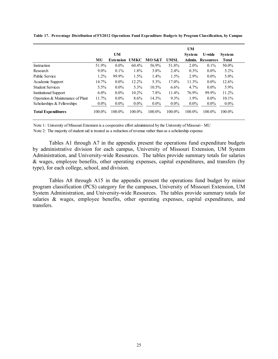|                                  |          | UM               |             |          |             | UM<br><b>System</b> | U-wide                  | <b>System</b> |
|----------------------------------|----------|------------------|-------------|----------|-------------|---------------------|-------------------------|---------------|
|                                  | MU       | <b>Extension</b> | <b>UMKC</b> | MO S&T   | <b>UMSL</b> |                     | <b>Admin. Resources</b> | Total         |
| Instruction                      | 51.9%    | $0.0\%$          | 60.4%       | 56.9%    | 51.8%       | $2.0\%$             | $0.1\%$                 | 50.0%         |
| Research                         | $9.0\%$  | $0.1\%$          | 1.8%        | $3.8\%$  | $2.4\%$     | $0.3\%$             | $0.0\%$                 | $5.2\%$       |
| <b>Public Service</b>            | $1.2\%$  | 99.9%            | 1.5%        | $1.4\%$  | $1.5\%$     | 2.9%                | $0.0\%$                 | $5.0\%$       |
| Academic Support                 | 14.7%    | $0.0\%$          | 12.2%       | 5.3%     | 17.0%       | 11.3%               | $0.0\%$                 | 12.6%         |
| <b>Student Services</b>          | 5.5%     | $0.0\%$          | 5.3%        | $10.5\%$ | $6.6\%$     | $4.7\%$             | $0.0\%$                 | 5.9%          |
| <b>Institutional Support</b>     | $6.0\%$  | $0.0\%$          | $10.2\%$    | 7.8%     | $11.4\%$    | 76.9%               | 99.9%                   | $11.2\%$      |
| Operation & Maintenance of Plant | $11.7\%$ | $0.0\%$          | $8.6\%$     | $14.3\%$ | $9.3\%$     | $1.9\%$             | $0.0\%$                 | $10.1\%$      |
| Scholarships & Fellowships       | $0.0\%$  | $0.0\%$          | $0.0\%$     | $0.0\%$  | $0.0\%$     | $0.0\%$             | $0.0\%$                 | $0.0\%$       |
| <b>Total Expenditures</b>        | 100.0%   | 100.0%           | 100.0%      | 100.0%   | 100.0%      | 100.0%              | 100.0%                  | 100.0%        |

**Table 17. Percentage Distribution of FY2012 Operations Fund Expenditure Budgets by Program Classification, by Campus**

Note 1: University of Missouri Extension is a cooperative effort administered by the University of Missouri - MU

Note 2: The majority of student aid is treated as a reduction of revenue rather than as a scholarship expense.

Tables A1 through A7 in the appendix present the operations fund expenditure budgets by administrative division for each campus, University of Missouri Extension, UM System Administration, and University-wide Resources. The tables provide summary totals for salaries & wages, employee benefits, other operating expenses, capital expenditures, and transfers (by type), for each college, school, and division.

Tables A8 through A15 in the appendix present the operations fund budget by minor program classification (PCS) category for the campuses, University of Missouri Extension, UM System Administration, and University-wide Resources. The tables provide summary totals for salaries & wages, employee benefits, other operating expenses, capital expenditures, and transfers.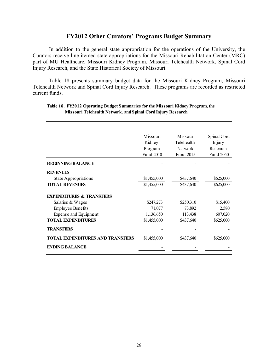## **FY2012 Other Curators' Programs Budget Summary**

 In addition to the general state appropriation for the operations of the University, the Curators receive line-itemed state appropriations for the Missouri Rehabilitation Center (MRC) part of MU Healthcare, Missouri Kidney Program, Missouri Telehealth Network, Spinal Cord Injury Research, and the State Historical Society of Missouri.

 Table 18 presents summary budget data for the Missouri Kidney Program, Missouri Telehealth Network and Spinal Cord Injury Research. These programs are recorded as restricted current funds.

|                                         | Missouri    | Missouri       | Spinal Cord |
|-----------------------------------------|-------------|----------------|-------------|
|                                         | Kidney      | Telehealth     | Injury      |
|                                         | Program     | <b>Network</b> | Research    |
|                                         | Fund 2010   | Fund 2015      | Fund 2050   |
| <b>BEGINNING BALANCE</b>                |             |                |             |
| <b>REVENUES</b>                         |             |                |             |
| <b>State Appropriations</b>             | \$1,455,000 | \$437,640      | \$625,000   |
| <b>TOTAL REVENUES</b>                   | \$1,455,000 | \$437,640      | \$625,000   |
| <b>EXPENDITURES &amp; TRANSFERS</b>     |             |                |             |
| Salaries & Wages                        | \$247,273   | \$250,310      | \$15,400    |
| <b>Employee Benefits</b>                | 71,077      | 73,892         | 2,580       |
| Expense and Equipment                   | 1,136,650   | 113,438        | 607,020     |
| <b>TOTAL EXPENDITURES</b>               | \$1,455,000 | \$437,640      | \$625,000   |
| <b>TRANSFERS</b>                        |             |                |             |
| <b>TOTAL EXPENDITURES AND TRANSFERS</b> | \$1,455,000 | \$437,640      | \$625,000   |
| <b>ENDING BALANCE</b>                   |             |                |             |

#### **Table 18. FY2012 Operating Budget Summaries for the Missouri Kidney Program, the Missouri Telehealth Network, and Spinal Cord Injury Research**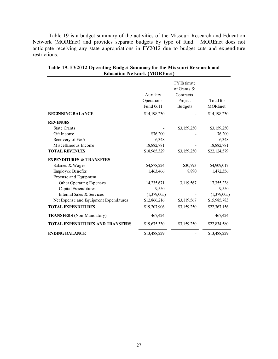Table 19 is a budget summary of the activities of the Missouri Research and Education Network (MOREnet) and provides separate budgets by type of fund. MOREnet does not anticipate receiving any state appropriations in FY2012 due to budget cuts and expenditure restrictions.

|                                         | Auxiliary<br>Operations<br>Fund 0611 | <b>FY</b> Estimate<br>of Grants $\&$<br>Contracts<br>Project<br><b>Budgets</b> | Total for<br>MOREnet |
|-----------------------------------------|--------------------------------------|--------------------------------------------------------------------------------|----------------------|
| <b>BEGINNING BALANCE</b>                | \$14,198,230                         |                                                                                | \$14,198,230         |
| <b>REVENUES</b>                         |                                      |                                                                                |                      |
| <b>State Grants</b>                     |                                      | \$3,159,250                                                                    | \$3,159,250          |
| Gift Income                             | \$76,200                             |                                                                                | 76,200               |
| Recovery of F&A                         | 6,348                                |                                                                                | 6,348                |
| Miscellaneous Income                    | 18,882,781                           |                                                                                | 18,882,781           |
| <b>TOTAL REVENUES</b>                   | \$18,965,329                         | \$3,159,250                                                                    | \$22,124,579         |
| <b>EXPENDITURES &amp; TRANSFERS</b>     |                                      |                                                                                |                      |
| Salaries & Wages                        | \$4,878,224                          | \$30,793                                                                       | \$4,909,017          |
| <b>Employee Benefits</b>                | 1,463,466                            | 8,890                                                                          | 1,472,356            |
| <b>Expense and Equipment</b>            |                                      |                                                                                |                      |
| Other Operating Expenses                | 14,235,671                           | 3,119,567                                                                      | 17,355,238           |
| Capital Expenditures                    | 9,550                                |                                                                                | 9,550                |
| Internal Sales & Services               | (1,379,005)                          |                                                                                | (1,379,005)          |
| Net Expense and Equipment Expenditures  | \$12,866,216                         | \$3,119,567                                                                    | \$15,985,783         |
| <b>TOTAL EXPENDITURES</b>               | \$19,207,906                         | \$3,159,250                                                                    | \$22,367,156         |
| <b>TRANSFERS</b> (Non-Mandatory)        | 467,424                              |                                                                                | 467,424              |
| <b>TOTAL EXPENDITURES AND TRANSFERS</b> | \$19,675,330                         | \$3,159,250                                                                    | \$22,834,580         |
| <b>ENDING BALANCE</b>                   | \$13,488,229                         |                                                                                | \$13,488,229         |

**Table 19. FY2012 Operating Budget Summary for the Missouri Research and Education Network (MOREnet)**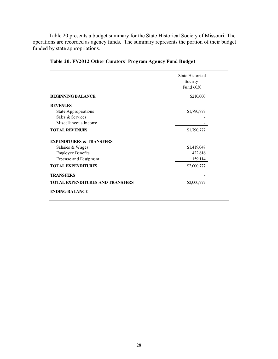Table 20 presents a budget summary for the State Historical Society of Missouri. The operations are recorded as agency funds. The summary represents the portion of their budget funded by state appropriations.

|                                          | State Historical<br>Society<br>Fund 6030 |
|------------------------------------------|------------------------------------------|
| <b>BEGINNING BALANCE</b>                 | \$210,000                                |
| <b>REVENUES</b>                          |                                          |
| <b>State Appropriations</b>              | \$1,790,777                              |
| Sales & Services<br>Miscellaneous Income |                                          |
| <b>TOTAL REVENUES</b>                    | \$1,790,777                              |
| <b>EXPENDITURES &amp; TRANSFERS</b>      |                                          |
| Salaries & Wages                         | \$1,419,047                              |
| <b>Employee Benefits</b>                 | 422,616                                  |
| Expense and Equipment                    | 159,114                                  |
| <b>TOTAL EXPENDITURES</b>                | \$2,000,777                              |
| <b>TRANSFERS</b>                         |                                          |
| <b>TOTAL EXPENDITURES AND TRANSFERS</b>  | \$2,000,777                              |
| <b>ENDING BALANCE</b>                    |                                          |

## **Table 20. FY2012 Other Curators' Program Agency Fund Budget**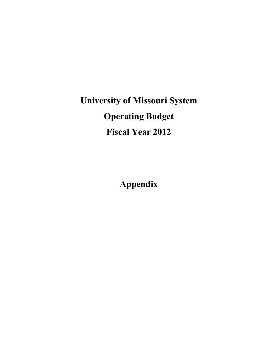**University of Missouri System Operating Budget Fiscal Year 2012** 

**Appendix**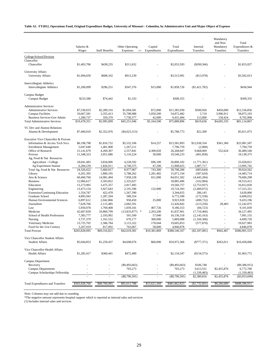#### **Table A1. FY2012, Operations Fund, Original Expenditure Budget, University of Missouri - Columbia, by Administrative Unit and Major Object of Expense**

|                                                                      | Salaries &<br>Wages     | <b>Staff Benefits</b>  | Other Operating<br>Expenses<br>(1) | Capital<br>Expenditures  | Total<br>Expenditures   | Internal<br>Transfers     | Mandatory<br>and Non-<br>Mandatory<br>Transfers | Total<br>Expenditures &<br>Transfers |
|----------------------------------------------------------------------|-------------------------|------------------------|------------------------------------|--------------------------|-------------------------|---------------------------|-------------------------------------------------|--------------------------------------|
| College/School/Division                                              |                         |                        |                                    |                          |                         |                           |                                                 |                                      |
| Chancellor                                                           |                         |                        |                                    |                          |                         |                           |                                                 |                                      |
| Chancellor                                                           | \$1,403,706             | \$438,235              | \$211,652                          |                          | \$2,053,593             | $(\$200,566)$             |                                                 | \$1,853,027                          |
| <b>University Affairs</b><br>University Affairs                      | \$1,994,650             | \$608,102              | \$913,239                          |                          | \$3,515,991             | (\$13,978)                |                                                 | \$3,502,013                          |
| <b>Intercollegiate Athletics</b><br><b>Intercollegiate Athletics</b> | \$1,200,099             | \$296,251              | \$347,376                          | \$15,000                 | \$1,858,726             | (\$1,421,782)             |                                                 | \$436,944                            |
| Campus Budget<br>Campus Budget                                       | \$233,580               | \$74,442               | \$1,333                            |                          | \$309,355               |                           |                                                 | \$309,355                            |
| <b>Administrative Services</b>                                       |                         |                        |                                    |                          |                         |                           |                                                 |                                      |
| <b>Administrative Services</b>                                       | \$7,530,033             | \$2,289,316            | \$1,694,581                        | \$72,000                 | \$11,585,930            | \$500,926                 | \$450,000                                       | \$12,536,856                         |
| <b>Campus Facilities</b>                                             | 10,667,581              | 3,355,413              | 35,798,988                         | 5,050,500                | 54,872,482              | 5,710                     | 3,996,911                                       | 58,875,103                           |
| Business Services-Gen Admin                                          | 1,280,737               | 350,370                | 7,758,377                          | 42,000                   | 9,431,484               | 113,000                   | 158,424                                         | 9,702,908                            |
| <b>Total Administrative Services</b>                                 | \$19,478,351            | \$5,995,099            | \$45,251,946                       | \$5,164,500              | \$75,889,896            | \$619,636                 | \$4,605,335                                     | \$81,114,867                         |
| VC Dev and Alumni Relations<br>Alumni & Development                  | \$7,460,010             | \$2,352,076            | ( \$4,023,313)                     |                          | \$5,788,773             | \$22,300                  |                                                 | \$5,811,073                          |
| Executive Vice Chancellor & Provost                                  |                         |                        |                                    |                          |                         |                           |                                                 |                                      |
| Information & Access Tech Svcs                                       | \$6,198,798             | \$1,816,732            | \$5,552,106                        | \$14,257                 | \$13,581,893            | \$12,038,334              | \$361,360                                       | \$25,981,587                         |
| <b>Enrollment Management</b>                                         | 5,047,640               | 1,481,908              | 1,267,211                          |                          | 7,796,759               | (2,000)                   |                                                 | 7,794,759                            |
| Office of Research                                                   | 15,141,679              | 4,269,307              | 2,557,841                          | 4,300,020                | 26,268,847              | 9,668,069                 | 552,624                                         | 36,489,540                           |
| Provost<br>Ag, Food & Nat Resources                                  | 11,348,323              | 3,051,686              | 5,110,224                          | 30,000                   | 19,540,233              | (401, 858)                | ÷,                                              | 19,138,375                           |
| Agriculture - College                                                | 18,041,483              | 3,834,006              | 4,228,592                          | 696,100                  | 26,800,182              | (1,771,361)               | ×,                                              | 25,028,821                           |
| Ag Experiment Station                                                | 6,284,539               | 1,826,911              | 4,749,375                          | 47,200                   | 12,908,025              | 1,087,717                 | $\sim$                                          | 13,995,742                           |
| Total Ag, Food & Nat Resources                                       | 24,326,022              | 5,660,917              | 8,977,967                          | 743,300                  | 39,708,206              | (683, 644)                |                                                 | 39,024,562                           |
| Library                                                              | 6,201,395               | 1,800,195              | 5,788,262                          | 1,281,482                | 15,071,334              | (587, 620)                | ÷,                                              | 14,483,714                           |
| Arts & Science                                                       | 60,460,760              | 14,981,494             | 7,958,328                          | 651,000                  | 84,051,582              | (4,445,284)               |                                                 | 79,606,298                           |
| <b>Business</b>                                                      | 12,966,617              | 3,593,852              | 2,325,027                          | $\overline{\phantom{a}}$ | 18,885,496              | (332,084)                 |                                                 | 18,553,412                           |
| Education                                                            | 13,273,905              | 3,475,357              | 2,817,495                          |                          | 19,566,757              | (2,753,937)               | ÷,                                              | 16,812,820                           |
| Engineering                                                          | 13,473,154              | 3,927,643              | 2,191,596                          | 132,000                  | 19,724,393              | (2,409,072)               |                                                 | 17,315,321                           |
| <b>Extension/Continuing Education</b>                                | 1,354,787               | 422,478                | 1,567,390                          | ÷,                       | 3,344,655               | 286,145                   | ÷,                                              | 3,630,800                            |
| Graduate School                                                      | 4,895,942               | 1,287,294              | 589,354                            |                          | 6,772,590               | (172, 558)                | ä,                                              | 6,600,032                            |
| Human Environmental Sciences                                         | 6,897,612               | 2,042,866              | 958,450                            | 25,000                   | 9,923,928               | (490, 732)                |                                                 | 9,433,196                            |
| Journalism                                                           | 7,628,766               | 2,115,485              | 2,682,591                          |                          | 12,426,842              | (213, 250)                | 28,483                                          | 12,242,075                           |
| Law                                                                  | 5,950,078               | 1,769,408              | 1,059,341                          | 407,726                  | 9,186,553               | (84, 723)                 | ä,                                              | 9,101,830                            |
| Medicine                                                             | 42,607,839              | 10,860,799             | $(13,833,877)$ *                   | 2,203,200                | 41,837,961              | (7,710,466)               | ÷,                                              | 34,127,495                           |
| School of Health Professions                                         | 7,383,777               | 2,193,992              | 501,509<br>670.177                 | 57,040                   | 10,136,318<br>5,869,088 | (2, 145, 163)             |                                                 | 7,991,155<br>4,699,720               |
| Nursing<br>Veterinary Medicine                                       | 3,737,379<br>13,725,702 | 1,161,532<br>2,586,784 | 3,115,322                          | 300,000<br>178,044       | 19,605,853              | (1,169,368)<br>(577, 870) |                                                 | 19,027,983                           |
| Food for the 21st Century                                            | 3,207,919               | 817,092                | 763,067                            | 58,800                   | 4,846,878               |                           |                                                 | 4,846,878                            |
| <b>Total Provost</b>                                                 | \$265,828,095           | \$69,316,821           | \$42,619,381                       | \$10,381,869             | \$388,146,167           | (S2, 187, 081)            | \$942,467                                       | \$386,901,553                        |
|                                                                      |                         |                        |                                    |                          |                         |                           |                                                 |                                      |
| Vice Chancellor Student Affairs<br><b>Student Affairs</b>            | \$5,044,853             | \$1,259,437            | \$4,608,076                        | \$60,000                 | \$10,972,366            | $(\$777,371)$             | \$263,011                                       | \$10,458,006                         |
|                                                                      |                         |                        |                                    |                          |                         |                           |                                                 |                                      |
| Vice Chancellor-Health Affairs<br><b>Health Affairs</b>              | \$1,285,417             | \$360,441              | \$472,489                          |                          | \$2,118,347             | (\$154,575)               |                                                 | \$1,963,772                          |
| <b>Campus Department</b>                                             |                         |                        |                                    |                          |                         |                           |                                                 |                                      |
| Recovery                                                             |                         |                        | ( \$9,493,663)                     |                          | (S9, 493, 663)          | \$106,748                 |                                                 | $(\$9,386,915)$                      |
| <b>Campus Departments</b>                                            |                         |                        | 703,273                            |                          | 703,273                 | 3,613,551                 | \$2,455,876                                     | 6,772,700                            |
| Campus Scholarships Fellowship                                       |                         |                        |                                    |                          |                         | (1,339,483)               |                                                 | (1,339,483)                          |
|                                                                      |                         |                        | $(\$8,790,391)$                    |                          | $(\$8,790,391)$         | \$2,380,816               | \$2,455,876                                     | $(\$3,953,699)$                      |
| <b>Total Expenditures and Transfers</b>                              | \$303,928,760           | \$80,700,905           | \$81,611,788                       | \$15,621,369             | \$481,862,823           | (\$1,732,601)             | \$8,266,689                                     | \$488,396,911                        |

Note: Columns may not add due to rounding

\*The negative amount represents hospital support which is reported as internal sales and services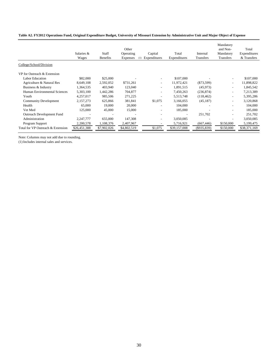#### **Table A2. FY2012 Operations Fund, Original Expenditure Budget, University of Missouri Extension by Administrative Unit and Major Object of Expense**

|                                   | Salaries &<br>Wages | Staff<br><b>Benefits</b> | Other<br>Operating<br>Expenses<br>(1) | Capital<br>Expenditures      | Total<br>Expenditures    | Internal<br><b>Transfers</b> | Mandatory<br>and Non-<br>Mandatory<br>Transfers | Total<br>Expenditures<br>& Transfers |
|-----------------------------------|---------------------|--------------------------|---------------------------------------|------------------------------|--------------------------|------------------------------|-------------------------------------------------|--------------------------------------|
| College/School/Division           |                     |                          |                                       |                              |                          |                              |                                                 |                                      |
| VP for Outreach & Extension       |                     |                          |                                       |                              |                          |                              |                                                 |                                      |
| <b>Labor Education</b>            | \$82,000            | \$25,000                 |                                       |                              | \$107,000                |                              |                                                 | \$107,000                            |
| Agriculture & Natural Res         | 8,649,108           | 2,592,052                | \$731,261                             | $\overline{\phantom{a}}$     | 11,972,421               | $(\$73,599)$                 | $\tilde{\phantom{a}}$                           | 11,898,822                           |
| Business & Industry               | 1,364,535           | 403,940                  | 123,040                               | $\qquad \qquad \blacksquare$ | 1,891,515                | (45, 973)                    | ٠                                               | 1,845,542                            |
| Human Environmental Sciences      | 5,303,100           | 1,442,286                | 704,877                               | $\qquad \qquad \blacksquare$ | 7,450,263                | (236, 874)                   | $\overline{\phantom{a}}$                        | 7,213,389                            |
| Youth                             | 4,257,017           | 985,506                  | 271,225                               | ۰                            | 5,513,748                | (118, 462)                   | $\overline{\phantom{a}}$                        | 5,395,286                            |
| <b>Community Development</b>      | 2,157,273           | 625,866                  | 381,841                               | \$1,075                      | 3,166,055                | (45, 187)                    | $\overline{\phantom{a}}$                        | 3,120,868                            |
| Health                            | 65,000              | 19,000                   | 20,000                                | $\overline{\phantom{a}}$     | 104,000                  |                              |                                                 | 104,000                              |
| Vet Med                           | 125,000             | 45,000                   | 15,000                                | $\overline{\phantom{a}}$     | 185,000                  |                              |                                                 | 185,000                              |
| Outreach Development Fund         |                     |                          |                                       | -                            | $\overline{\phantom{a}}$ | 251,702                      |                                                 | 251,702                              |
| Administration                    | 2,247,777           | 655,000                  | 147,308                               | ۰                            | 3,050,085                | ۰                            |                                                 | 3,050,085                            |
| Program Support                   | 2,200,578           | 1,108,376                | 2,407,967                             |                              | 5,716,921                | (667, 446)                   | \$150,000                                       | 5,199,475                            |
| Total for VP Outreach & Extension | \$26,451,388        | \$7,902,026              | \$4,802,519                           | \$1,075                      | \$39,157,008             | (\$935,839)                  | \$150,000                                       | \$38,371,169                         |

Note: Columns may not add due to rounding.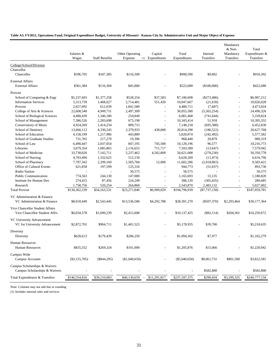#### **Table A3. FY2012, Operations Fund, Original Expenditure Budget, University of Missouri - Kansas City by Administrative Unit and Major Object of Expense**

|                                                                  | Salaries &<br>Wages | <b>Staff Benefits</b> | Other Operating<br>Expense | Capital<br>(1) Expenditures | Total<br>Expenditures | Internal<br>Transfers | Mandatory<br>& Non-<br>Mandatory<br>Transfers | Total<br>Expenditures &<br>Transfers |
|------------------------------------------------------------------|---------------------|-----------------------|----------------------------|-----------------------------|-----------------------|-----------------------|-----------------------------------------------|--------------------------------------|
| College/School/Division                                          |                     |                       |                            |                             |                       |                       |                                               |                                      |
| Chancellor                                                       |                     |                       |                            |                             |                       |                       |                                               |                                      |
| Chancellor                                                       | \$596,705           | \$187,385             | \$116,500                  |                             | \$900,590             | \$9,802               |                                               | \$910,392                            |
| <b>External Affairs</b>                                          |                     |                       |                            |                             |                       |                       |                                               |                                      |
| <b>External Affairs</b>                                          | \$361,384           | \$116,304             | \$45,000                   |                             | \$522,688             | (\$100,000)           |                                               | \$422,688                            |
|                                                                  |                     |                       |                            |                             |                       |                       |                                               |                                      |
| Provost                                                          |                     |                       |                            |                             |                       |                       |                                               |                                      |
| School of Computing & Engr                                       | \$5,237,603         | \$1,377,258           | \$528,254                  | \$37,583                    | \$7,180,698           | $(\$273,486)$         | $\overline{\phantom{a}}$                      | \$6,907,212                          |
| <b>Information Services</b>                                      | 5,313,739           | 1,468,027             | 2,714,481                  | 551,420                     | 10,047,667            | (21, 639)             | $\overline{a}$                                | 10,026,028                           |
| Provost                                                          | 2,027,092           | 612,039               | 1,841,580                  | $\overline{a}$              | 4,480,711             | (7,687)               | $\overline{\phantom{a}}$                      | 4,473,024                            |
| College of Arts & Sciences                                       | 22,608,540          | 4,949,731             | 2,497,309                  | $\overline{a}$              | 30,055,580            | (5,565,254)           | $\overline{\phantom{a}}$                      | 24,490,326                           |
| School of Biological Sciences                                    | 4,480,439           | 1,346,180             | 254,849                    | $\overline{\phantom{a}}$    | 6,081,468             | (741, 644)            | $\overline{a}$                                | 5,339,824                            |
| School of Management                                             | 7,386,526           | 2,283,698             | 673,190                    | $\overline{a}$              | 10,343,414            | 51,918                | $\overline{\phantom{a}}$                      | 10,395,332                           |
| Conservatory of Music                                            | 4,924,269           | 1,414,234             | 809,715                    | $\overline{\phantom{a}}$    | 7,148,218             | (695,388)             | $\sim$                                        | 6,452,830                            |
| School of Dentistry                                              | 13,666,112          | 4,330,245             | 2,379,933                  | 438,000                     | 20,814,290            | (186, 522)            | $\overline{a}$                                | 20,627,768                           |
| School of Education                                              | 4,158,199           | 1,217,986             | 443,889                    | $\overline{a}$              | 5,820,074             | (242, 492)            | $\overline{a}$                                | 5,577,582                            |
| School of Graduate Studies                                       | 731,765             | 217,279               | 19,396                     | $\overline{a}$              | 968,440               | 20,879                | $\overline{\phantom{a}}$                      | 989,319                              |
| School of Law                                                    | 6,490,447           | 2,037,054             | 847,195                    | 745,500                     | 10,120,196            | 96,577                | $\overline{\phantom{a}}$                      | 10,216,773                           |
| Libraries                                                        | 3,679,354           | 1,085,865             | 2,116,653                  | 711,717                     | 7,593,589             | (13, 647)             | $\overline{a}$                                | 7,579,942                            |
| School of Medicine                                               | 33,738,026          | 7,142,711             | 5,237,462                  | 4,502,809                   | 50,621,008            | (270, 230)            | $\overline{a}$                                | 50,350,778                           |
| School of Nursing                                                | 4,783,494           | 1,332,625             | 512,150                    |                             | 6,628,269             | (11, 473)             | $\overline{\phantom{a}}$                      | 6,616,796                            |
| School of Pharmacy                                               | 7,707,342           | 2,299,160             | 1,583,784                  | 12,000                      | 11,602,286            | (2,018,865)           | $\overline{a}$                                | 9,583,421                            |
| Office of Cultural Events                                        | 621,858             | 197,599               | 125,316                    |                             | 944,773               | (51,037)              | $\overline{a}$                                | 893,736                              |
| Radio Station                                                    |                     |                       | 50,575                     |                             | 50,575                |                       | ÷                                             | 50,575                               |
| <b>Public Communication</b>                                      | 774,563             | 244,130               | 147,000                    |                             | 1,165,693             | 15,135                | $\overline{a}$                                | 1,180,828                            |
| <b>Institute for Human Dev</b>                                   | 274,415             | 87,456                | 224,249                    |                             | 586,120               | (305, 435)            | $\overline{a}$                                | 280,685                              |
| Research                                                         | 1,758,756           | 520,254               | 264,860                    | $\overline{\phantom{a}}$    | 2,543,870             | 2,483,132             | $\overline{\phantom{a}}$                      | 5,027,002                            |
| <b>Total Provost</b>                                             | \$130,362,539       | \$34,163,531          | \$23,271,840               | \$6,999,029                 | \$194,796,939         | $(\$7,737,158)$       | $\overline{\phantom{a}}$                      | \$187,059,781                        |
|                                                                  |                     |                       |                            |                             |                       |                       |                                               |                                      |
| VC Administration & Finance<br>VC Administration & Finance       | \$8,018,449         | \$2,543,445           | \$13,536,588               | \$4,292,788                 | \$28,391,270          | $(\$507,370)$         | \$2,293,464                                   | \$30,177,364                         |
| Vice Chancellor Student Affairs<br>Vice Chancellor Student Affrs | \$6,034,578         | \$1,690,239           | \$2,412,608                |                             | \$10,137,425          | $(\$82,114)$          | \$204,361                                     | \$10,259,672                         |
| VC University Advancement<br>VC for University Advancement       | \$2,872,701         | \$904,711             | \$1,401,523                |                             | \$5,178,935           | \$39,700              |                                               | \$5,218,635                          |
| Diversity<br>Diversity                                           | \$628,613           | \$179,439             | \$286,250                  |                             | \$1,094,302           | \$7,977               | $\overline{a}$                                | \$1,102,279                          |
| <b>Human Resources</b><br><b>Human Resources</b>                 | \$835,552           | \$269,324             | \$101,000                  |                             | \$1,205,876           | \$15,066              |                                               | \$1,220,942                          |
| Campus Wide<br>Campus Accounts                                   | $(\$3,155,705)$     | $(\$844,295)$         | (\$1,040,650)              |                             | $(\$5,040,650)$       | \$8,061,731           | \$801,500                                     | \$3,822,581                          |
| Campus Scholarships & Waivers<br>Campus Scholarships & Waivers   |                     |                       |                            |                             |                       | \$582,800             |                                               | \$582,800                            |
| Total Expenditures & Transfers                                   | \$146,554,816       | \$39,210,083          | \$40,130,659               | \$11,291,817                | \$237,187,375         | \$290,434             | \$3,299,325                                   | \$240,777,134                        |
|                                                                  |                     |                       |                            |                             |                       |                       |                                               |                                      |

Note: Columns may not add due to rounding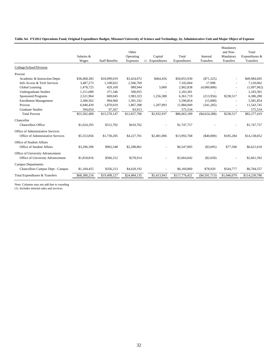|  |  |  |  |  |  |  | Table A4. FY2012 Operations Fund, Original Expenditure Budget, Missouri University of Science and Technology, by Administrative Unit and Major Object of Expense |
|--|--|--|--|--|--|--|------------------------------------------------------------------------------------------------------------------------------------------------------------------|
|--|--|--|--|--|--|--|------------------------------------------------------------------------------------------------------------------------------------------------------------------|

|                                                                        | Salaries &<br>Wages | <b>Staff Benefits</b> | Other<br>Operating<br>Expenses | Capital<br>(1) Expenditures | Total<br>Expenditures | Internal<br>Transfers | Mandatory<br>and Non-<br>Mandatory<br>Transfers | Total<br>Expenditures &<br>Transfers |
|------------------------------------------------------------------------|---------------------|-----------------------|--------------------------------|-----------------------------|-----------------------|-----------------------|-------------------------------------------------|--------------------------------------|
| College/School/Division                                                |                     |                       |                                |                             |                       |                       |                                                 |                                      |
| Provost                                                                |                     |                       |                                |                             |                       |                       |                                                 |                                      |
| Academic & Instruction Depts                                           | \$36,068,383        | \$10,099,019          | \$3,424,072                    | \$464,456                   | \$50,055,930          | $(\$71,325)$          |                                                 | \$49,984,605                         |
| Info Access & Tech Services                                            | 3,487,273           | 1,108,022             | 2,506,769                      |                             | 7,102,064             | 17.998                |                                                 | 7,120,062                            |
| Global Learning                                                        | 1,478,725           | 429,169               | 989.944                        | 5,000                       | 2,902,838             | (4,000,800)           |                                                 | (1,097,962)                          |
| <b>Undergraduate Studies</b>                                           | 1,311,000           | 371,346               | 500,955                        |                             | 2,183,301             |                       |                                                 | 2,183,301                            |
| <b>Sponsored Programs</b>                                              | 2,521,964           | 600,045               | 1,983,323                      | 1,256,388                   | 6,361,719             | (213,956)             | \$238.517                                       | 6,386,280                            |
| <b>Enrollment Management</b>                                           | 3,300,562           | 994,960               | 1,301,332                      |                             | 5,596,854             | (15,000)              |                                                 | 5,581,854                            |
| Provost                                                                | 6,940,439           | 1,870,019             | 1,867,398                      | 1,207,093                   | 11,884,949            | (341, 205)            |                                                 | 11,543,745                           |
| <b>Graduate Studies</b>                                                | 394,054             | 97,567                | 83,913                         |                             | 575,534               |                       |                                                 | 575,534                              |
| <b>Total Provost</b>                                                   | \$55,502,400        | \$15,570,147          | \$12,657,706                   | \$2,932,937                 | \$86,663,189          | ( \$4,624,288)        | \$238,517                                       | \$82,277,419                         |
| Chancellor<br>Chancellors Office                                       | \$1,024,293         | \$312,702             | \$410,762                      |                             | \$1,747,757           |                       |                                                 | \$1,747,757                          |
| Office of Administrative Services<br>Office of Administrative Services | \$5,553,856         | \$1,730,205           | \$4,227,701                    | \$2,481,006                 | \$13,992,768          | $(\$40,000)$          | \$185,284                                       | \$14,138,052                         |
| Office of Student Affairs<br>Office of Student Affairs                 | \$3,296,396         | \$962,548             | \$2,288,861                    |                             | \$6,547,805           | ( \$3,695)            | \$77,500                                        | \$6,621,610                          |
| Office of University Advancement<br>Office of University Advancement   | \$1,818,816         | \$566,312             | \$278,914                      |                             | \$2,664,042           | (\$2,650)             |                                                 | \$2,661,392                          |
| <b>Campus Departments</b><br>Chancellors Campus Dept - Campus          | \$1,184,455         | \$356,213             | \$4,620,192                    |                             | \$6,160,860           | \$78,920              | \$544,777                                       | \$6,784,557                          |
| Total Expenditures & Transfers                                         | \$68,380,216        | \$19,498,127          | \$24,484,135                   | \$5,413,943                 | \$117,776,421         | (S4.591.713)          | \$1,046,079                                     | \$114,230,786                        |

Note: Columns may not add due to rounding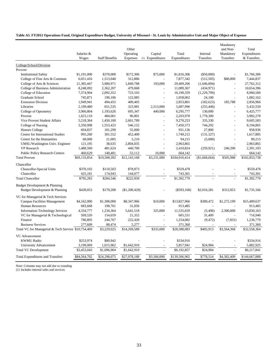#### **Table A5. FY2012 Operations Fund, Original Expenditure Budget, University of Missouri - St. Louis by Administrative Unit and Major Object of Expense**

|                                                     |              |                       |                 |                  |               |               | Mandatory      |               |
|-----------------------------------------------------|--------------|-----------------------|-----------------|------------------|---------------|---------------|----------------|---------------|
|                                                     |              |                       | Other           |                  |               |               | and Non-       | Total         |
|                                                     | Salaries &   |                       | Operating       | Capital          | Total         | Internal      | Mandatory      | Expenditures  |
|                                                     | Wages        | <b>Staff Benefits</b> | <b>Expenses</b> | (1) Expenditures | Expenditures  | Transfers     | Transfers      | & Transfers   |
| College/School/Division                             |              |                       |                 |                  |               |               |                |               |
| Provost                                             |              |                       |                 |                  |               |               |                |               |
| <b>Institutional Safety</b>                         | \$1,191,000  | \$378,000             | \$172,306       | \$75,000         | \$1,816,306   | $(\$50,000)$  |                | \$1,766,306   |
| College of Fine Arts & Commun                       | 6,051,416    | 1,513,040             | 312,886         |                  | 7,877,342     | (512, 505)    | \$80,000       | 7,444,837     |
| College of Arts & Sciences                          | 21,385,447   | 5,980,971             | 1,849,788       | 193,000          | 29,409,206    | (1,646,894)   | $\overline{a}$ | 27,762,312    |
| College of Business Administration                  | 8,248,092    | 2,362,207             | 479,068         |                  | 11,089,367    | (434, 971)    | L,             | 10,654,396    |
| College of Education                                | 7,374,904    | 2,092,352             | 723,103         | $\overline{a}$   | 10,190,359    | (1,229,799)   | $\overline{a}$ | 8,960,560     |
| <b>Graduate School</b>                              | 745,871      | 190,106               | 122,085         |                  | 1,058,062     | 24,100        |                | 1,082,162     |
| <b>Extension Division</b>                           | 1,949,941    | 494,455               | 409,405         |                  | 2,853,801     | (182, 623)    | 185,788        | 2,856,966     |
| Libraries                                           | 2,199,480    | 651,535               | 323,981         | 2,513,000        | 5,687,996     | (255, 446)    |                | 5,432,550     |
| College of Optometry                                | 3,966,804    | 1,193,626             | 695,347         | 440,000          | 6,295,777     | 130,000       | $\overline{a}$ | 6,425,777     |
| Provost                                             | 1,623,116    | 484,061               | 96,801          |                  | 2,203,978     | 1,778,300     |                | 3,982,278     |
| Vice Provost Student Affairs                        | 5,218,364    | 1,450,100             | 2,601,789       |                  | 9,270,253     | 335,330       |                | 9,605,583     |
| College of Nursing                                  | 5,350,998    | 1,553,423             | 546,152         |                  | 7,450,573     | 744,292       |                | 8,194,865     |
| <b>Honors College</b>                               | 694,837      | 181,299               | 55,000          | $\overline{a}$   | 931,136       | 27,800        |                | 958,936       |
| Center for International Studies                    | 995,260      | 301,552               | 452,400         | $\overline{a}$   | 1,749,212     | (131, 327)    | $\overline{a}$ | 1,617,885     |
| Center for the Humanities                           | 68,000       | 21,005                | 5,210           |                  | 94,215        | (5,000)       |                | 89,215        |
| UMSL/Washington Univ. Engineer                      | 121,195      | 38,635                | 2,804,035       | $\overline{a}$   | 2,963,865     |               | $\overline{a}$ | 2,963,865     |
| <b>VP</b> Research                                  | 1,488,500    | 481,624               | 440,700         |                  | 2,410,824     | (259, 921)    | 240,200        | 2,391,103     |
| <b>Public Policy Research Centers</b>               | 460,629      | 140,401               | 53,112          | 10,000           | 664,142       |               |                | 664,142       |
| <b>Total Provost</b>                                | \$69,133,854 | \$19,508,392          | \$12,143,168    | \$3,231,000      | \$104,016,414 | (\$1,668,664) | \$505,988      | \$102,853,738 |
| Chancellor                                          |              |                       |                 |                  |               |               |                |               |
| <b>Chancellor-Special Units</b>                     | \$370,102    | \$110,503             | \$78,873        |                  | \$559,478     |               |                | \$559,478     |
| Chancellor                                          | 425,181      | 174,043               | 144,077         |                  | 743,301       |               |                | 743,301       |
| <b>Total Chancellor</b>                             | \$795,283    | \$284,546             | \$222,950       |                  | \$1,302,779   |               |                | \$1,302,779   |
|                                                     |              |                       |                 |                  |               |               |                |               |
| Budget Development & Planning                       |              |                       |                 |                  |               |               |                |               |
| Budget Development & Planning                       | \$428,053    | \$179,208             | (\$1,200,429)   |                  | $(\$593,168)$ | \$2,016,281   | \$312,053      | \$1,735,166   |
| VC for Managerial & Tech Services                   |              |                       |                 |                  |               |               |                |               |
| <b>Campus Facilities Management</b>                 | \$4,162,000  | \$1,308,000           | \$8,347,966     | \$10,000         | \$13,827,966  | \$389,472     | \$1,272,199    | \$15,489,637  |
| Human Resources                                     | 683,668      | 198,761               | 31,056          |                  | 913,485       |               |                | 913,485       |
| <b>Information Technology Services</b>              | 4,334,777    | 1,234,364             | 5,641,518       | 325,000          | 11,535,659    | (5, 496)      | 2,300,000      | 13,830,163    |
| VC for Managerial & Technological                   | 509,520      | 154,659               | 21,352          |                  | 685,531       | 31,409        |                | 716,940       |
| Finance                                             | 786,895      | 244,767               | 222,420         |                  | 1,254,082     | (9, 472)      | (7, 831)       | 1,236,779     |
| <b>Business Services</b>                            | 277,609      | 88,474                | 5,277           |                  | 371,360       |               |                | 371,360       |
| Total VC for Managerial & Tech Service \$10,754,469 |              | \$3,229,025           | \$14,269,589    | \$335,000        | \$28,588,083  | \$405,913     | \$3,564,368    | \$32,558,364  |
|                                                     |              |                       |                 |                  |               |               |                |               |
| VC Advancement                                      |              |                       |                 |                  |               |               |                |               |
| <b>KWMU Radio</b>                                   | \$253,974    | \$80,942              |                 |                  | \$334,916     |               |                | \$334,916     |
| University Advancement                              | 3,199,069    | 1,015,962             | \$1,642,910     |                  | 5,857,941     | \$24,984      |                | 5,882,925     |
| <b>Total VC Development</b>                         | \$3,453,043  | \$1,096,904           | \$1,642,910     |                  | \$6,192,857   | \$24,984      |                | \$6,217,841   |
| <b>Total Expenditures and Transfers</b>             | \$84,564,702 | \$24,298,075          | \$27,078,188    | \$3,566,000      | \$139,506,965 | \$778,514     | \$4,382,409    | \$144,667,888 |

Note: Columns may not add due to rounding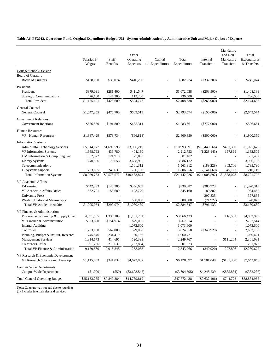**Table A6. FY2012, Operations Fund, Original Expenditure Budget, UM - System Administration by Administrative Unit and Major Object of Expense**

|                                       | Salaries &<br>Wages | Staff<br><b>Benefits</b> | Other<br>Operating<br>Expenses | Capital<br>(1) Expenditures | Total<br>Expenditures    | Internal<br>Transfers | Mandatory<br>and Non-<br>Mandatory<br>Transfers | Total<br>Expenditures<br>& Transfers |
|---------------------------------------|---------------------|--------------------------|--------------------------------|-----------------------------|--------------------------|-----------------------|-------------------------------------------------|--------------------------------------|
| College/School/Division               |                     |                          |                                |                             |                          |                       |                                                 |                                      |
| <b>Board of Curators</b>              |                     |                          |                                |                             |                          |                       |                                                 |                                      |
| <b>Board of Curators</b>              | \$128,000           | \$38,074                 | \$416,200                      |                             | \$582,274                | $(\$337,200)$         |                                                 | \$245,074                            |
|                                       |                     |                          |                                |                             |                          |                       |                                                 |                                      |
| President                             |                     |                          |                                |                             |                          |                       |                                                 |                                      |
| President                             | \$979,091           | \$281,400                | \$411,547                      | $\overline{a}$              | \$1,672,038              | $(\$263,900)$         |                                                 | \$1,408,138                          |
| Strategic Communications              | 476,100             | 147,200                  | 113,200                        |                             | 736,500                  |                       |                                                 | 736,500                              |
| <b>Total President</b>                | \$1,455,191         | \$428,600                | \$524,747                      |                             | \$2,408,538              | $(\$263,900)$         | $\overline{\phantom{a}}$                        | \$2,144,638                          |
| General Counsel                       |                     |                          |                                |                             |                          |                       |                                                 |                                      |
| General Counsel                       | \$1,647,355         | \$476,700                | \$669,519                      | $\overline{a}$              | \$2,793,574              | (\$150,000)           |                                                 | \$2,643,574                          |
| <b>Government Relations</b>           |                     |                          |                                |                             |                          |                       |                                                 |                                      |
| <b>Government Relations</b>           | \$656,550           | \$191,800                | \$435,311                      | $\overline{a}$              | \$1,283,661              | $(\$777,000)$         |                                                 | \$506,661                            |
|                                       |                     |                          |                                |                             |                          |                       |                                                 |                                      |
| <b>Human Resources</b>                |                     |                          |                                |                             |                          |                       |                                                 |                                      |
| VP - Human Resources                  | \$1,887,429         | \$579,734                | $(\$66,813)$                   |                             | \$2,400,350              | $(\$500,000)$         |                                                 | \$1,900,350                          |
| <b>Information Systems</b>            |                     |                          |                                |                             |                          |                       |                                                 |                                      |
| Admin Info Technology Services        | \$5,314,077         | \$1,693,595              | \$3,986,219                    |                             | \$10,993,891             | (\$10,449,566)        | \$481,350                                       | \$1,025,675                          |
| VP Information Systems                | 1,368,793           | 439,780                  | 404,180                        |                             | 2,212,753                | (1,228,143)           | 197,899                                         | 1,182,509                            |
| UM Information & Computing Svc        | 382,522             | 121,910                  | 77,050                         |                             | 581,482                  |                       |                                                 | 581,482                              |
| <b>Library Systems</b>                | 240,526             | 76,656                   | 3,668,950                      |                             | 3,986,132                |                       | $\overline{a}$                                  | 3,986,132                            |
| Telecommunications                    | $\overline{a}$      | $\overline{a}$           | 1,561,312                      | $\overline{\phantom{a}}$    | 1,561,312                | (189, 228)            | 363,706                                         | 1,735,790                            |
| IT Systems Support                    | 773,865             | 246,631                  | 786,160                        | $\overline{a}$              | 1,806,656                | (2,141,660)           | 545,123                                         | 210,119                              |
| <b>Total Information Systems</b>      | \$8,079,783         | \$2,578,572              | \$10,483,871                   |                             | \$21,142,226             | (\$14,008,597)        | \$1,588,078                                     | \$8,721,707                          |
|                                       |                     |                          |                                |                             |                          |                       |                                                 |                                      |
| <b>VP</b> Academic Affairs            |                     |                          |                                |                             |                          |                       |                                                 |                                      |
| E-Learning                            | \$442,333           | \$140,385                | \$356,669                      |                             | \$939,387                | \$380,923             |                                                 | \$1,320,310                          |
| VP Academic Affairs Office            | 562,701             | 158,689                  | 123,770                        |                             | 845,160                  | 89,302                |                                                 | 934,462                              |
| <b>University Press</b>               | ÷,                  |                          |                                | $\overline{a}$              | $\overline{\phantom{a}}$ | 397,835               | $\overline{a}$                                  | 397,835                              |
| <b>Western Historical Manuscripts</b> |                     |                          | 600,000                        |                             | 600,000                  | (71, 927)             |                                                 | 528,073                              |
| <b>Total VP Academic Affairs</b>      | \$1,005,034         | \$299,074                | \$1,080,439                    |                             | \$2,384,547              | \$796,133             |                                                 | \$3,180,680                          |
| VP Finance & Administration           |                     |                          |                                |                             |                          |                       |                                                 |                                      |
| Procurement-Sourcing & Supply Chain   | 4,091,505           | 1,336,189                | (1,461,261)                    |                             | \$3,966,433              |                       | 116,562                                         | \$4,082,995                          |
| VP Finance & Administration           | \$533,600           | \$154,914                | \$79,000                       |                             | \$767,514                |                       | $\overline{a}$                                  | \$767,514                            |
| <b>Internal Auditing</b>              | $\overline{a}$      | $\mathbb{L}$             | 1,073,600                      |                             | 1,073,600                |                       | $\overline{a}$                                  | 1,073,600                            |
| Controller                            | 1,783,000           | 562,000                  | 679,058                        | $\overline{\phantom{a}}$    | 3,024,058                | $(\$340,920)$         | $\overline{a}$                                  | 2,683,138                            |
| Planning, Budget & Institut. Research | 745,846             | 234,419                  | 80,156                         | $\overline{a}$              | 1,060,421                |                       | $\overline{a}$                                  | 1,060,421                            |
| <b>Management Services</b>            | 1,314,673           | 414,695                  | 520,399                        |                             | 2,249,767                |                       | \$111,264                                       | 2,361,031                            |
| Treasurer's Office                    | 691,236             | 213,631                  | (702, 894)                     | $\overline{\phantom{a}}$    | 201,973                  |                       |                                                 | 201,973                              |
| Total VP Finance & Administration     |                     |                          |                                |                             |                          | (340, 920)            | 227,826                                         | 12,230,672                           |
|                                       | 9,159,860           | 2,915,848                | 268,058                        |                             | 12,343,766               |                       |                                                 |                                      |
| VP Research & Economic Development    |                     |                          |                                |                             |                          |                       |                                                 |                                      |
| VP Research & Economic Develop        | \$1,115,033         | \$341,032                | \$4,672,032                    |                             | \$6,128,097              | \$1,701,049           | (\$185,300)                                     | \$7,643,846                          |
| Campus Wide Departments               |                     |                          |                                |                             |                          |                       |                                                 |                                      |
| <b>Campus Wide Departments</b>        | (\$1,000)           | (\$50)                   | $(\$3,693,545)$                | $\overline{a}$              | $(\$3,694,595)$          | \$4,248,239           | $(\$885,881)$                                   | $(\$332,237)$                        |
|                                       |                     |                          |                                |                             |                          |                       |                                                 |                                      |
| <b>Total General Operating Budget</b> | \$25,133,235        | \$7,849,384              | \$14,789,819                   |                             | \$47,772,438             | $(\$9,632,196)$       | \$744,723                                       | \$38,884,965                         |

Note: Columns may not add due to rounding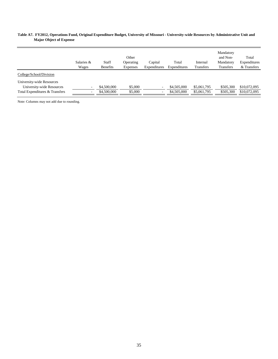#### **Table A7. FY2012, Operations Fund, Original Expenditure Budget, University of Missouri - University-wide Resources by Administrative Unit and Major Object of Expense**

|                                                                                          | Salaries &<br>Wages                                  | Staff<br><b>Benefits</b>   | Other<br>Operating<br><b>Expenses</b> | Capital<br>Expenditures | Total<br>Expenditures      | Internal<br>Transfers      | Mandatory<br>and Non-<br>Mandatory<br>Transfers | Total<br>Expenditures<br>& Transfers |
|------------------------------------------------------------------------------------------|------------------------------------------------------|----------------------------|---------------------------------------|-------------------------|----------------------------|----------------------------|-------------------------------------------------|--------------------------------------|
| College/School/Division                                                                  |                                                      |                            |                                       |                         |                            |                            |                                                 |                                      |
| University-wide Resources<br>University-wide Resources<br>Total Expenditures & Transfers | $\overline{\phantom{a}}$<br>$\overline{\phantom{a}}$ | \$4,500,000<br>\$4,500,000 | \$5,000<br>\$5,000                    | ۰<br>$\sim$             | \$4,505,000<br>\$4,505,000 | \$5,061,795<br>\$5,061,795 | \$505,300<br>\$505,300                          | \$10,072,095<br>\$10,072,095         |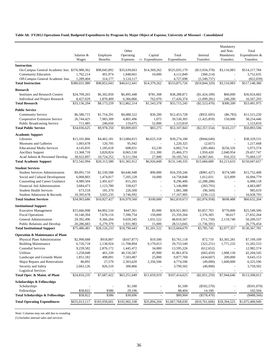#### **Table A8. FY2012 Operations Fund, Budgeted Expenditures by Program by Major Object of Expense, University of Missouri - Consolidated**

|                                                |               |                 |                          |                          |                 |                  | Mandatory                |                 |
|------------------------------------------------|---------------|-----------------|--------------------------|--------------------------|-----------------|------------------|--------------------------|-----------------|
|                                                |               |                 | Other                    |                          |                 |                  | and Non-                 | Total           |
|                                                | Salaries &    | Employee        | Operating                | Capital                  | Total           | Internal         | Mandatory                | Expenditures &  |
|                                                | Wages         | <b>Benefits</b> | Expenses                 | (1) Expenditures         | Expenditures    | Transfers        | Transfers                | Transfers       |
| <b>Instruction</b>                             |               |                 |                          |                          |                 |                  |                          |                 |
| On-Campus General Academic Inst. \$376,980,362 |               | \$98,045,892    | \$35,639,663             | \$14,369,262             | \$525,035,179   | (\$13,934,378)   | \$3,116,983              | \$514,217,784   |
| <b>Community Education</b>                     | 1,762,214     | 491,974         | 1,848,661                | 10,000                   | 4,112,849       | (360, 214)       | $\overline{\phantom{a}}$ | 3,752,635       |
| Off-Campus General Academic Inst.              | 1,289,404     | 314,177         | 3,124,117                |                          | 4,727,698       | (5,549,737)      |                          | (822, 039)      |
| <b>Total Instruction</b>                       | \$380,031,980 | \$98,852,043    | $\overline{$40,612,441}$ | \$14,379,262             | \$533,875,726   | $(\$19,844,329)$ | \$3,116,983              | \$517,148,380   |
| <b>Research</b>                                |               |                 |                          |                          |                 |                  |                          |                 |
| <b>Institutes and Research Centers</b>         | \$24,709,265  | \$6,302,850     | \$6,495,448              | \$781,308                | \$38,288,871    | (\$1,424,189)    | \$60,000                 | \$36,924,682    |
| Individual and Project Research                | 8,427,029     | 1,870,409       | 6,366,866                | 762,070                  | 17,426,374      | (1,099,281)      | 240,200                  | 16,567,293      |
| <b>Total Research</b>                          | \$33,136,294  | \$8,173,259     | \$12,862,314             | \$1,543,378              | \$55,715,245    | $(\$2,523,470)$  | \$300,200                | \$53,491,975    |
|                                                |               |                 |                          |                          |                 |                  |                          |                 |
| <b>Public Service</b>                          |               |                 |                          |                          |                 |                  |                          |                 |
| <b>Community Service</b>                       | \$6,580,715   | \$1,754,291     | \$4,088,522              | \$30,200                 | \$12,453,728    | $(\$931,695)$    | $($ \$6,783 $)$          | \$11,515,250    |
| Cooperative Extension Service                  | 26,744,425    | 7,983,309       | 4,801,496                | 1,075                    | 39,530,305      | (1,425,859)      | 150,000                  | 38,254,446      |
| <b>Public Broadcasting Service</b>             | 711,485       | 240,650         | 119,675                  | 52,000                   | 1,123,810       |                  |                          | 1,123,810       |
| <b>Total Public Service</b>                    | \$34,036,625  | \$9,978,250     | \$9,009,693              | \$83,275                 | \$53,107,843    | $(\$2,357,554)$  | \$143,217                | \$50,893,506    |
| <b>Academic Support</b>                        |               |                 |                          |                          |                 |                  |                          |                 |
| Libraries                                      | \$15,101,866  | \$4,462,181     | \$13,084,815             | \$6,625,318              | \$39,274,180    | $($ \$944,649)   |                          | \$38,329,531    |
| Museums and Galleries                          | 1,003,678     | 120,705         | 95,942                   |                          | 1,220,325       | (2,657)          |                          | 1,217,668       |
| <b>Educational Media Services</b>              | 4,145,835     | 1,185,618       | 608,031                  | 63,230                   | 6,002,714       | (285, 466)       | \$256,326                | 5,973,574       |
| <b>Ancillary Support</b>                       | 13,368,718    | 3,820,824       | 8,065,530                | 211,300                  | 25,466,373      | 1,950,420        | 2,040,954                | 29,457,747      |
| Acad Admin & Personnel Develop                 | 38,922,897    | 10,724,252      | 9,511,594                | 27,000                   | 59,185,743      | 14,967,041       | 916,353                  | 75,069,137      |
| <b>Total Academic Support</b>                  | \$72,542,994  | \$20,313,580    | \$31,365,912             | \$6,926,848              | \$131,149,335   | \$15,684,689     | \$3,213,633              | \$150,047,657   |
|                                                |               |                 |                          |                          |                 |                  |                          |                 |
| <b>Student Services</b>                        |               |                 |                          |                          |                 |                  |                          |                 |
| <b>Student Services Administration</b>         | \$9,091,710   | \$2,530,588     | \$4,646,948              | \$90,000                 | \$16,359,246    | $(\$981,427)$    | \$374,589                | \$15,752,408    |
| Social and Cultural Development                | 6,068,803     | 1,474,817       | 7,205,228                | 10,000                   | 14,758,848      | 1,012,031        | 323,899                  | 16,094,779      |
| Counseling and Career Guidance                 | 4,989,504     | 2,491,637       | 815,265                  |                          | 8,296,406       | (2, 288, 288)    |                          | 6,008,118       |
| Financial Aid Administration                   | 3,684,473     | 1,123,780       | 338,627                  | $\overline{a}$           | 5,146,880       | (283,793)        | ÷,                       | 4,863,087       |
| <b>Student Health Services</b>                 | 673,518       | 181,370         | 226,500                  | $\overline{a}$           | 1,081,388       | (96, 369)        |                          | 985,019         |
| Student Admission & Records                    | 10,395,678    | 3,025,235       | 3,746,992                | $\overline{\phantom{a}}$ | 17,167,905      | (239, 112)       |                          | 16,928,793      |
| <b>Total Student Services</b>                  | \$34,903,686  | \$10,827,427    | \$16,979,560             | \$100,000                | \$62,810,673    | $(\$2,876,958)$  | \$698,488                | \$60,632,204    |
| <b>Institutional Support</b>                   |               |                 |                          |                          |                 |                  |                          |                 |
| <b>Executive Management</b>                    | \$15,666,908  | \$4,802,534     | \$447,361                | \$5,000                  | \$20,921,803    | \$3,857,703      | \$770,000                | \$25,549,506    |
| <b>Fiscal Operations</b>                       | 10,140,394    | 7,678,116       | 7,390,754                | 150,000                  | 25,359,264      | 2,376,383        | 96,617                   | 27,832,264      |
| General Administration                         | 29,392,496    | 9,366,204       | 9,020,345                | 1,031,522                | 48,810,567      | (711, 750)       | 2,110,740                | 50,209,557      |
| <b>Public Relations and Develop</b>            | 20,286,683    | 6,279,379       | 1,931,983                | 15,000                   | 28,513,045      | (1,736,591)      |                          | 26,776,454      |
| <b>Total Institutional Support</b>             | \$75,486,481  | \$28,126,233    | \$18,790,443             | \$1,201,522              | \$123,604,679   | \$3,785,745      | \$2,977,357              | \$130,367,781   |
|                                                |               |                 |                          |                          |                 |                  |                          |                 |
| <b>Operation &amp; Maintenance of Plant</b>    |               |                 |                          |                          |                 |                  |                          |                 |
| Physical Plant Administration                  | \$2,990,688   | \$918,807       | (\$167,877)              | \$19,500                 | \$3,761,118     | \$72,710         | \$3,365,281              | \$7,199,109     |
| <b>Building Maintenance</b>                    | 6,726,718     | 2,138,924       | 11,708,894               | 9,179,013                | 29,753,549      | (322, 251)       | 1,771,235                | 31,202,533      |
| <b>Custodial Services</b>                      | 9,239,582     | 2,876,172       | 1,445,472                | 34,000                   | 13,595,226      | (612, 652)       |                          | 12,982,574      |
| Utilities                                      | 1,258,048     | 401,339         | 40,156,587               | 45,900                   | 41,861,874      | (665, 459)       | 1,008,130                | 42,204,545      |
| Landscape and Grounds Maint                    | 1,851,182     | 498,091         | 7,503,487                | 25,000                   | 9,877,760       | (434, 607)       | 200,000                  | 9,643,153       |
| Major Repairs and Renovations                  | 86,891        | 27,579          | 2,303,620                | 2,356,506                | 4,774,596       | (49,000)         | 1,600,000                | 6,325,596       |
| Security and Safety                            | 2,663,126     | 826,510         | 300,866                  |                          | 3,790,502       | (40,000)         |                          | 3,750,502       |
| <b>Logistical Services</b>                     |               |                 |                          |                          |                 |                  |                          |                 |
| Total Oper. & Maint. of Plant                  | \$24,816,235  | \$7,687,422     | \$63,251,049             | \$11,659,919             | \$107,414,625   | $(\$2,051,259)$  | \$7,944,646              | \$113,308,012   |
| <b>Scholarships &amp; Fellowships</b>          |               |                 |                          |                          |                 |                  |                          |                 |
| Scholarships                                   |               |                 | \$1,500                  |                          | \$1,500         | $(\$592,570)$    |                          | $(\$591,070)$   |
| Fellowships                                    | \$58,822      | \$386           | 29,196                   |                          | 88,404          | 14,100           |                          | 102,504         |
| <b>Total Scholarships &amp; Fellowships</b>    | \$58,822      | \$386           | \$30,696                 |                          | \$89,904        | $(\$578,470)$    |                          | $(*488,566)$    |
| <b>Total Operating Expenditures</b>            | \$655,013,117 | \$183,958,601   | \$192,902,108            | \$35,894,204             | \$1,067,768,030 | (\$10,761,606)   | \$18,394,525             | \$1,075,400,949 |
|                                                |               |                 |                          |                          |                 |                  |                          |                 |
|                                                |               |                 |                          |                          |                 |                  |                          |                 |

Note: Columns may not add due to rounding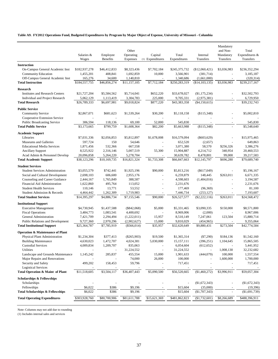#### **Table A9. FY2012 Operations Fund, Budgeted Expenditures by Program by Major Object of Expense, University of Missouri - Columbia**

|                                             |               |                 |               |                  |               |                  | Mandatory   |                  |
|---------------------------------------------|---------------|-----------------|---------------|------------------|---------------|------------------|-------------|------------------|
|                                             |               |                 | Other         |                  |               |                  | and Non-    | Total            |
|                                             | Salaries &    | Employee        | Operating     | Capital          | Total         | Internal         | Mandatory   | Expenditures $&$ |
|                                             | Wages         | <b>Benefits</b> | Expenses      | (1) Expenditures | Expenditures  | Transfers        | Transfers   | Transfers        |
| <b>Instruction</b>                          |               |                 |               |                  |               |                  |             |                  |
| On-Campus General Academic Inst             | \$182,937,278 | \$46,412,833    | \$8,323,436   | \$7,702,184      | \$245,375,732 | $(\$12,060,421)$ | \$3,036,983 | \$236,352,294    |
| <b>Community Education</b>                  | 1,455,201     | 408,841         | 1,692,859     | 10,000           | 3,566,901     | (381,714)        | L,          | 3,185,187        |
| Off-Campus General Academic Inst            | 165,276       | 34,600          | 1,140,810     |                  | 1,340,686     | (1,661,000)      |             | (320, 314)       |
| <b>Total Instruction</b>                    | \$184,557,755 | \$46,856,274    | \$11,157,105  | \$7,712,184      | \$250,283,319 | (\$14,103,135)   | \$3,036,983 | \$239,217,167    |
| Research                                    |               |                 |               |                  |               |                  |             |                  |
| <b>Institutes and Research Centers</b>      | \$21,727,204  | \$5,584,562     | \$5,714,041   | \$652,220        | \$33,678,027  | (\$1,175,234)    | L.          | \$32,502,793     |
| Individual and Project Research             | 5,062,129     | 1,113,419       | 3,304,783     | 225,000          | 9,705,331     | (2,975,381)      |             | 6,729,950        |
| <b>Total Research</b>                       | \$26,789,333  | \$6,697,981     | \$9,018,824   | \$877,220        | \$43,383,358  | ( \$4,150,615)   |             | \$39,232,743     |
|                                             |               |                 |               |                  |               |                  |             |                  |
| <b>Public Service</b>                       |               |                 |               |                  |               |                  |             |                  |
| <b>Community Service</b>                    | \$2,867,071   | \$681,623       | \$1,539,264   | \$30,200         | \$5,118,158   | (\$115,348)      |             | \$5,002,810      |
| Cooperative Extension Service               |               |                 |               |                  |               |                  |             |                  |
| <b>Public Broadcasting Service</b>          | 306,594       | 118,136         | 69,100        | 52,000           | 545,830       |                  |             | 545,830          |
| <b>Total Public Service</b>                 | \$3,173,665   | \$799,759       | \$1,608,364   | \$82,200         | \$5,663,988   | (\$115,348)      |             | \$5,548,640      |
| <b>Academic Support</b>                     |               |                 |               |                  |               |                  |             |                  |
| Libraries                                   | \$7,031,336   | \$2,056,853     | \$5,812,897   | \$1,678,008      | \$16,579,094  | $(\$603,629)$    |             | \$15,975,465     |
| Museums and Galleries                       | 597.724       | 150             | 54,646        |                  | 652,520       | (2,657)          |             | 649,863          |
| <b>Educational Media Services</b>           | 1,871,456     | 532,366         | 667,558       |                  | 3,071,380     | 58,570           | \$256,326   | 3,386,276        |
| <b>Ancillary Support</b>                    | 8,525,922     | 2,316,146       | 5,007,519     | 55,300           | 15,904,887    | 4,214,712        | 340,954     | 20,460,553       |
| Acad Admin & Personnel Develop              | 20,096,858    | 5,264,220       | 5,278,704     |                  | 30,639,782    | 8,478,801        | 99,000      | 39,217,583       |
| <b>Total Academic Support</b>               | \$38,123,296  | \$10,169,735    | \$16,821,324  | \$1,733,308      | \$66,847,663  | \$12,145,797     | \$696,280   | \$79,689,740     |
| <b>Student Services</b>                     |               |                 |               |                  |               |                  |             |                  |
| <b>Student Services Administration</b>      | \$3,055,579   | \$742,441       | \$1,925,196   | \$90,000         | \$5,813,216   | $(\$617,049)$    |             | \$5,196,167      |
| Social and Cultural Development             | 2,698,103     | 606,600         | 2,955,176     | L,               | 6,259,879     | 148,445          | \$263,011   | 6,671,335        |
| Counseling and Career Guidance              | 2,444,167     | 1,765,849       | 388,587       | $\overline{a}$   | 4,598,603     | (1,404,016)      |             | 3,194,587        |
| Financial Aid Administration                | 1,622,860     | 495,764         | 113,052       | $\overline{a}$   | 2,231,676     |                  |             | 2,231,676        |
| <b>Student Health Services</b>              | 110,146       | 13,771          | 53,552        | $\sim$           | 177,469       | (96, 369)        |             | 81,100           |
| Student Admission & Records                 | 4,464,442     | 1,262,309       | 1,719,983     |                  | 7,446,734     | (253, 127)       |             | 7,193,607        |
| <b>Total Student Services</b>               | \$14,395,297  | \$4,886,734     | \$7,155,546   | \$90,000         | \$26,527,577  | $(\$2,222,116)$  | \$263,011   | \$24,568,472     |
|                                             |               |                 |               |                  |               |                  |             |                  |
| <b>Institutional Support</b>                |               |                 |               |                  |               |                  |             |                  |
| <b>Executive Management</b>                 | \$4,730,945   | \$1,437,588     | $(\$842,068)$ | \$5,000          | \$5,331,465   | \$3,090,335      | \$150,000   | \$8,571,800      |
| <b>Fiscal Operations</b>                    | 3,484,773     | 1,083,541       | 4,400,692     |                  | 8,969,006     | (2,000)          |             | 8,967,006        |
| General Administration                      | 7,421,709     | 2,294,494       | (1,222,011)   | 15,957           | 8,510,149     | 7,247,061        | 123,504     | 15,880,714       |
| <b>Public Relations and Development</b>     | 9,727,360     | 2,970,296       | (2,902,627)   | 15,000           | 9,810,029     | (454, 965)       |             | 9,355,064        |
| <b>Total Institutional Support</b>          | \$25,364,787  | \$7,785,919     | (\$566,014)   | \$35,957         | \$32,620,649  | \$9,880,431      | \$273.504   | \$42,774,584     |
| <b>Operation &amp; Maintenance of Plant</b> |               |                 |               |                  |               |                  |             |                  |
| Physical Plant Administration               | \$1,234,304   | \$377,413       | $(\$265,903)$ | \$19,500         | \$1,365,314   | $(\$7,290)$      | \$184,136   | \$1,542,160      |
| <b>Building Maintenance</b>                 | 4,630,023     | 1,472,707       | 4,024,381     | 5,030,000        | 15,157,111    | (396, 251)       | 1,104,645   | 15,865,505       |
| <b>Custodial Services</b>                   | 4,009,834     | 1,209,707       | 835,063       | $\blacksquare$   | 6,054,604     | (612, 652)       |             | 5,441,952        |
| Utilities                                   |               |                 | 31,224,552    | $\sim$           | 31,224,552    |                  | 1,008,130   | 32,232,682       |
| Landscape and Grounds Maintenance           | 1,145,242     | 285,837         | 455,554       | 15,000           | 1,901,633     | (444, 079)       | 100,000     | 1,557,554        |
| Major Repairs and Renovations               |               |                 | 74,000        | 26,000           | 100,000       |                  | 1,600,000   | 1,700,000        |
| Security and Safety                         | 499,202       | 158,453         | 59,796        |                  | 717,451       |                  |             | 717,451          |
| <b>Logistical Services</b>                  | ÷,            |                 |               | $\blacksquare$   |               |                  |             |                  |
| Total Operation & Maint of Plant            | \$11,518,605  | \$3,504,117     | \$36,407,443  | \$5,090,500      | \$56,520,665  | (\$1,460,272)    | \$3,996,911 | \$59,057,304     |
| <b>Scholarships &amp; Fellowships</b>       |               |                 |               |                  |               |                  |             |                  |
| Scholarships                                |               |                 |               |                  |               | (\$1,672,343)    |             | $(\$1,672,343)$  |
| Fellowships                                 | \$6,022       | \$386           | \$9,196       |                  | \$15,604      | (35,000)         |             | (19, 396)        |
| <b>Total Scholarships &amp; Fellowships</b> | \$6,022       | \$386           | \$9,196       |                  | \$15,604      | $(\$1,707,343)$  | ä,          | $(\$1,691,739)$  |
|                                             | \$303,928,760 | \$80,700,906    | \$81,611,788  |                  | \$481,862,823 | (\$1,732,601)    | \$8,266,689 |                  |
| <b>Total Operating Expenditures</b>         |               |                 |               | \$15,621,369     |               |                  |             | \$488,396,911    |

Note: Columns may not add due to rounding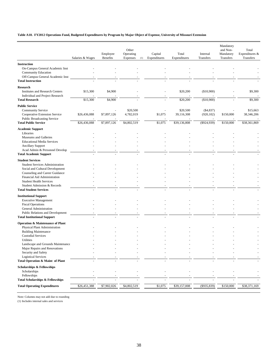#### **Table A10. FY2012 Operations Fund, Budgeted Expenditures by Program by Major Object of Expense, University of Missouri Extension**

|                                                               |                  | Employee    | Other<br>Operating | Capital      | Total        | Internal       | Mandatory<br>and Non-<br>Mandatory | Total<br>Expenditures & |
|---------------------------------------------------------------|------------------|-------------|--------------------|--------------|--------------|----------------|------------------------------------|-------------------------|
|                                                               | Salaries & Wages | Benefits    | Expenses<br>(1)    | Expenditures | Expenditures | Transfers      | Transfers                          | Transfers               |
| <b>Instruction</b>                                            |                  |             |                    |              |              |                |                                    |                         |
| On-Campus General Academic Inst                               |                  |             |                    |              |              |                |                                    |                         |
| Community Education                                           |                  |             |                    |              |              |                |                                    |                         |
| Off-Campus General Academic Inst                              |                  |             |                    |              |              |                |                                    |                         |
| <b>Total Instruction</b>                                      |                  |             |                    |              |              |                |                                    |                         |
| <b>Research</b>                                               |                  |             |                    |              |              |                |                                    |                         |
| <b>Institutes and Research Centers</b>                        | \$15,300         | \$4,900     |                    |              | \$20,200     | (\$10,900)     |                                    | \$9,300                 |
| Individual and Project Research                               |                  |             |                    |              |              |                |                                    |                         |
| <b>Total Research</b>                                         | \$15,300         | \$4,900     |                    |              | \$20,200     | (\$10,900)     |                                    | \$9,300                 |
| <b>Public Service</b>                                         |                  |             |                    |              |              |                |                                    |                         |
| <b>Community Service</b>                                      |                  |             | \$20,500           |              | \$20,500     | $(\$4,837)$    |                                    | \$15,663                |
| Cooperative Extension Service                                 | \$26,436,088     | \$7,897,126 | 4,782,019          | \$1,075      | 39,116,308   | (920, 102)     | \$150,000                          | 38,346,206              |
| <b>Public Broadcasting Service</b>                            |                  |             |                    |              |              |                |                                    |                         |
| <b>Total Public Service</b>                                   | \$26,436,088     | \$7,897,126 | \$4,802,519        | \$1,075      | \$39,136,808 | $(\$924,939)$  | \$150,000                          | \$38,361,869            |
| <b>Academic Support</b>                                       |                  |             |                    |              |              |                |                                    |                         |
| Libraries                                                     |                  |             |                    |              |              |                |                                    |                         |
| <b>Museums and Galleries</b>                                  |                  |             |                    |              |              |                |                                    |                         |
| <b>Educational Media Services</b>                             |                  |             |                    |              |              |                |                                    |                         |
| <b>Ancillary Support</b>                                      |                  |             |                    |              |              |                |                                    |                         |
| Acad Admin & Personnel Develop                                |                  |             |                    |              |              |                |                                    |                         |
| <b>Total Academic Support</b>                                 |                  |             |                    |              |              |                |                                    |                         |
| <b>Student Services</b>                                       |                  |             |                    |              |              |                |                                    |                         |
| <b>Student Services Administration</b>                        |                  |             |                    |              |              |                |                                    |                         |
| Social and Cultural Development                               |                  |             |                    |              |              |                |                                    |                         |
| Counseling and Career Guidance                                |                  |             |                    |              |              |                |                                    |                         |
| Financial Aid Administration                                  |                  |             |                    |              |              |                |                                    |                         |
| <b>Student Health Services</b><br>Student Admission & Records |                  |             |                    |              |              |                |                                    |                         |
| <b>Total Student Services</b>                                 |                  |             |                    |              |              |                |                                    |                         |
|                                                               |                  |             |                    |              |              |                |                                    |                         |
| <b>Institutional Support</b>                                  |                  |             |                    |              |              |                |                                    |                         |
| <b>Executive Management</b><br><b>Fiscal Operations</b>       |                  |             |                    |              |              |                |                                    |                         |
| General Administration                                        |                  |             |                    |              |              |                |                                    |                         |
| Public Relations and Development                              |                  |             |                    |              |              |                |                                    |                         |
| <b>Total Institutional Support</b>                            |                  |             |                    |              |              |                |                                    |                         |
| <b>Operation &amp; Maintenance of Plant</b>                   |                  |             |                    |              |              |                |                                    |                         |
| Physical Plant Administration                                 |                  |             |                    |              |              |                |                                    |                         |
| <b>Building Maintenance</b>                                   |                  |             |                    |              |              |                |                                    |                         |
| <b>Custodial Services</b>                                     |                  |             |                    |              |              |                |                                    |                         |
| Utilities                                                     |                  |             |                    |              |              |                |                                    |                         |
| Landscape and Grounds Maintenance                             |                  |             |                    |              |              |                |                                    |                         |
| Major Repairs and Renovations                                 |                  |             |                    |              |              |                |                                    |                         |
| Security and Safety                                           |                  |             |                    |              |              |                |                                    |                         |
| <b>Logistical Services</b>                                    |                  |             |                    |              |              |                |                                    |                         |
| Total Operation & Maint of Plant                              |                  |             |                    |              |              |                |                                    |                         |
| <b>Scholarships &amp; Fellowships</b>                         |                  |             |                    |              |              |                |                                    |                         |
| Scholarships                                                  |                  |             |                    |              |              |                |                                    |                         |
| Fellowships                                                   |                  |             |                    |              |              |                |                                    |                         |
| <b>Total Scholarships &amp; Fellowships</b>                   |                  |             |                    |              |              |                |                                    |                         |
| <b>Total Operating Expenditures</b>                           | \$26,451,388     | \$7,902,026 | \$4,802,519        | \$1,075      | \$39,157,008 | $($ \$935,839) | \$150,000                          | \$38,371,169            |

Note: Columns may not add due to rounding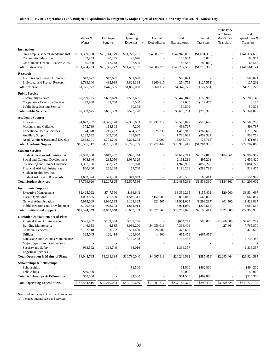#### **Table A11. FY2012 Operations Fund, Budgeted Expenditures by Program by Major Object of Expense, University of Missouri - Kansas City**

| <b>Instruction</b><br>On-Campus General Academic Inst<br>\$4,583,275<br>\$101,369,300<br>\$25,714,179<br>\$11,279,281<br>\$142,946,035<br>(\$1,631,396)<br>\$141,314,639<br>L,<br>Community Education<br>180,954<br>69,933<br>20,345<br>95,676<br>185,954<br>(5,000)<br>Off-Campus General Academic Inst<br>45,000<br>12,748<br>87,800<br>145,548<br>(80,000)<br>65,548<br>$\overline{a}$<br>$\overline{\phantom{a}}$<br>\$101,484,233<br>\$25,747,272<br><b>Total Instruction</b><br>\$11,462,757<br>\$4,583,275<br>\$143,277,537<br>(\$1,716,396)<br>\$141,561,141<br><b>Research</b><br>\$88,024<br><b>Institutes and Research Centers</b><br>\$42,677<br>\$13,657<br>\$31,690<br>\$88,024<br>1,733,300<br>432,938<br>1,828,398<br>\$260,117<br>4,254,753<br>(\$127,551)<br>4,127,202<br>Individual and Project Research<br><b>Total Research</b><br>\$1,775,977<br>\$446,595<br>\$1,860,088<br>\$260,117<br>\$4,342,777<br>\$4,215,226<br>(\$127,551)<br>÷<br><b>Public Service</b><br>\$3,286,149<br><b>Community Service</b><br>\$2,239,725<br>\$662,629<br>\$537,695<br>\$3,440,049<br>(\$153,900)<br>99,900<br>Cooperative Extension Service<br>22,730<br>5,000<br>127,630<br>(119, 475)<br>8,155<br><b>Public Broadcasting Service</b><br>50,575<br>50,575<br>50,575<br>\$3,618,254<br><b>Total Public Service</b><br>\$2,339,625<br>\$685,359<br>\$593,270<br>$(\$273,375)$<br>\$3,344,879<br><b>Academic Support</b><br>\$9,580,200<br>Libraries<br>\$4,622,857<br>\$1,377,120<br>\$2,356,653<br>\$1,237,217<br>\$9,593,847<br>(\$13,647)<br>498,797<br>Museums and Galleries<br>372,789<br>118,808<br>7,200<br>498,797<br>774,078<br>25,230<br><b>Educational Media Services</b><br>217,222<br>464,382<br>1,480,912<br>(262, 663)<br>1,218,249<br>369,700<br>933,758<br><b>Ancillary Support</b><br>1,232,692<br>183,697<br>1,786,089<br>(852, 331)<br>$\bar{a}$<br>$\overline{a}$<br>3,264,273<br>Acad Admin & Personnel Develop<br>9,563,301<br>2,702,200<br>17,000<br>15,546,774<br>(75, 715)<br>15,471,059<br>\$1,279,447<br>\$27,702,063<br>\$16,565,717<br>\$4,785,050<br>\$6,276,205<br>\$28,906,419<br>(\$1,204,356)<br><b>Total Academic Support</b><br>÷,<br><b>Student Services</b><br>\$4,697,211<br>\$184,361<br>\$6,999,382<br><b>Student Services Administration</b><br>\$2,950,500<br>\$819,967<br>\$926,744<br>\$2,117,810<br>Social and Cultural Development<br>908,840<br>215,050<br>1,037,329<br>2,161,219<br>495,201<br>2,656,420<br>Counseling and Career Guidance<br>162,920<br>1,397,906<br>383,172<br>1,943,998<br>(859, 272)<br>1,084,726<br>$\overline{\phantom{a}}$<br>Financial Aid Administration<br>67,700<br>860,300<br>268,268<br>(283,793)<br>912,475<br>1,196,268<br>$\sim$<br><b>Student Health Services</b><br>$\blacksquare$<br>Student Admission & Records<br>1,652,374<br>312,843<br>2,486,585<br>68,414<br>2,554,999<br>521,368<br>\$1,538,360<br>\$184,361<br>\$7,769,920<br>\$2,207,825<br>\$2,507,536<br>\$12,485,281<br>\$14,208,002<br><b>Total Student Services</b><br><b>Institutional Support</b><br><b>Executive Management</b><br>\$2,425,092<br>\$747,560<br>\$186,643<br>\$3,359,295<br>\$155,402<br>\$20,000<br>\$3,534,697<br>1,546,311<br>\$150,000<br>3,568,808<br>6,665,854<br><b>Fiscal Operations</b><br>1,063,885<br>336,850<br>3,097,046<br>General Administration<br>11,423,817<br>5,915,009<br>1,980,635<br>3,104,395<br>921,565<br>11,921,604<br>(1,299,287)<br>801,500<br><b>Public Relations and Development</b><br>978,603<br>1,811,914<br>5,911,080<br>(228, 512)<br>5,682,568<br>3,120,563<br>\$12,524,549<br>\$6,649,263<br>\$1,071,565<br>\$24,289,025<br>\$2,196,411<br>\$821,500<br>\$27,306,936<br><b>Total Institutional Support</b><br>\$4,043,648<br><b>Operation &amp; Maintenance of Plant</b><br>Physical Plant Administration<br>\$321,982<br>\$103,034<br>\$239,256<br>\$664,272<br>\$80,000<br>\$1,866,000<br>\$2,610,272<br><b>Building Maintenance</b><br>146,358<br>46,835<br>3,086,200<br>\$4,059,013<br>7,338,406<br>427,464<br>7,765,870<br>÷.<br><b>Custodial Services</b><br>2,197,818<br>703,302<br>551,480<br>24,000<br>3,476,600<br>3,476,600<br>395,045<br>14,400<br>Utilities<br>126,414<br>129,600<br>665,459<br>(665, 459)<br>Landscape and Grounds Maintenance<br>6,735,488<br>6,735,488<br>6,735,488<br>Major Repairs and Renovations<br>Security and Safety<br>38,016<br>983,592<br>314,749<br>1,336,357<br>1,336,357<br><b>Logistical Services</b><br>Total Operation & Maint of Plant<br>\$4,044,795<br>\$1,294,334<br>\$10,780,040<br>\$4,097,413<br>\$20,216,582<br>\$21,924,587<br>$(\$585,459)$<br>\$2,293,464<br><b>Scholarships &amp; Fellowships</b><br>\$1,500<br>\$1,500<br>\$462,800<br>\$464,300<br>Scholarships<br>Fellowships<br>\$50,000<br>50,000<br>50,000<br><b>Total Scholarships &amp; Fellowships</b><br>\$50,000<br>\$1,500<br>\$51,500<br>\$462,800<br>\$514,300<br>\$39,210,083<br>\$40,130,659<br>\$11,291,817<br>\$237,187,375<br>\$3,299,325<br>\$240,777,134<br><b>Total Operating Expenditures</b><br>\$146,554,816<br>\$290,434 | Salaries &<br>Wages | Employee<br><b>Benefits</b> | Other<br>Operating<br>Expenses | Capital<br>(1) Expenditures | Total<br>Expenditures | Internal<br>Transfers | Mandatory<br>and Non-<br>Mandatory<br>Transfers | Total<br>Expenditures &<br>Transfers |
|----------------------------------------------------------------------------------------------------------------------------------------------------------------------------------------------------------------------------------------------------------------------------------------------------------------------------------------------------------------------------------------------------------------------------------------------------------------------------------------------------------------------------------------------------------------------------------------------------------------------------------------------------------------------------------------------------------------------------------------------------------------------------------------------------------------------------------------------------------------------------------------------------------------------------------------------------------------------------------------------------------------------------------------------------------------------------------------------------------------------------------------------------------------------------------------------------------------------------------------------------------------------------------------------------------------------------------------------------------------------------------------------------------------------------------------------------------------------------------------------------------------------------------------------------------------------------------------------------------------------------------------------------------------------------------------------------------------------------------------------------------------------------------------------------------------------------------------------------------------------------------------------------------------------------------------------------------------------------------------------------------------------------------------------------------------------------------------------------------------------------------------------------------------------------------------------------------------------------------------------------------------------------------------------------------------------------------------------------------------------------------------------------------------------------------------------------------------------------------------------------------------------------------------------------------------------------------------------------------------------------------------------------------------------------------------------------------------------------------------------------------------------------------------------------------------------------------------------------------------------------------------------------------------------------------------------------------------------------------------------------------------------------------------------------------------------------------------------------------------------------------------------------------------------------------------------------------------------------------------------------------------------------------------------------------------------------------------------------------------------------------------------------------------------------------------------------------------------------------------------------------------------------------------------------------------------------------------------------------------------------------------------------------------------------------------------------------------------------------------------------------------------------------------------------------------------------------------------------------------------------------------------------------------------------------------------------------------------------------------------------------------------------------------------------------------------------------------------------------------------------------------------------------------------------------------------------------------------------------------------------------------------------------------------------------------------------------------------------------------------------------------------------------------------------------------------------------------------------------------------------------------------------------------------------------------------------------------------------------------------------------------------------------------------------------------------------------------------------------------------------------------------------------------------------------------------------------------------------------------------------------------------------------------------------------------------------------------------------------------------------------------------------------------------------------------------------------|---------------------|-----------------------------|--------------------------------|-----------------------------|-----------------------|-----------------------|-------------------------------------------------|--------------------------------------|
|                                                                                                                                                                                                                                                                                                                                                                                                                                                                                                                                                                                                                                                                                                                                                                                                                                                                                                                                                                                                                                                                                                                                                                                                                                                                                                                                                                                                                                                                                                                                                                                                                                                                                                                                                                                                                                                                                                                                                                                                                                                                                                                                                                                                                                                                                                                                                                                                                                                                                                                                                                                                                                                                                                                                                                                                                                                                                                                                                                                                                                                                                                                                                                                                                                                                                                                                                                                                                                                                                                                                                                                                                                                                                                                                                                                                                                                                                                                                                                                                                                                                                                                                                                                                                                                                                                                                                                                                                                                                                                                                                                                                                                                                                                                                                                                                                                                                                                                                                                                                                                                                                  |                     |                             |                                |                             |                       |                       |                                                 |                                      |
|                                                                                                                                                                                                                                                                                                                                                                                                                                                                                                                                                                                                                                                                                                                                                                                                                                                                                                                                                                                                                                                                                                                                                                                                                                                                                                                                                                                                                                                                                                                                                                                                                                                                                                                                                                                                                                                                                                                                                                                                                                                                                                                                                                                                                                                                                                                                                                                                                                                                                                                                                                                                                                                                                                                                                                                                                                                                                                                                                                                                                                                                                                                                                                                                                                                                                                                                                                                                                                                                                                                                                                                                                                                                                                                                                                                                                                                                                                                                                                                                                                                                                                                                                                                                                                                                                                                                                                                                                                                                                                                                                                                                                                                                                                                                                                                                                                                                                                                                                                                                                                                                                  |                     |                             |                                |                             |                       |                       |                                                 |                                      |
|                                                                                                                                                                                                                                                                                                                                                                                                                                                                                                                                                                                                                                                                                                                                                                                                                                                                                                                                                                                                                                                                                                                                                                                                                                                                                                                                                                                                                                                                                                                                                                                                                                                                                                                                                                                                                                                                                                                                                                                                                                                                                                                                                                                                                                                                                                                                                                                                                                                                                                                                                                                                                                                                                                                                                                                                                                                                                                                                                                                                                                                                                                                                                                                                                                                                                                                                                                                                                                                                                                                                                                                                                                                                                                                                                                                                                                                                                                                                                                                                                                                                                                                                                                                                                                                                                                                                                                                                                                                                                                                                                                                                                                                                                                                                                                                                                                                                                                                                                                                                                                                                                  |                     |                             |                                |                             |                       |                       |                                                 |                                      |
|                                                                                                                                                                                                                                                                                                                                                                                                                                                                                                                                                                                                                                                                                                                                                                                                                                                                                                                                                                                                                                                                                                                                                                                                                                                                                                                                                                                                                                                                                                                                                                                                                                                                                                                                                                                                                                                                                                                                                                                                                                                                                                                                                                                                                                                                                                                                                                                                                                                                                                                                                                                                                                                                                                                                                                                                                                                                                                                                                                                                                                                                                                                                                                                                                                                                                                                                                                                                                                                                                                                                                                                                                                                                                                                                                                                                                                                                                                                                                                                                                                                                                                                                                                                                                                                                                                                                                                                                                                                                                                                                                                                                                                                                                                                                                                                                                                                                                                                                                                                                                                                                                  |                     |                             |                                |                             |                       |                       |                                                 |                                      |
|                                                                                                                                                                                                                                                                                                                                                                                                                                                                                                                                                                                                                                                                                                                                                                                                                                                                                                                                                                                                                                                                                                                                                                                                                                                                                                                                                                                                                                                                                                                                                                                                                                                                                                                                                                                                                                                                                                                                                                                                                                                                                                                                                                                                                                                                                                                                                                                                                                                                                                                                                                                                                                                                                                                                                                                                                                                                                                                                                                                                                                                                                                                                                                                                                                                                                                                                                                                                                                                                                                                                                                                                                                                                                                                                                                                                                                                                                                                                                                                                                                                                                                                                                                                                                                                                                                                                                                                                                                                                                                                                                                                                                                                                                                                                                                                                                                                                                                                                                                                                                                                                                  |                     |                             |                                |                             |                       |                       |                                                 |                                      |
|                                                                                                                                                                                                                                                                                                                                                                                                                                                                                                                                                                                                                                                                                                                                                                                                                                                                                                                                                                                                                                                                                                                                                                                                                                                                                                                                                                                                                                                                                                                                                                                                                                                                                                                                                                                                                                                                                                                                                                                                                                                                                                                                                                                                                                                                                                                                                                                                                                                                                                                                                                                                                                                                                                                                                                                                                                                                                                                                                                                                                                                                                                                                                                                                                                                                                                                                                                                                                                                                                                                                                                                                                                                                                                                                                                                                                                                                                                                                                                                                                                                                                                                                                                                                                                                                                                                                                                                                                                                                                                                                                                                                                                                                                                                                                                                                                                                                                                                                                                                                                                                                                  |                     |                             |                                |                             |                       |                       |                                                 |                                      |
|                                                                                                                                                                                                                                                                                                                                                                                                                                                                                                                                                                                                                                                                                                                                                                                                                                                                                                                                                                                                                                                                                                                                                                                                                                                                                                                                                                                                                                                                                                                                                                                                                                                                                                                                                                                                                                                                                                                                                                                                                                                                                                                                                                                                                                                                                                                                                                                                                                                                                                                                                                                                                                                                                                                                                                                                                                                                                                                                                                                                                                                                                                                                                                                                                                                                                                                                                                                                                                                                                                                                                                                                                                                                                                                                                                                                                                                                                                                                                                                                                                                                                                                                                                                                                                                                                                                                                                                                                                                                                                                                                                                                                                                                                                                                                                                                                                                                                                                                                                                                                                                                                  |                     |                             |                                |                             |                       |                       |                                                 |                                      |
|                                                                                                                                                                                                                                                                                                                                                                                                                                                                                                                                                                                                                                                                                                                                                                                                                                                                                                                                                                                                                                                                                                                                                                                                                                                                                                                                                                                                                                                                                                                                                                                                                                                                                                                                                                                                                                                                                                                                                                                                                                                                                                                                                                                                                                                                                                                                                                                                                                                                                                                                                                                                                                                                                                                                                                                                                                                                                                                                                                                                                                                                                                                                                                                                                                                                                                                                                                                                                                                                                                                                                                                                                                                                                                                                                                                                                                                                                                                                                                                                                                                                                                                                                                                                                                                                                                                                                                                                                                                                                                                                                                                                                                                                                                                                                                                                                                                                                                                                                                                                                                                                                  |                     |                             |                                |                             |                       |                       |                                                 |                                      |
|                                                                                                                                                                                                                                                                                                                                                                                                                                                                                                                                                                                                                                                                                                                                                                                                                                                                                                                                                                                                                                                                                                                                                                                                                                                                                                                                                                                                                                                                                                                                                                                                                                                                                                                                                                                                                                                                                                                                                                                                                                                                                                                                                                                                                                                                                                                                                                                                                                                                                                                                                                                                                                                                                                                                                                                                                                                                                                                                                                                                                                                                                                                                                                                                                                                                                                                                                                                                                                                                                                                                                                                                                                                                                                                                                                                                                                                                                                                                                                                                                                                                                                                                                                                                                                                                                                                                                                                                                                                                                                                                                                                                                                                                                                                                                                                                                                                                                                                                                                                                                                                                                  |                     |                             |                                |                             |                       |                       |                                                 |                                      |
|                                                                                                                                                                                                                                                                                                                                                                                                                                                                                                                                                                                                                                                                                                                                                                                                                                                                                                                                                                                                                                                                                                                                                                                                                                                                                                                                                                                                                                                                                                                                                                                                                                                                                                                                                                                                                                                                                                                                                                                                                                                                                                                                                                                                                                                                                                                                                                                                                                                                                                                                                                                                                                                                                                                                                                                                                                                                                                                                                                                                                                                                                                                                                                                                                                                                                                                                                                                                                                                                                                                                                                                                                                                                                                                                                                                                                                                                                                                                                                                                                                                                                                                                                                                                                                                                                                                                                                                                                                                                                                                                                                                                                                                                                                                                                                                                                                                                                                                                                                                                                                                                                  |                     |                             |                                |                             |                       |                       |                                                 |                                      |
|                                                                                                                                                                                                                                                                                                                                                                                                                                                                                                                                                                                                                                                                                                                                                                                                                                                                                                                                                                                                                                                                                                                                                                                                                                                                                                                                                                                                                                                                                                                                                                                                                                                                                                                                                                                                                                                                                                                                                                                                                                                                                                                                                                                                                                                                                                                                                                                                                                                                                                                                                                                                                                                                                                                                                                                                                                                                                                                                                                                                                                                                                                                                                                                                                                                                                                                                                                                                                                                                                                                                                                                                                                                                                                                                                                                                                                                                                                                                                                                                                                                                                                                                                                                                                                                                                                                                                                                                                                                                                                                                                                                                                                                                                                                                                                                                                                                                                                                                                                                                                                                                                  |                     |                             |                                |                             |                       |                       |                                                 |                                      |
|                                                                                                                                                                                                                                                                                                                                                                                                                                                                                                                                                                                                                                                                                                                                                                                                                                                                                                                                                                                                                                                                                                                                                                                                                                                                                                                                                                                                                                                                                                                                                                                                                                                                                                                                                                                                                                                                                                                                                                                                                                                                                                                                                                                                                                                                                                                                                                                                                                                                                                                                                                                                                                                                                                                                                                                                                                                                                                                                                                                                                                                                                                                                                                                                                                                                                                                                                                                                                                                                                                                                                                                                                                                                                                                                                                                                                                                                                                                                                                                                                                                                                                                                                                                                                                                                                                                                                                                                                                                                                                                                                                                                                                                                                                                                                                                                                                                                                                                                                                                                                                                                                  |                     |                             |                                |                             |                       |                       |                                                 |                                      |
|                                                                                                                                                                                                                                                                                                                                                                                                                                                                                                                                                                                                                                                                                                                                                                                                                                                                                                                                                                                                                                                                                                                                                                                                                                                                                                                                                                                                                                                                                                                                                                                                                                                                                                                                                                                                                                                                                                                                                                                                                                                                                                                                                                                                                                                                                                                                                                                                                                                                                                                                                                                                                                                                                                                                                                                                                                                                                                                                                                                                                                                                                                                                                                                                                                                                                                                                                                                                                                                                                                                                                                                                                                                                                                                                                                                                                                                                                                                                                                                                                                                                                                                                                                                                                                                                                                                                                                                                                                                                                                                                                                                                                                                                                                                                                                                                                                                                                                                                                                                                                                                                                  |                     |                             |                                |                             |                       |                       |                                                 |                                      |
|                                                                                                                                                                                                                                                                                                                                                                                                                                                                                                                                                                                                                                                                                                                                                                                                                                                                                                                                                                                                                                                                                                                                                                                                                                                                                                                                                                                                                                                                                                                                                                                                                                                                                                                                                                                                                                                                                                                                                                                                                                                                                                                                                                                                                                                                                                                                                                                                                                                                                                                                                                                                                                                                                                                                                                                                                                                                                                                                                                                                                                                                                                                                                                                                                                                                                                                                                                                                                                                                                                                                                                                                                                                                                                                                                                                                                                                                                                                                                                                                                                                                                                                                                                                                                                                                                                                                                                                                                                                                                                                                                                                                                                                                                                                                                                                                                                                                                                                                                                                                                                                                                  |                     |                             |                                |                             |                       |                       |                                                 |                                      |
|                                                                                                                                                                                                                                                                                                                                                                                                                                                                                                                                                                                                                                                                                                                                                                                                                                                                                                                                                                                                                                                                                                                                                                                                                                                                                                                                                                                                                                                                                                                                                                                                                                                                                                                                                                                                                                                                                                                                                                                                                                                                                                                                                                                                                                                                                                                                                                                                                                                                                                                                                                                                                                                                                                                                                                                                                                                                                                                                                                                                                                                                                                                                                                                                                                                                                                                                                                                                                                                                                                                                                                                                                                                                                                                                                                                                                                                                                                                                                                                                                                                                                                                                                                                                                                                                                                                                                                                                                                                                                                                                                                                                                                                                                                                                                                                                                                                                                                                                                                                                                                                                                  |                     |                             |                                |                             |                       |                       |                                                 |                                      |
|                                                                                                                                                                                                                                                                                                                                                                                                                                                                                                                                                                                                                                                                                                                                                                                                                                                                                                                                                                                                                                                                                                                                                                                                                                                                                                                                                                                                                                                                                                                                                                                                                                                                                                                                                                                                                                                                                                                                                                                                                                                                                                                                                                                                                                                                                                                                                                                                                                                                                                                                                                                                                                                                                                                                                                                                                                                                                                                                                                                                                                                                                                                                                                                                                                                                                                                                                                                                                                                                                                                                                                                                                                                                                                                                                                                                                                                                                                                                                                                                                                                                                                                                                                                                                                                                                                                                                                                                                                                                                                                                                                                                                                                                                                                                                                                                                                                                                                                                                                                                                                                                                  |                     |                             |                                |                             |                       |                       |                                                 |                                      |
|                                                                                                                                                                                                                                                                                                                                                                                                                                                                                                                                                                                                                                                                                                                                                                                                                                                                                                                                                                                                                                                                                                                                                                                                                                                                                                                                                                                                                                                                                                                                                                                                                                                                                                                                                                                                                                                                                                                                                                                                                                                                                                                                                                                                                                                                                                                                                                                                                                                                                                                                                                                                                                                                                                                                                                                                                                                                                                                                                                                                                                                                                                                                                                                                                                                                                                                                                                                                                                                                                                                                                                                                                                                                                                                                                                                                                                                                                                                                                                                                                                                                                                                                                                                                                                                                                                                                                                                                                                                                                                                                                                                                                                                                                                                                                                                                                                                                                                                                                                                                                                                                                  |                     |                             |                                |                             |                       |                       |                                                 |                                      |
|                                                                                                                                                                                                                                                                                                                                                                                                                                                                                                                                                                                                                                                                                                                                                                                                                                                                                                                                                                                                                                                                                                                                                                                                                                                                                                                                                                                                                                                                                                                                                                                                                                                                                                                                                                                                                                                                                                                                                                                                                                                                                                                                                                                                                                                                                                                                                                                                                                                                                                                                                                                                                                                                                                                                                                                                                                                                                                                                                                                                                                                                                                                                                                                                                                                                                                                                                                                                                                                                                                                                                                                                                                                                                                                                                                                                                                                                                                                                                                                                                                                                                                                                                                                                                                                                                                                                                                                                                                                                                                                                                                                                                                                                                                                                                                                                                                                                                                                                                                                                                                                                                  |                     |                             |                                |                             |                       |                       |                                                 |                                      |
|                                                                                                                                                                                                                                                                                                                                                                                                                                                                                                                                                                                                                                                                                                                                                                                                                                                                                                                                                                                                                                                                                                                                                                                                                                                                                                                                                                                                                                                                                                                                                                                                                                                                                                                                                                                                                                                                                                                                                                                                                                                                                                                                                                                                                                                                                                                                                                                                                                                                                                                                                                                                                                                                                                                                                                                                                                                                                                                                                                                                                                                                                                                                                                                                                                                                                                                                                                                                                                                                                                                                                                                                                                                                                                                                                                                                                                                                                                                                                                                                                                                                                                                                                                                                                                                                                                                                                                                                                                                                                                                                                                                                                                                                                                                                                                                                                                                                                                                                                                                                                                                                                  |                     |                             |                                |                             |                       |                       |                                                 |                                      |
|                                                                                                                                                                                                                                                                                                                                                                                                                                                                                                                                                                                                                                                                                                                                                                                                                                                                                                                                                                                                                                                                                                                                                                                                                                                                                                                                                                                                                                                                                                                                                                                                                                                                                                                                                                                                                                                                                                                                                                                                                                                                                                                                                                                                                                                                                                                                                                                                                                                                                                                                                                                                                                                                                                                                                                                                                                                                                                                                                                                                                                                                                                                                                                                                                                                                                                                                                                                                                                                                                                                                                                                                                                                                                                                                                                                                                                                                                                                                                                                                                                                                                                                                                                                                                                                                                                                                                                                                                                                                                                                                                                                                                                                                                                                                                                                                                                                                                                                                                                                                                                                                                  |                     |                             |                                |                             |                       |                       |                                                 |                                      |
|                                                                                                                                                                                                                                                                                                                                                                                                                                                                                                                                                                                                                                                                                                                                                                                                                                                                                                                                                                                                                                                                                                                                                                                                                                                                                                                                                                                                                                                                                                                                                                                                                                                                                                                                                                                                                                                                                                                                                                                                                                                                                                                                                                                                                                                                                                                                                                                                                                                                                                                                                                                                                                                                                                                                                                                                                                                                                                                                                                                                                                                                                                                                                                                                                                                                                                                                                                                                                                                                                                                                                                                                                                                                                                                                                                                                                                                                                                                                                                                                                                                                                                                                                                                                                                                                                                                                                                                                                                                                                                                                                                                                                                                                                                                                                                                                                                                                                                                                                                                                                                                                                  |                     |                             |                                |                             |                       |                       |                                                 |                                      |
|                                                                                                                                                                                                                                                                                                                                                                                                                                                                                                                                                                                                                                                                                                                                                                                                                                                                                                                                                                                                                                                                                                                                                                                                                                                                                                                                                                                                                                                                                                                                                                                                                                                                                                                                                                                                                                                                                                                                                                                                                                                                                                                                                                                                                                                                                                                                                                                                                                                                                                                                                                                                                                                                                                                                                                                                                                                                                                                                                                                                                                                                                                                                                                                                                                                                                                                                                                                                                                                                                                                                                                                                                                                                                                                                                                                                                                                                                                                                                                                                                                                                                                                                                                                                                                                                                                                                                                                                                                                                                                                                                                                                                                                                                                                                                                                                                                                                                                                                                                                                                                                                                  |                     |                             |                                |                             |                       |                       |                                                 |                                      |
|                                                                                                                                                                                                                                                                                                                                                                                                                                                                                                                                                                                                                                                                                                                                                                                                                                                                                                                                                                                                                                                                                                                                                                                                                                                                                                                                                                                                                                                                                                                                                                                                                                                                                                                                                                                                                                                                                                                                                                                                                                                                                                                                                                                                                                                                                                                                                                                                                                                                                                                                                                                                                                                                                                                                                                                                                                                                                                                                                                                                                                                                                                                                                                                                                                                                                                                                                                                                                                                                                                                                                                                                                                                                                                                                                                                                                                                                                                                                                                                                                                                                                                                                                                                                                                                                                                                                                                                                                                                                                                                                                                                                                                                                                                                                                                                                                                                                                                                                                                                                                                                                                  |                     |                             |                                |                             |                       |                       |                                                 |                                      |
|                                                                                                                                                                                                                                                                                                                                                                                                                                                                                                                                                                                                                                                                                                                                                                                                                                                                                                                                                                                                                                                                                                                                                                                                                                                                                                                                                                                                                                                                                                                                                                                                                                                                                                                                                                                                                                                                                                                                                                                                                                                                                                                                                                                                                                                                                                                                                                                                                                                                                                                                                                                                                                                                                                                                                                                                                                                                                                                                                                                                                                                                                                                                                                                                                                                                                                                                                                                                                                                                                                                                                                                                                                                                                                                                                                                                                                                                                                                                                                                                                                                                                                                                                                                                                                                                                                                                                                                                                                                                                                                                                                                                                                                                                                                                                                                                                                                                                                                                                                                                                                                                                  |                     |                             |                                |                             |                       |                       |                                                 |                                      |
|                                                                                                                                                                                                                                                                                                                                                                                                                                                                                                                                                                                                                                                                                                                                                                                                                                                                                                                                                                                                                                                                                                                                                                                                                                                                                                                                                                                                                                                                                                                                                                                                                                                                                                                                                                                                                                                                                                                                                                                                                                                                                                                                                                                                                                                                                                                                                                                                                                                                                                                                                                                                                                                                                                                                                                                                                                                                                                                                                                                                                                                                                                                                                                                                                                                                                                                                                                                                                                                                                                                                                                                                                                                                                                                                                                                                                                                                                                                                                                                                                                                                                                                                                                                                                                                                                                                                                                                                                                                                                                                                                                                                                                                                                                                                                                                                                                                                                                                                                                                                                                                                                  |                     |                             |                                |                             |                       |                       |                                                 |                                      |
|                                                                                                                                                                                                                                                                                                                                                                                                                                                                                                                                                                                                                                                                                                                                                                                                                                                                                                                                                                                                                                                                                                                                                                                                                                                                                                                                                                                                                                                                                                                                                                                                                                                                                                                                                                                                                                                                                                                                                                                                                                                                                                                                                                                                                                                                                                                                                                                                                                                                                                                                                                                                                                                                                                                                                                                                                                                                                                                                                                                                                                                                                                                                                                                                                                                                                                                                                                                                                                                                                                                                                                                                                                                                                                                                                                                                                                                                                                                                                                                                                                                                                                                                                                                                                                                                                                                                                                                                                                                                                                                                                                                                                                                                                                                                                                                                                                                                                                                                                                                                                                                                                  |                     |                             |                                |                             |                       |                       |                                                 |                                      |
|                                                                                                                                                                                                                                                                                                                                                                                                                                                                                                                                                                                                                                                                                                                                                                                                                                                                                                                                                                                                                                                                                                                                                                                                                                                                                                                                                                                                                                                                                                                                                                                                                                                                                                                                                                                                                                                                                                                                                                                                                                                                                                                                                                                                                                                                                                                                                                                                                                                                                                                                                                                                                                                                                                                                                                                                                                                                                                                                                                                                                                                                                                                                                                                                                                                                                                                                                                                                                                                                                                                                                                                                                                                                                                                                                                                                                                                                                                                                                                                                                                                                                                                                                                                                                                                                                                                                                                                                                                                                                                                                                                                                                                                                                                                                                                                                                                                                                                                                                                                                                                                                                  |                     |                             |                                |                             |                       |                       |                                                 |                                      |
|                                                                                                                                                                                                                                                                                                                                                                                                                                                                                                                                                                                                                                                                                                                                                                                                                                                                                                                                                                                                                                                                                                                                                                                                                                                                                                                                                                                                                                                                                                                                                                                                                                                                                                                                                                                                                                                                                                                                                                                                                                                                                                                                                                                                                                                                                                                                                                                                                                                                                                                                                                                                                                                                                                                                                                                                                                                                                                                                                                                                                                                                                                                                                                                                                                                                                                                                                                                                                                                                                                                                                                                                                                                                                                                                                                                                                                                                                                                                                                                                                                                                                                                                                                                                                                                                                                                                                                                                                                                                                                                                                                                                                                                                                                                                                                                                                                                                                                                                                                                                                                                                                  |                     |                             |                                |                             |                       |                       |                                                 |                                      |
|                                                                                                                                                                                                                                                                                                                                                                                                                                                                                                                                                                                                                                                                                                                                                                                                                                                                                                                                                                                                                                                                                                                                                                                                                                                                                                                                                                                                                                                                                                                                                                                                                                                                                                                                                                                                                                                                                                                                                                                                                                                                                                                                                                                                                                                                                                                                                                                                                                                                                                                                                                                                                                                                                                                                                                                                                                                                                                                                                                                                                                                                                                                                                                                                                                                                                                                                                                                                                                                                                                                                                                                                                                                                                                                                                                                                                                                                                                                                                                                                                                                                                                                                                                                                                                                                                                                                                                                                                                                                                                                                                                                                                                                                                                                                                                                                                                                                                                                                                                                                                                                                                  |                     |                             |                                |                             |                       |                       |                                                 |                                      |
|                                                                                                                                                                                                                                                                                                                                                                                                                                                                                                                                                                                                                                                                                                                                                                                                                                                                                                                                                                                                                                                                                                                                                                                                                                                                                                                                                                                                                                                                                                                                                                                                                                                                                                                                                                                                                                                                                                                                                                                                                                                                                                                                                                                                                                                                                                                                                                                                                                                                                                                                                                                                                                                                                                                                                                                                                                                                                                                                                                                                                                                                                                                                                                                                                                                                                                                                                                                                                                                                                                                                                                                                                                                                                                                                                                                                                                                                                                                                                                                                                                                                                                                                                                                                                                                                                                                                                                                                                                                                                                                                                                                                                                                                                                                                                                                                                                                                                                                                                                                                                                                                                  |                     |                             |                                |                             |                       |                       |                                                 |                                      |
|                                                                                                                                                                                                                                                                                                                                                                                                                                                                                                                                                                                                                                                                                                                                                                                                                                                                                                                                                                                                                                                                                                                                                                                                                                                                                                                                                                                                                                                                                                                                                                                                                                                                                                                                                                                                                                                                                                                                                                                                                                                                                                                                                                                                                                                                                                                                                                                                                                                                                                                                                                                                                                                                                                                                                                                                                                                                                                                                                                                                                                                                                                                                                                                                                                                                                                                                                                                                                                                                                                                                                                                                                                                                                                                                                                                                                                                                                                                                                                                                                                                                                                                                                                                                                                                                                                                                                                                                                                                                                                                                                                                                                                                                                                                                                                                                                                                                                                                                                                                                                                                                                  |                     |                             |                                |                             |                       |                       |                                                 |                                      |
|                                                                                                                                                                                                                                                                                                                                                                                                                                                                                                                                                                                                                                                                                                                                                                                                                                                                                                                                                                                                                                                                                                                                                                                                                                                                                                                                                                                                                                                                                                                                                                                                                                                                                                                                                                                                                                                                                                                                                                                                                                                                                                                                                                                                                                                                                                                                                                                                                                                                                                                                                                                                                                                                                                                                                                                                                                                                                                                                                                                                                                                                                                                                                                                                                                                                                                                                                                                                                                                                                                                                                                                                                                                                                                                                                                                                                                                                                                                                                                                                                                                                                                                                                                                                                                                                                                                                                                                                                                                                                                                                                                                                                                                                                                                                                                                                                                                                                                                                                                                                                                                                                  |                     |                             |                                |                             |                       |                       |                                                 |                                      |
|                                                                                                                                                                                                                                                                                                                                                                                                                                                                                                                                                                                                                                                                                                                                                                                                                                                                                                                                                                                                                                                                                                                                                                                                                                                                                                                                                                                                                                                                                                                                                                                                                                                                                                                                                                                                                                                                                                                                                                                                                                                                                                                                                                                                                                                                                                                                                                                                                                                                                                                                                                                                                                                                                                                                                                                                                                                                                                                                                                                                                                                                                                                                                                                                                                                                                                                                                                                                                                                                                                                                                                                                                                                                                                                                                                                                                                                                                                                                                                                                                                                                                                                                                                                                                                                                                                                                                                                                                                                                                                                                                                                                                                                                                                                                                                                                                                                                                                                                                                                                                                                                                  |                     |                             |                                |                             |                       |                       |                                                 |                                      |
|                                                                                                                                                                                                                                                                                                                                                                                                                                                                                                                                                                                                                                                                                                                                                                                                                                                                                                                                                                                                                                                                                                                                                                                                                                                                                                                                                                                                                                                                                                                                                                                                                                                                                                                                                                                                                                                                                                                                                                                                                                                                                                                                                                                                                                                                                                                                                                                                                                                                                                                                                                                                                                                                                                                                                                                                                                                                                                                                                                                                                                                                                                                                                                                                                                                                                                                                                                                                                                                                                                                                                                                                                                                                                                                                                                                                                                                                                                                                                                                                                                                                                                                                                                                                                                                                                                                                                                                                                                                                                                                                                                                                                                                                                                                                                                                                                                                                                                                                                                                                                                                                                  |                     |                             |                                |                             |                       |                       |                                                 |                                      |
|                                                                                                                                                                                                                                                                                                                                                                                                                                                                                                                                                                                                                                                                                                                                                                                                                                                                                                                                                                                                                                                                                                                                                                                                                                                                                                                                                                                                                                                                                                                                                                                                                                                                                                                                                                                                                                                                                                                                                                                                                                                                                                                                                                                                                                                                                                                                                                                                                                                                                                                                                                                                                                                                                                                                                                                                                                                                                                                                                                                                                                                                                                                                                                                                                                                                                                                                                                                                                                                                                                                                                                                                                                                                                                                                                                                                                                                                                                                                                                                                                                                                                                                                                                                                                                                                                                                                                                                                                                                                                                                                                                                                                                                                                                                                                                                                                                                                                                                                                                                                                                                                                  |                     |                             |                                |                             |                       |                       |                                                 |                                      |
|                                                                                                                                                                                                                                                                                                                                                                                                                                                                                                                                                                                                                                                                                                                                                                                                                                                                                                                                                                                                                                                                                                                                                                                                                                                                                                                                                                                                                                                                                                                                                                                                                                                                                                                                                                                                                                                                                                                                                                                                                                                                                                                                                                                                                                                                                                                                                                                                                                                                                                                                                                                                                                                                                                                                                                                                                                                                                                                                                                                                                                                                                                                                                                                                                                                                                                                                                                                                                                                                                                                                                                                                                                                                                                                                                                                                                                                                                                                                                                                                                                                                                                                                                                                                                                                                                                                                                                                                                                                                                                                                                                                                                                                                                                                                                                                                                                                                                                                                                                                                                                                                                  |                     |                             |                                |                             |                       |                       |                                                 |                                      |
|                                                                                                                                                                                                                                                                                                                                                                                                                                                                                                                                                                                                                                                                                                                                                                                                                                                                                                                                                                                                                                                                                                                                                                                                                                                                                                                                                                                                                                                                                                                                                                                                                                                                                                                                                                                                                                                                                                                                                                                                                                                                                                                                                                                                                                                                                                                                                                                                                                                                                                                                                                                                                                                                                                                                                                                                                                                                                                                                                                                                                                                                                                                                                                                                                                                                                                                                                                                                                                                                                                                                                                                                                                                                                                                                                                                                                                                                                                                                                                                                                                                                                                                                                                                                                                                                                                                                                                                                                                                                                                                                                                                                                                                                                                                                                                                                                                                                                                                                                                                                                                                                                  |                     |                             |                                |                             |                       |                       |                                                 |                                      |
|                                                                                                                                                                                                                                                                                                                                                                                                                                                                                                                                                                                                                                                                                                                                                                                                                                                                                                                                                                                                                                                                                                                                                                                                                                                                                                                                                                                                                                                                                                                                                                                                                                                                                                                                                                                                                                                                                                                                                                                                                                                                                                                                                                                                                                                                                                                                                                                                                                                                                                                                                                                                                                                                                                                                                                                                                                                                                                                                                                                                                                                                                                                                                                                                                                                                                                                                                                                                                                                                                                                                                                                                                                                                                                                                                                                                                                                                                                                                                                                                                                                                                                                                                                                                                                                                                                                                                                                                                                                                                                                                                                                                                                                                                                                                                                                                                                                                                                                                                                                                                                                                                  |                     |                             |                                |                             |                       |                       |                                                 |                                      |
|                                                                                                                                                                                                                                                                                                                                                                                                                                                                                                                                                                                                                                                                                                                                                                                                                                                                                                                                                                                                                                                                                                                                                                                                                                                                                                                                                                                                                                                                                                                                                                                                                                                                                                                                                                                                                                                                                                                                                                                                                                                                                                                                                                                                                                                                                                                                                                                                                                                                                                                                                                                                                                                                                                                                                                                                                                                                                                                                                                                                                                                                                                                                                                                                                                                                                                                                                                                                                                                                                                                                                                                                                                                                                                                                                                                                                                                                                                                                                                                                                                                                                                                                                                                                                                                                                                                                                                                                                                                                                                                                                                                                                                                                                                                                                                                                                                                                                                                                                                                                                                                                                  |                     |                             |                                |                             |                       |                       |                                                 |                                      |
|                                                                                                                                                                                                                                                                                                                                                                                                                                                                                                                                                                                                                                                                                                                                                                                                                                                                                                                                                                                                                                                                                                                                                                                                                                                                                                                                                                                                                                                                                                                                                                                                                                                                                                                                                                                                                                                                                                                                                                                                                                                                                                                                                                                                                                                                                                                                                                                                                                                                                                                                                                                                                                                                                                                                                                                                                                                                                                                                                                                                                                                                                                                                                                                                                                                                                                                                                                                                                                                                                                                                                                                                                                                                                                                                                                                                                                                                                                                                                                                                                                                                                                                                                                                                                                                                                                                                                                                                                                                                                                                                                                                                                                                                                                                                                                                                                                                                                                                                                                                                                                                                                  |                     |                             |                                |                             |                       |                       |                                                 |                                      |
|                                                                                                                                                                                                                                                                                                                                                                                                                                                                                                                                                                                                                                                                                                                                                                                                                                                                                                                                                                                                                                                                                                                                                                                                                                                                                                                                                                                                                                                                                                                                                                                                                                                                                                                                                                                                                                                                                                                                                                                                                                                                                                                                                                                                                                                                                                                                                                                                                                                                                                                                                                                                                                                                                                                                                                                                                                                                                                                                                                                                                                                                                                                                                                                                                                                                                                                                                                                                                                                                                                                                                                                                                                                                                                                                                                                                                                                                                                                                                                                                                                                                                                                                                                                                                                                                                                                                                                                                                                                                                                                                                                                                                                                                                                                                                                                                                                                                                                                                                                                                                                                                                  |                     |                             |                                |                             |                       |                       |                                                 |                                      |
|                                                                                                                                                                                                                                                                                                                                                                                                                                                                                                                                                                                                                                                                                                                                                                                                                                                                                                                                                                                                                                                                                                                                                                                                                                                                                                                                                                                                                                                                                                                                                                                                                                                                                                                                                                                                                                                                                                                                                                                                                                                                                                                                                                                                                                                                                                                                                                                                                                                                                                                                                                                                                                                                                                                                                                                                                                                                                                                                                                                                                                                                                                                                                                                                                                                                                                                                                                                                                                                                                                                                                                                                                                                                                                                                                                                                                                                                                                                                                                                                                                                                                                                                                                                                                                                                                                                                                                                                                                                                                                                                                                                                                                                                                                                                                                                                                                                                                                                                                                                                                                                                                  |                     |                             |                                |                             |                       |                       |                                                 |                                      |
|                                                                                                                                                                                                                                                                                                                                                                                                                                                                                                                                                                                                                                                                                                                                                                                                                                                                                                                                                                                                                                                                                                                                                                                                                                                                                                                                                                                                                                                                                                                                                                                                                                                                                                                                                                                                                                                                                                                                                                                                                                                                                                                                                                                                                                                                                                                                                                                                                                                                                                                                                                                                                                                                                                                                                                                                                                                                                                                                                                                                                                                                                                                                                                                                                                                                                                                                                                                                                                                                                                                                                                                                                                                                                                                                                                                                                                                                                                                                                                                                                                                                                                                                                                                                                                                                                                                                                                                                                                                                                                                                                                                                                                                                                                                                                                                                                                                                                                                                                                                                                                                                                  |                     |                             |                                |                             |                       |                       |                                                 |                                      |
|                                                                                                                                                                                                                                                                                                                                                                                                                                                                                                                                                                                                                                                                                                                                                                                                                                                                                                                                                                                                                                                                                                                                                                                                                                                                                                                                                                                                                                                                                                                                                                                                                                                                                                                                                                                                                                                                                                                                                                                                                                                                                                                                                                                                                                                                                                                                                                                                                                                                                                                                                                                                                                                                                                                                                                                                                                                                                                                                                                                                                                                                                                                                                                                                                                                                                                                                                                                                                                                                                                                                                                                                                                                                                                                                                                                                                                                                                                                                                                                                                                                                                                                                                                                                                                                                                                                                                                                                                                                                                                                                                                                                                                                                                                                                                                                                                                                                                                                                                                                                                                                                                  |                     |                             |                                |                             |                       |                       |                                                 |                                      |
|                                                                                                                                                                                                                                                                                                                                                                                                                                                                                                                                                                                                                                                                                                                                                                                                                                                                                                                                                                                                                                                                                                                                                                                                                                                                                                                                                                                                                                                                                                                                                                                                                                                                                                                                                                                                                                                                                                                                                                                                                                                                                                                                                                                                                                                                                                                                                                                                                                                                                                                                                                                                                                                                                                                                                                                                                                                                                                                                                                                                                                                                                                                                                                                                                                                                                                                                                                                                                                                                                                                                                                                                                                                                                                                                                                                                                                                                                                                                                                                                                                                                                                                                                                                                                                                                                                                                                                                                                                                                                                                                                                                                                                                                                                                                                                                                                                                                                                                                                                                                                                                                                  |                     |                             |                                |                             |                       |                       |                                                 |                                      |
|                                                                                                                                                                                                                                                                                                                                                                                                                                                                                                                                                                                                                                                                                                                                                                                                                                                                                                                                                                                                                                                                                                                                                                                                                                                                                                                                                                                                                                                                                                                                                                                                                                                                                                                                                                                                                                                                                                                                                                                                                                                                                                                                                                                                                                                                                                                                                                                                                                                                                                                                                                                                                                                                                                                                                                                                                                                                                                                                                                                                                                                                                                                                                                                                                                                                                                                                                                                                                                                                                                                                                                                                                                                                                                                                                                                                                                                                                                                                                                                                                                                                                                                                                                                                                                                                                                                                                                                                                                                                                                                                                                                                                                                                                                                                                                                                                                                                                                                                                                                                                                                                                  |                     |                             |                                |                             |                       |                       |                                                 |                                      |
|                                                                                                                                                                                                                                                                                                                                                                                                                                                                                                                                                                                                                                                                                                                                                                                                                                                                                                                                                                                                                                                                                                                                                                                                                                                                                                                                                                                                                                                                                                                                                                                                                                                                                                                                                                                                                                                                                                                                                                                                                                                                                                                                                                                                                                                                                                                                                                                                                                                                                                                                                                                                                                                                                                                                                                                                                                                                                                                                                                                                                                                                                                                                                                                                                                                                                                                                                                                                                                                                                                                                                                                                                                                                                                                                                                                                                                                                                                                                                                                                                                                                                                                                                                                                                                                                                                                                                                                                                                                                                                                                                                                                                                                                                                                                                                                                                                                                                                                                                                                                                                                                                  |                     |                             |                                |                             |                       |                       |                                                 |                                      |
|                                                                                                                                                                                                                                                                                                                                                                                                                                                                                                                                                                                                                                                                                                                                                                                                                                                                                                                                                                                                                                                                                                                                                                                                                                                                                                                                                                                                                                                                                                                                                                                                                                                                                                                                                                                                                                                                                                                                                                                                                                                                                                                                                                                                                                                                                                                                                                                                                                                                                                                                                                                                                                                                                                                                                                                                                                                                                                                                                                                                                                                                                                                                                                                                                                                                                                                                                                                                                                                                                                                                                                                                                                                                                                                                                                                                                                                                                                                                                                                                                                                                                                                                                                                                                                                                                                                                                                                                                                                                                                                                                                                                                                                                                                                                                                                                                                                                                                                                                                                                                                                                                  |                     |                             |                                |                             |                       |                       |                                                 |                                      |
|                                                                                                                                                                                                                                                                                                                                                                                                                                                                                                                                                                                                                                                                                                                                                                                                                                                                                                                                                                                                                                                                                                                                                                                                                                                                                                                                                                                                                                                                                                                                                                                                                                                                                                                                                                                                                                                                                                                                                                                                                                                                                                                                                                                                                                                                                                                                                                                                                                                                                                                                                                                                                                                                                                                                                                                                                                                                                                                                                                                                                                                                                                                                                                                                                                                                                                                                                                                                                                                                                                                                                                                                                                                                                                                                                                                                                                                                                                                                                                                                                                                                                                                                                                                                                                                                                                                                                                                                                                                                                                                                                                                                                                                                                                                                                                                                                                                                                                                                                                                                                                                                                  |                     |                             |                                |                             |                       |                       |                                                 |                                      |
|                                                                                                                                                                                                                                                                                                                                                                                                                                                                                                                                                                                                                                                                                                                                                                                                                                                                                                                                                                                                                                                                                                                                                                                                                                                                                                                                                                                                                                                                                                                                                                                                                                                                                                                                                                                                                                                                                                                                                                                                                                                                                                                                                                                                                                                                                                                                                                                                                                                                                                                                                                                                                                                                                                                                                                                                                                                                                                                                                                                                                                                                                                                                                                                                                                                                                                                                                                                                                                                                                                                                                                                                                                                                                                                                                                                                                                                                                                                                                                                                                                                                                                                                                                                                                                                                                                                                                                                                                                                                                                                                                                                                                                                                                                                                                                                                                                                                                                                                                                                                                                                                                  |                     |                             |                                |                             |                       |                       |                                                 |                                      |
|                                                                                                                                                                                                                                                                                                                                                                                                                                                                                                                                                                                                                                                                                                                                                                                                                                                                                                                                                                                                                                                                                                                                                                                                                                                                                                                                                                                                                                                                                                                                                                                                                                                                                                                                                                                                                                                                                                                                                                                                                                                                                                                                                                                                                                                                                                                                                                                                                                                                                                                                                                                                                                                                                                                                                                                                                                                                                                                                                                                                                                                                                                                                                                                                                                                                                                                                                                                                                                                                                                                                                                                                                                                                                                                                                                                                                                                                                                                                                                                                                                                                                                                                                                                                                                                                                                                                                                                                                                                                                                                                                                                                                                                                                                                                                                                                                                                                                                                                                                                                                                                                                  |                     |                             |                                |                             |                       |                       |                                                 |                                      |

Note: Columns may not add due to rounding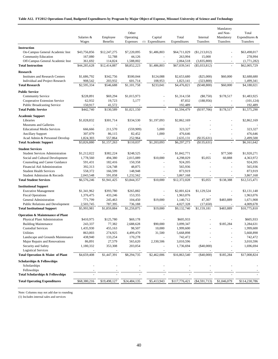#### **Table A12. FY2012 Operations Fund, Budgeted Expenditures by Program by Major Object of Expense, Missouri University of Science and Technology**

|                                                                |                          |                             |                          |                             |                           |                                | Mandatory                                            |                             |
|----------------------------------------------------------------|--------------------------|-----------------------------|--------------------------|-----------------------------|---------------------------|--------------------------------|------------------------------------------------------|-----------------------------|
|                                                                | Salaries &               |                             | Other<br>Operating       |                             | Total                     | Internal                       | and Non-                                             | Total<br>Expenditures &     |
|                                                                | Wages                    | Employee<br><b>Benefits</b> | Expenses                 | Capital<br>(1) Expenditures | Expenditures              | Transfers                      | Mandatory<br>Transfers                               | <b>Transfers</b>            |
|                                                                |                          |                             |                          |                             |                           |                                |                                                      |                             |
| <b>Instruction</b>                                             |                          |                             |                          |                             |                           |                                |                                                      |                             |
| On-Campus General Academic Inst                                | \$43,756,856             | \$12,247,275                | \$7,220,095              | \$1,486,803                 | \$64,711,029              | $(\$1,213,012)$                | $\blacksquare$                                       | \$63,498,017                |
| <b>Community Education</b><br>Off-Campus General Academic Inst | 167,080                  | 52,788                      | 44,126                   |                             | 263,994                   | 15,000                         |                                                      | 278,994                     |
| <b>Total Instruction</b>                                       | 361,692<br>\$44,285,628  | 114,824<br>\$12,414,887     | 1,588,002<br>\$8,852,223 | $\sim$<br>\$1,486,803       | 2,064,518<br>\$67,039,541 | (3,835,800)<br>$(\$5,033,812)$ | $\overline{\phantom{a}}$<br>$\overline{\phantom{a}}$ | (1,771,282)<br>\$62,005,729 |
|                                                                |                          |                             |                          |                             |                           |                                |                                                      |                             |
| <b>Research</b>                                                |                          |                             |                          |                             |                           |                                |                                                      |                             |
| <b>Institutes and Research Centers</b>                         | \$1,686,792              | \$342,756                   | \$500,044                | \$124,088                   | \$2,653,680               | $(\$25,000)$                   | \$60,000                                             | \$2,688,680                 |
| Individual and Project Research                                | 908,542                  | 203,932                     | 601,714                  | 108,953                     | 1,823,141                 | (323, 800)                     |                                                      | 1,499,341                   |
| <b>Total Research</b>                                          | \$2,595,334              | \$546,688                   | \$1,101,758              | \$233,041                   | \$4,476,821               | $(\$348,800)$                  | \$60,000                                             | \$4,188,021                 |
| <b>Public Service</b>                                          |                          |                             |                          |                             |                           |                                |                                                      |                             |
| <b>Community Service</b>                                       | \$228,891                | \$69,294                    | \$1,015,973              |                             | \$1,314,158               | $(\$8,750)$                    | \$178,517                                            | \$1,483,925                 |
| Cooperative Extension Service                                  | 62,932                   | 19,723                      | 5,177                    |                             | 87,832                    | (188, 956)                     | L,                                                   | (101, 124)                  |
| <b>Public Broadcasting Service</b>                             | 150,917                  | 41,572                      |                          |                             | 192,489                   |                                |                                                      | 192,489                     |
| <b>Total Public Service</b>                                    | \$442,740                | \$130,589                   | \$1,021,150              |                             | \$1,594,479               | (\$197,706)                    | \$178,517                                            | \$1,575,290                 |
| <b>Academic Support</b>                                        |                          |                             |                          |                             |                           |                                |                                                      |                             |
| Libraries                                                      | \$1,028,832              | \$301,714                   | \$334,530                | \$1,197,093                 | \$2,862,169               |                                |                                                      | \$2,862,169                 |
| Museums and Galleries                                          |                          |                             |                          |                             |                           |                                |                                                      |                             |
| <b>Educational Media Services</b>                              | 666,666                  | 211,570                     | (559,909)                | 5,000                       | 323.327                   |                                |                                                      | 323,327                     |
| <b>Ancillary Support</b>                                       | 307,079                  | 86,115                      | 82,452                   | 1,000                       | 476,646                   |                                |                                                      | 476,646                     |
| Acad Admin & Personnel Develop                                 | 1,824,303                | 557,864                     | 252,964                  |                             | 2,635,131                 | (\$135,631)                    | L,                                                   | 2,499,500                   |
| <b>Total Academic Support</b>                                  | \$3,826,880              | \$1,157,263                 | \$110,037                | \$1,203,093                 | \$6,297,273               | (\$135,631)                    |                                                      | \$6,161,642                 |
| <b>Student Services</b>                                        |                          |                             |                          |                             |                           |                                |                                                      |                             |
| <b>Student Services Administration</b>                         | \$1,212,022              | \$382,224                   | \$248,525                | $\blacksquare$              | \$1,842,771               |                                | \$77,500                                             | \$1,920,271                 |
| Social and Cultural Development                                | 1,778,560                | 494,380                     | 2,015,089                | \$10,000                    | 4,298,029                 | \$5,055                        | 60,888                                               | 4,363,972                   |
| Counseling and Career Guidance                                 | 591,431                  | 182,416                     | 150,358                  |                             | 924,205                   |                                | $\overline{\phantom{a}}$                             | 924,205                     |
| Financial Aid Administration                                   | 392,313                  | 124,748                     | 48,875                   | $\blacksquare$              | 565,936                   | $\sim$                         |                                                      | 565,936                     |
| <b>Student Health Services</b>                                 | 558,372                  | 166,599                     | 148,948                  |                             | 873,919                   | $\overline{\phantom{a}}$       | $\overline{a}$                                       | 873,919                     |
| Student Admission & Records                                    | 2,043,548                | 591,058                     | 1,232,562                |                             | 3,867,168                 |                                |                                                      | 3,867,168                   |
| <b>Total Student Services</b>                                  | \$6,576,246              | \$1,941,425                 | \$3,844,357              | \$10,000                    | \$12,372,028              | \$5,055                        | \$138,388                                            | \$12,515,471                |
|                                                                |                          |                             |                          |                             |                           |                                |                                                      |                             |
| <b>Institutional Support</b>                                   |                          |                             |                          |                             |                           |                                |                                                      | \$3,131,148                 |
| <b>Executive Management</b><br><b>Fiscal Operations</b>        | \$1,341,962<br>1,376,475 | \$393,780<br>433,246        | \$265,882<br>153,355     |                             | \$2,001,624<br>1,963,076  | \$1,129,524                    | $\sim$                                               | 1,963,076                   |
| General Administration                                         | 771,799                  | 245,463                     | 104,450                  | \$19,000                    | 1,140,712                 | 47,307                         | \$483,889                                            | 1,671,908                   |
| <b>Public Relations and Development</b>                        | 2,503,745                | 787,395                     | 736,188                  |                             | 4,027,328                 | (17,650)                       |                                                      | 4,009,678                   |
| <b>Total Institutional Support</b>                             | \$5,993,981              | \$1,859,884                 | \$1,259,875              | \$19,000                    | \$9,132,740               | \$1,159,181                    | \$483,889                                            | \$10,775,810                |
|                                                                |                          |                             |                          |                             |                           |                                |                                                      |                             |
| <b>Operation &amp; Maintenance of Plant</b>                    |                          |                             |                          |                             |                           |                                |                                                      |                             |
| Physical Plant Administration                                  | \$410,975                | \$125,780                   | \$69,178                 |                             | \$605,933                 |                                |                                                      | \$605,933                   |
| <b>Building Maintenance</b>                                    | 243,337                  | 77,382                      | 2,688,628                | \$90,000                    | 3,099,347                 |                                | \$185,284                                            | 3.284.631                   |
| <b>Custodial Services</b>                                      | 1,435,930                | 455,163                     | 98,507                   | 10,000                      | 1,999,600                 |                                |                                                      | 1,999,600                   |
| Utilities                                                      | 863,003                  | 274,925                     | 4,499,470                | 31,500                      | 5,668,898                 |                                |                                                      | 5,668,898                   |
| Landscape and Grounds Maintenance                              | 438,940                  | 133,254                     | 170,278                  |                             | 742,472                   |                                |                                                      | 742,472                     |
| Major Repairs and Renovations                                  | 86,891                   | 27,579                      | 565,620                  | 2,330,506                   | 3,010,596                 |                                |                                                      | 3,010,596                   |
| Security and Safety<br><b>Logistical Services</b>              | 1,180,332                | 353,308                     | 203,054                  |                             | 1,736,694                 | $(\$40,000)$                   |                                                      | 1,696,694                   |
| Total Operation & Maint of Plant                               | \$4,659,408              | \$1,447,391                 | \$8,294,735              | \$2,462,006                 | \$16,863,540              | $(\$40,000)$                   | \$185,284                                            | \$17,008,824                |
|                                                                |                          |                             |                          |                             |                           |                                |                                                      |                             |
| <b>Scholarships &amp; Fellowships</b><br>Scholarships          |                          |                             |                          |                             |                           |                                |                                                      |                             |
| Fellowships                                                    |                          |                             |                          |                             |                           |                                |                                                      |                             |
| <b>Total Scholarships &amp; Fellowships</b>                    |                          |                             |                          |                             |                           |                                |                                                      |                             |
|                                                                |                          |                             |                          |                             |                           |                                |                                                      |                             |
| <b>Total Operating Expenditures</b>                            | \$68,380,216             | \$19,498,127                | \$24,484,135             | \$5,413,943                 | \$117,776,421             | $(\$4,591,713)$                | \$1,046,079                                          | \$114,230,786               |

Note: Columns may not add due to rounding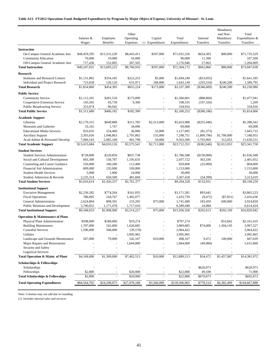#### **Table A13. FY2012 Operations Fund, Budgeted Expenditures by Program by Major Object of Expense, University of Missouri - St. Louis**

|                                                            | Salaries &<br>Wages | Employee<br>Benefits | Other<br>Operating<br>Expenses | Capital<br>(1) Expenditures | Total<br>Expenditures | Internal<br>Transfers | Mandatory<br>and Non-<br>Mandatory<br>Transfers | Total<br>Expenditures &<br>Transfers |
|------------------------------------------------------------|---------------------|----------------------|--------------------------------|-----------------------------|-----------------------|-----------------------|-------------------------------------------------|--------------------------------------|
| <b>Instruction</b>                                         |                     |                      |                                |                             |                       |                       |                                                 |                                      |
| On-Campus General Academic Inst                            | \$48,459,595        | \$13,531,220         | \$8,443,411                    | \$597,000                   | \$71,031,226          | \$624,303             | \$80,000                                        | \$71,735,529                         |
| <b>Community Education</b>                                 | 70,000              | 10,000               | 16,000                         |                             | 96,000                | 11,500                |                                                 | 107,500                              |
| Off-Campus General Academic Inst                           | 717,436             | 152,005              | 307,505                        | $\sim$                      | 1,176,946             | 27,063                | $\overline{\phantom{a}}$                        | 1,204,009                            |
| <b>Total Instruction</b>                                   | \$49,247,031        | \$13,693,225         | \$8,766,916                    | \$597,000                   | \$72,304,172          | \$662,866             | \$80,000                                        | \$73,047,038                         |
|                                                            |                     |                      |                                |                             |                       |                       |                                                 |                                      |
| <b>Research</b>                                            |                     |                      |                                |                             |                       |                       |                                                 |                                      |
| <b>Institutes and Research Centers</b>                     | \$1,131,802         | \$334,185            | \$223,253                      | \$5,000                     | \$1,694,240           | $(\$53,055)$          |                                                 | \$1,641,185                          |
| Individual and Project Research                            | 723,058             | 120,120              | 631,971                        | 168,000                     | 1,643,149             | (293, 554)            | \$240,200                                       | 1,589,795                            |
| <b>Total Research</b>                                      | \$1,854,860         | \$454,305            | \$855,224                      | \$173,000                   | \$3,337,389           | $(\$346,609)$         | \$240,200                                       | \$3,230,980                          |
| <b>Public Service</b>                                      |                     |                      |                                |                             |                       |                       |                                                 |                                      |
| <b>Community Service</b>                                   | \$1,112,201         | \$281,510            | \$173,090                      |                             | \$1,566,801           | (\$88,860)            | L,                                              | \$1,477,941                          |
| Cooperative Extension Service                              | 145,505             | 43,730               | 9,300                          |                             | 198,535               | (197, 326)            |                                                 | 1,209                                |
| <b>Public Broadcasting Service</b>                         | 253,974             | 80,942               |                                |                             | 334,916               |                       |                                                 | 334,916                              |
| <b>Total Public Service</b>                                | \$1,511,680         | \$406,182            | \$182,390                      |                             | \$2,100,252           | $(\$286,186)$         |                                                 | \$1,814,066                          |
| <b>Academic Support</b>                                    |                     |                      |                                |                             |                       |                       |                                                 |                                      |
| Libraries                                                  | \$2,179,315         | \$649,888            | \$311,785                      | \$2,513,000                 | \$5,653,988           | $(\$255,446)$         |                                                 | \$5,398,542                          |
| Museums and Galleries                                      | 33,165              | 1,747                | 34,096                         |                             | 69,008                |                       |                                                 | 69,008                               |
| <b>Educational Media Services</b>                          | 833,635             | 224,460              | 36,000                         | 33,000                      | 1,127,095             | (81, 373)             |                                                 | 1,045,722                            |
| <b>Ancillary Support</b>                                   | 3,303,026           | 1,048,863            | 2,791,862                      | 155,000                     | 7,298,751             | (1,809,796)           | \$1,700,000                                     | 7,188,955                            |
| Acad Admin & Personnel Develop                             | 7,066,543           | 2,085,168            | 401,798                        | 10,000                      | 9,563,509             | 1,763,969             | 312,053                                         | 11,639,531                           |
| <b>Total Academic Support</b>                              | \$13,415,684        | \$4,010,126          | \$3,575,541                    | \$2,711,000                 | \$23,712,351          | (\$382,646)           | \$2,012,053                                     | \$25,341,758                         |
| <b>Student Services</b>                                    |                     |                      |                                |                             |                       |                       |                                                 |                                      |
| <b>Student Services Administration</b>                     | \$728,000           | \$220,850            | \$837,738                      |                             | \$1,786,588           | (\$150,000)           |                                                 | \$1,636,588                          |
| Social and Cultural Development                            | 683,300             | 158,787              | 1,195,635                      |                             | 2,037,722             | 363,330               |                                                 | 2,401,052                            |
| Counseling and Career Guidance                             | 556,000             | 160,200              | 113,400                        |                             | 829,600               | (25,000)              |                                                 | 804,600                              |
| Financial Aid Administration                               | 809,000             | 235,000              | 109,000                        | L,                          | 1,153,000             |                       | L,                                              | 1,153,000                            |
| <b>Student Health Services</b>                             | 5,000               | 1,000                | 24,000                         | $\overline{a}$              | 30,000                |                       | L,                                              | 30,000                               |
| Student Admission & Records                                | 2,235,314           | 650,500              | 481,604                        |                             | 3,367,418             | (54, 399)             |                                                 | 3,313,019                            |
| <b>Total Student Services</b>                              | \$5,016,614         | \$1,426,337          | \$2,761,377                    |                             | \$9,204,328           | \$133,931             |                                                 | \$9,338,259                          |
|                                                            |                     |                      |                                |                             |                       |                       |                                                 |                                      |
| <b>Institutional Support</b>                               | \$2,236,282         | \$774,264            | \$161,035                      |                             | \$3,171,581           | \$93,642              |                                                 | \$3,865,223                          |
| <b>Executive Management</b><br><b>Fiscal Operations</b>    | 786,895             | 244,767              |                                |                             | 2,433,739             | (9, 472)              | $(\$7,831)$                                     | 2,416,436                            |
| General Administration                                     | 2,624,804           | 808,391              | 1,402,077<br>233,205           | \$75,000                    | 3,741,400             | 183,459               | 600,000                                         | 3,924,859                            |
| Public Relations and Development                           | 3,700,052           | 1,171,478            | 1,717,910                      |                             | 6,589,440             | 24,984                |                                                 | 6,614,424                            |
| <b>Total Institutional Support</b>                         | \$9,348,033         | \$2,998,900          | \$3,514,227                    | \$75,000                    | \$15,936,160          | \$292,613             | \$592,169                                       | \$16,820,942                         |
|                                                            |                     |                      |                                |                             |                       |                       |                                                 |                                      |
| <b>Operation &amp; Maintenance of Plant</b>                |                     |                      |                                |                             |                       |                       |                                                 |                                      |
| Physical Plant Administration                              | \$598,000           | \$180,000            | \$19,274                       |                             | \$797,274             |                       | \$53,842                                        | \$2,101,419                          |
| <b>Building Maintenance</b>                                | 1,707,000           | 542,000              | 1,620,685                      | ÷,                          | 3.869.685             | \$74,000              | 1,304,145                                       | 3,997,527                            |
| <b>Custodial Services</b>                                  | 1,596,000           | 508,000              | (39, 578)                      |                             | 2,064,422             |                       |                                                 | 2,064,422                            |
| Utilities                                                  |                     |                      | 3,995,965                      |                             | 3,995,965             |                       |                                                 | 3,995,965                            |
| Landscape and Grounds Maintenance                          | 267,000             | 79,000               | 142,167                        | \$10,000                    | 498,167               | 9,472                 | 100,000                                         | 607,639                              |
| Major Repairs and Renovations                              |                     |                      | 1,664,000                      |                             | 1,664,000             | (49,000)              |                                                 | 1,615,000                            |
| Security and Safety                                        |                     |                      |                                |                             |                       |                       |                                                 |                                      |
| <b>Logistical Services</b>                                 |                     |                      |                                |                             |                       |                       |                                                 |                                      |
| Total Operation & Maint of Plant                           | \$4,168,000         | \$1,309,000          | \$7,402,513                    | \$10,000                    | \$12,889,513          | \$34,472              | \$1,457,987                                     | \$14,381,972                         |
| <b>Scholarships &amp; Fellowships</b>                      |                     |                      |                                |                             |                       |                       |                                                 |                                      |
| Scholarships                                               |                     |                      |                                |                             |                       | \$620,973             |                                                 | \$620,973                            |
| Fellowships<br><b>Total Scholarships &amp; Fellowships</b> | \$2,800             |                      | \$20,000                       |                             | \$22,800              | 49,100                |                                                 | 71,900                               |
|                                                            | \$2,800             |                      | \$20,000                       |                             | \$22,800              | \$670,073             |                                                 | \$692,873                            |
| <b>Total Operating Expenditures</b>                        | \$84,564,702        | \$24,298,075         | \$27,078,188                   | \$3,566,000                 | \$139,506,965         | \$778,514             | \$4,382,409                                     | \$144,667,888                        |

Note: Columns may not add due to rounding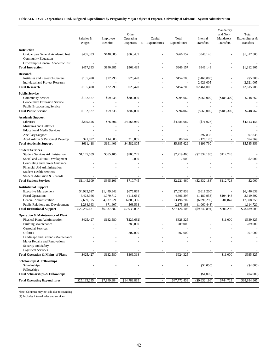#### **Table A14. FY2012 Operations Fund, Budgeted Expenditures by Program by Major Object of Expense, University of Missouri - System Administration**

|                                                                                                                                                                        | Salaries &                                                          | Employee                                                        | Other<br>Operating                                            | Capital          | Total                                                               | Internal                                                                      | Mandatory<br>and Non-<br>Mandatory | Total<br>Expenditures &                                             |
|------------------------------------------------------------------------------------------------------------------------------------------------------------------------|---------------------------------------------------------------------|-----------------------------------------------------------------|---------------------------------------------------------------|------------------|---------------------------------------------------------------------|-------------------------------------------------------------------------------|------------------------------------|---------------------------------------------------------------------|
|                                                                                                                                                                        | Wages                                                               | Benefits                                                        | Expenses                                                      | (1) Expenditures | Expenditures                                                        | Transfers                                                                     | Transfers                          | Transfers                                                           |
| <b>Instruction</b><br>On-Campus General Academic Inst<br><b>Community Education</b><br>Off-Campus General Academic Inst                                                | \$457,333                                                           | \$140,385                                                       | \$368,439                                                     |                  | \$966,157                                                           | \$346,148                                                                     |                                    | \$1,312,305                                                         |
| <b>Total Instruction</b>                                                                                                                                               | \$457,333                                                           | \$140,385                                                       | \$368,439                                                     |                  | \$966,157                                                           | \$346,148                                                                     |                                    | \$1,312,305                                                         |
| Research<br><b>Institutes and Research Centers</b><br>Individual and Project Research                                                                                  | \$105,490                                                           | \$22,790                                                        | \$26,420                                                      |                  | \$154,700                                                           | (\$160,000)<br>2,621,005                                                      |                                    | $(\$5,300)$<br>2,621,005                                            |
| <b>Total Research</b>                                                                                                                                                  | \$105,490                                                           | \$22,790                                                        | \$26,420                                                      |                  | \$154,700                                                           | \$2,461,005                                                                   |                                    | \$2,615,705                                                         |
| <b>Public Service</b><br><b>Community Service</b><br>Cooperative Extension Service<br><b>Public Broadcasting Service</b><br><b>Total Public Service</b>                | \$132,827<br>\$132,827                                              | \$59,235<br>\$59,235                                            | \$802,000<br>\$802,000                                        |                  | \$994,062<br>\$994,062                                              | $(\$560,000)$<br>$(\$560,000)$                                                | (\$185,300)<br>(\$185,300)         | \$248,762<br>\$248,762                                              |
| <b>Academic Support</b><br>Libraries<br><b>Museums and Galleries</b><br><b>Educational Media Services</b>                                                              | \$239,526                                                           | \$76,606                                                        | \$4,268,950                                                   |                  | \$4,585,082                                                         | $(\$71,927)$                                                                  |                                    | \$4,513,155                                                         |
| <b>Ancillary Support</b><br>Acad Admin & Personnel Develop<br><b>Total Academic Support</b>                                                                            | 371,892<br>\$611.418                                                | 114,800<br>\$191,406                                            | 313,855<br>\$4,582,805                                        |                  | 800,547<br>\$5,385,629                                              | 397.835<br>(126, 178)<br>\$199,730                                            |                                    | 397,835<br>674,369<br>\$5,585,359                                   |
| <b>Student Services</b><br><b>Student Services Administration</b><br>Social and Cultural Development<br>Counseling and Career Guidance<br>Financial Aid Administration | \$1,145,609                                                         | \$365,106                                                       | \$708,745<br>2,000                                            |                  | \$2,219,460<br>2,000                                                | $(\$2,332,188)$                                                               | \$112,728                          | \$2,000                                                             |
| <b>Student Health Services</b><br>Student Admission & Records<br><b>Total Student Services</b>                                                                         | \$1,145,609                                                         | \$365,106                                                       | \$710,745                                                     |                  | \$2,221,460                                                         | $(\$2,332,188)$                                                               | \$112,728                          | \$2,000                                                             |
| <b>Institutional Support</b>                                                                                                                                           |                                                                     |                                                                 |                                                               |                  |                                                                     |                                                                               |                                    |                                                                     |
| <b>Executive Management</b><br><b>Fiscal Operations</b><br>General Administration<br>Public Relations and Development<br><b>Total Institutional Support</b>            | \$4,932,627<br>3,428,366<br>12,659,175<br>1,234,963<br>\$22,255,131 | \$1,449,342<br>1,079,712<br>4,037,221<br>371,607<br>\$6,937,882 | \$675,869<br>(111,681)<br>6,800,306<br>568,598<br>\$7,933,092 |                  | \$7,057,838<br>4,396,397<br>23,496,702<br>2,175,168<br>\$37,126,105 | $(\$611,200)$<br>(1,180,953)<br>(6,890,290)<br>(1,060,448)<br>$(\$9,742,891)$ | \$104,448<br>701,847<br>\$806,295  | \$6,446,638<br>3,319,892<br>17,308,259<br>1,114,720<br>\$28,189,509 |
|                                                                                                                                                                        |                                                                     |                                                                 |                                                               |                  |                                                                     |                                                                               |                                    |                                                                     |
| <b>Operation &amp; Maintenance of Plant</b><br>Physical Plant Administration<br><b>Building Maintenance</b>                                                            | \$425,427                                                           | \$132,580                                                       | $(\$229,682)$<br>289,000                                      |                  | \$328,325<br>289,000                                                |                                                                               | \$11,000                           | \$339,325<br>289,000                                                |
| <b>Custodial Services</b><br>Utilities<br>Landscape and Grounds Maintenance                                                                                            |                                                                     |                                                                 | 307,000                                                       |                  | 307,000                                                             |                                                                               |                                    | 307,000                                                             |
| Major Repairs and Renovations<br>Security and Safety<br><b>Logistical Services</b>                                                                                     |                                                                     |                                                                 |                                                               |                  |                                                                     |                                                                               |                                    |                                                                     |
| Total Operation & Maint of Plant                                                                                                                                       | \$425,427                                                           | \$132,580                                                       | \$366,318                                                     |                  | \$924,325                                                           |                                                                               | \$11,000                           | \$935,325                                                           |
| <b>Scholarships &amp; Fellowships</b><br>Scholarships                                                                                                                  |                                                                     |                                                                 |                                                               |                  |                                                                     | $(\$4,000)$                                                                   |                                    | $(\$4,000)$                                                         |
| Fellowships<br><b>Total Scholarships &amp; Fellowships</b>                                                                                                             |                                                                     |                                                                 |                                                               |                  |                                                                     | (\$4,000)                                                                     |                                    | (\$4,000)                                                           |
| <b>Total Operating Expenditures</b>                                                                                                                                    | \$25,133,235                                                        | \$7,849,384                                                     | \$14,789,819                                                  |                  | \$47,772,438                                                        | (\$9,632,196)                                                                 | \$744,723                          | \$38,884,965                                                        |

Note: Columns may not add due to rounding